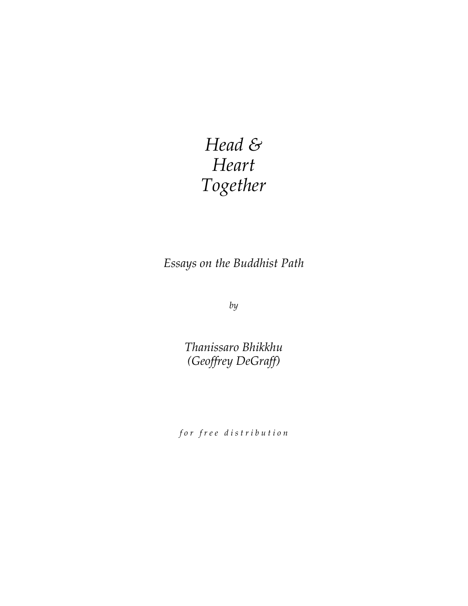# *Head & Heart Together*

*Essays on the Buddhist Path*

*by*

*Thanissaro Bhikkhu (Geoffrey DeGraff)*

*f o r f r e e d i s t r i b u t i o n*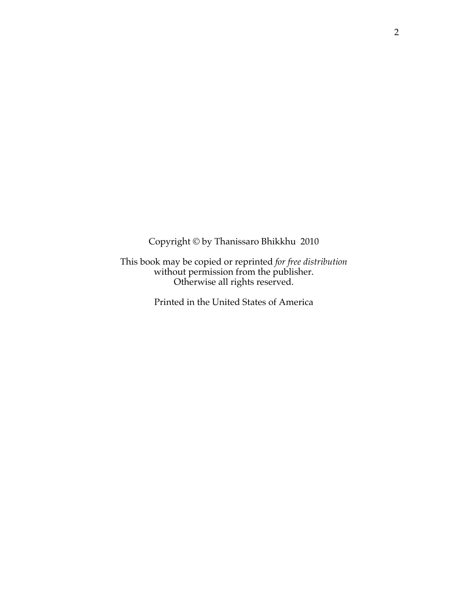Copyright © by Thanissaro Bhikkhu 2010

This book may be copied or reprinted *for free distribution* without permission from the publisher. Otherwise all rights reserved.

Printed in the United States of America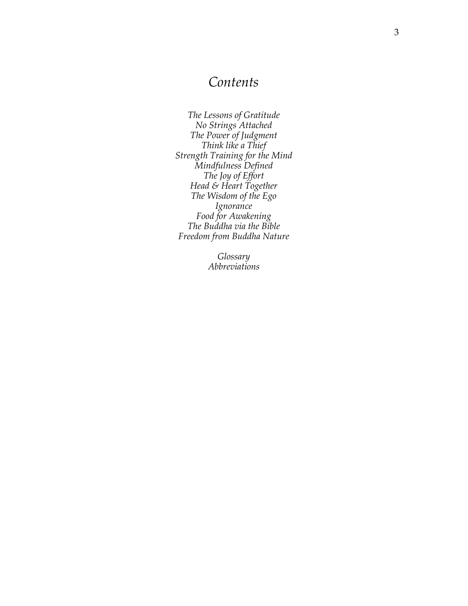## *Contents*

*The Lessons of Gratitude No Strings Attached The Power of Judgment Think like a Thief Strength Training for the Mind Mindfulness Defined The Joy of Effort Head & Heart Together The Wisdom of the Ego Ignorance Food for Awakening The Buddha via the Bible Freedom from Buddha Nature*

> *Glossary Abbreviations*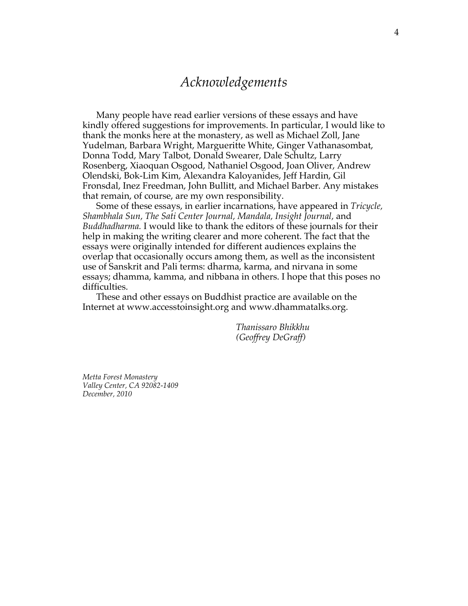### *Acknowledgements*

Many people have read earlier versions of these essays and have kindly offered suggestions for improvements. In particular, I would like to thank the monks here at the monastery, as well as Michael Zoll, Jane Yudelman, Barbara Wright, Margueritte White, Ginger Vathanasombat, Donna Todd, Mary Talbot, Donald Swearer, Dale Schultz, Larry Rosenberg, Xiaoquan Osgood, Nathaniel Osgood, Joan Oliver, Andrew Olendski, Bok-Lim Kim, Alexandra Kaloyanides, Jeff Hardin, Gil Fronsdal, Inez Freedman, John Bullitt, and Michael Barber. Any mistakes that remain, of course, are my own responsibility.

Some of these essays, in earlier incarnations, have appeared in *Tricycle, Shambhala Sun, The Sati Center Journal, Mandala, Insight Journal,* and *Buddhadharma.* I would like to thank the editors of these journals for their help in making the writing clearer and more coherent. The fact that the essays were originally intended for different audiences explains the overlap that occasionally occurs among them, as well as the inconsistent use of Sanskrit and Pali terms: dharma, karma, and nirvana in some essays; dhamma, kamma, and nibbana in others. I hope that this poses no difficulties.

These and other essays on Buddhist practice are available on the Internet at www.accesstoinsight.org and www.dhammatalks.org.

> *Thanissaro Bhikkhu (Geoffrey DeGraff)*

*Metta Forest Monastery Valley Center, CA 92082-1409 December, 2010*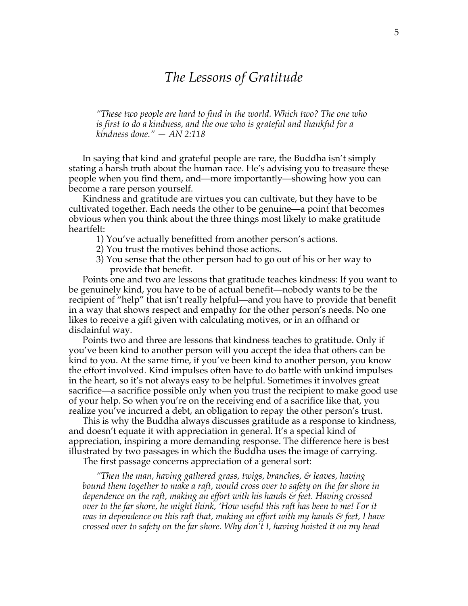### *The Lessons of Gratitude*

*"These two people are hard to find in the world. Which two? The one who is first to do a kindness, and the one who is grateful and thankful for a kindness done." — AN 2:118*

In saying that kind and grateful people are rare, the Buddha isn't simply stating a harsh truth about the human race. He's advising you to treasure these people when you find them, and—more importantly—showing how you can become a rare person yourself.

Kindness and gratitude are virtues you can cultivate, but they have to be cultivated together. Each needs the other to be genuine—a point that becomes obvious when you think about the three things most likely to make gratitude heartfelt:

- 1) You've actually benefitted from another person's actions.
- 2) You trust the motives behind those actions.
- 3) You sense that the other person had to go out of his or her way to provide that benefit.

Points one and two are lessons that gratitude teaches kindness: If you want to be genuinely kind, you have to be of actual benefit—nobody wants to be the recipient of "help" that isn't really helpful—and you have to provide that benefit in a way that shows respect and empathy for the other person's needs. No one likes to receive a gift given with calculating motives, or in an offhand or disdainful way.

Points two and three are lessons that kindness teaches to gratitude. Only if you've been kind to another person will you accept the idea that others can be kind to you. At the same time, if you've been kind to another person, you know the effort involved. Kind impulses often have to do battle with unkind impulses in the heart, so it's not always easy to be helpful. Sometimes it involves great sacrifice—a sacrifice possible only when you trust the recipient to make good use of your help. So when you're on the receiving end of a sacrifice like that, you realize you've incurred a debt, an obligation to repay the other person's trust.

This is why the Buddha always discusses gratitude as a response to kindness, and doesn't equate it with appreciation in general. It's a special kind of appreciation, inspiring a more demanding response. The difference here is best illustrated by two passages in which the Buddha uses the image of carrying.

The first passage concerns appreciation of a general sort:

*"Then the man, having gathered grass, twigs, branches, & leaves, having bound them together to make a raft, would cross over to safety on the far shore in dependence on the raft, making an effort with his hands & feet. Having crossed over to the far shore, he might think, 'How useful this raft has been to me! For it was in dependence on this raft that, making an effort with my hands & feet, I have crossed over to safety on the far shore. Why don't I, having hoisted it on my head*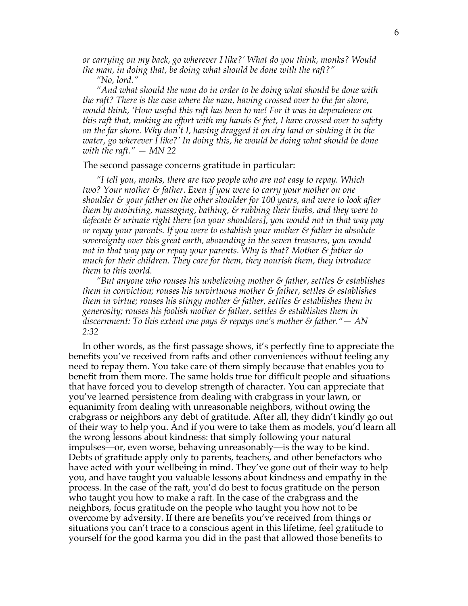*or carrying on my back, go wherever I like?' What do you think, monks? Would the man, in doing that, be doing what should be done with the raft?"*

*"No, lord."*

*"And what should the man do in order to be doing what should be done with the raft? There is the case where the man, having crossed over to the far shore, would think, 'How useful this raft has been to me! For it was in dependence on this raft that, making an effort with my hands & feet, I have crossed over to safety on the far shore. Why don't I, having dragged it on dry land or sinking it in the water, go wherever I like?' In doing this, he would be doing what should be done with the raft." — MN 22*

#### The second passage concerns gratitude in particular:

*"I tell you, monks, there are two people who are not easy to repay. Which two? Your mother & father. Even if you were to carry your mother on one shoulder & your father on the other shoulder for 100 years, and were to look after them by anointing, massaging, bathing, & rubbing their limbs, and they were to defecate & urinate right there [on your shoulders], you would not in that way pay or repay your parents. If you were to establish your mother & father in absolute sovereignty over this great earth, abounding in the seven treasures, you would not in that way pay or repay your parents. Why is that? Mother & father do much for their children. They care for them, they nourish them, they introduce them to this world.* 

*"But anyone who rouses his unbelieving mother & father, settles & establishes them in conviction; rouses his unvirtuous mother & father, settles & establishes them in virtue; rouses his stingy mother & father, settles & establishes them in generosity; rouses his foolish mother & father, settles & establishes them in discernment: To this extent one pays & repays one's mother & father."— AN 2:32*

In other words, as the first passage shows, it's perfectly fine to appreciate the benefits you've received from rafts and other conveniences without feeling any need to repay them. You take care of them simply because that enables you to benefit from them more. The same holds true for difficult people and situations that have forced you to develop strength of character. You can appreciate that you've learned persistence from dealing with crabgrass in your lawn, or equanimity from dealing with unreasonable neighbors, without owing the crabgrass or neighbors any debt of gratitude. After all, they didn't kindly go out of their way to help you. And if you were to take them as models, you'd learn all the wrong lessons about kindness: that simply following your natural impulses—or, even worse, behaving unreasonably—is the way to be kind. Debts of gratitude apply only to parents, teachers, and other benefactors who have acted with your wellbeing in mind. They've gone out of their way to help you, and have taught you valuable lessons about kindness and empathy in the process. In the case of the raft, you'd do best to focus gratitude on the person who taught you how to make a raft. In the case of the crabgrass and the neighbors, focus gratitude on the people who taught you how not to be overcome by adversity. If there are benefits you've received from things or situations you can't trace to a conscious agent in this lifetime, feel gratitude to yourself for the good karma you did in the past that allowed those benefits to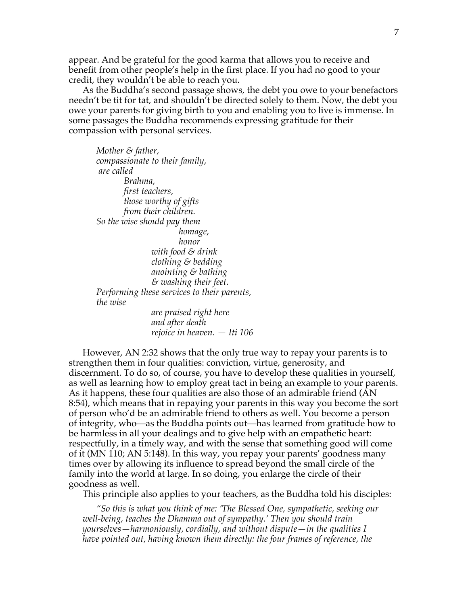appear. And be grateful for the good karma that allows you to receive and benefit from other people's help in the first place. If you had no good to your credit, they wouldn't be able to reach you.

As the Buddha's second passage shows, the debt you owe to your benefactors needn't be tit for tat, and shouldn't be directed solely to them. Now, the debt you owe your parents for giving birth to you and enabling you to live is immense. In some passages the Buddha recommends expressing gratitude for their compassion with personal services.

*Mother & father, compassionate to their family, are called Brahma, first teachers, those worthy of gifts from their children. So the wise should pay them homage, honor with food & drink clothing & bedding anointing & bathing & washing their feet. Performing these services to their parents, the wise are praised right here*

*and after death rejoice in heaven. — Iti 106*

However, AN 2:32 shows that the only true way to repay your parents is to strengthen them in four qualities: conviction, virtue, generosity, and discernment. To do so, of course, you have to develop these qualities in yourself, as well as learning how to employ great tact in being an example to your parents. As it happens, these four qualities are also those of an admirable friend (AN 8:54), which means that in repaying your parents in this way you become the sort of person who'd be an admirable friend to others as well. You become a person of integrity, who—as the Buddha points out—has learned from gratitude how to be harmless in all your dealings and to give help with an empathetic heart: respectfully, in a timely way, and with the sense that something good will come of it (MN 110; AN 5:148). In this way, you repay your parents' goodness many times over by allowing its influence to spread beyond the small circle of the family into the world at large. In so doing, you enlarge the circle of their goodness as well.

This principle also applies to your teachers, as the Buddha told his disciples:

*"So this is what you think of me: 'The Blessed One, sympathetic, seeking our well-being, teaches the Dhamma out of sympathy.' Then you should train yourselves—harmoniously, cordially, and without dispute—in the qualities I have pointed out, having known them directly: the four frames of reference, the*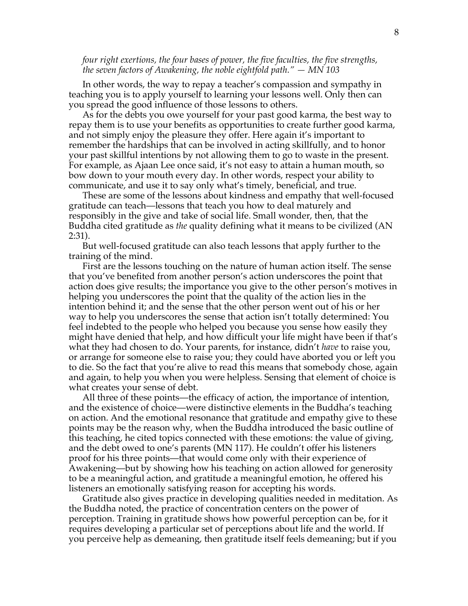*four right exertions, the four bases of power, the five faculties, the five strengths, the seven factors of Awakening, the noble eightfold path." — MN 103*

In other words, the way to repay a teacher's compassion and sympathy in teaching you is to apply yourself to learning your lessons well. Only then can you spread the good influence of those lessons to others.

As for the debts you owe yourself for your past good karma, the best way to repay them is to use your benefits as opportunities to create further good karma, and not simply enjoy the pleasure they offer. Here again it's important to remember the hardships that can be involved in acting skillfully, and to honor your past skillful intentions by not allowing them to go to waste in the present. For example, as Ajaan Lee once said, it's not easy to attain a human mouth, so bow down to your mouth every day. In other words, respect your ability to communicate, and use it to say only what's timely, beneficial, and true.

These are some of the lessons about kindness and empathy that well-focused gratitude can teach—lessons that teach you how to deal maturely and responsibly in the give and take of social life. Small wonder, then, that the Buddha cited gratitude as *the* quality defining what it means to be civilized (AN 2:31).

But well-focused gratitude can also teach lessons that apply further to the training of the mind.

First are the lessons touching on the nature of human action itself. The sense that you've benefited from another person's action underscores the point that action does give results; the importance you give to the other person's motives in helping you underscores the point that the quality of the action lies in the intention behind it; and the sense that the other person went out of his or her way to help you underscores the sense that action isn't totally determined: You feel indebted to the people who helped you because you sense how easily they might have denied that help, and how difficult your life might have been if that's what they had chosen to do. Your parents, for instance, didn't *have* to raise you, or arrange for someone else to raise you; they could have aborted you or left you to die. So the fact that you're alive to read this means that somebody chose, again and again, to help you when you were helpless. Sensing that element of choice is what creates your sense of debt.

All three of these points—the efficacy of action, the importance of intention, and the existence of choice—were distinctive elements in the Buddha's teaching on action. And the emotional resonance that gratitude and empathy give to these points may be the reason why, when the Buddha introduced the basic outline of this teaching, he cited topics connected with these emotions: the value of giving, and the debt owed to one's parents (MN 117). He couldn't offer his listeners proof for his three points—that would come only with their experience of Awakening—but by showing how his teaching on action allowed for generosity to be a meaningful action, and gratitude a meaningful emotion, he offered his listeners an emotionally satisfying reason for accepting his words.

Gratitude also gives practice in developing qualities needed in meditation. As the Buddha noted, the practice of concentration centers on the power of perception. Training in gratitude shows how powerful perception can be, for it requires developing a particular set of perceptions about life and the world. If you perceive help as demeaning, then gratitude itself feels demeaning; but if you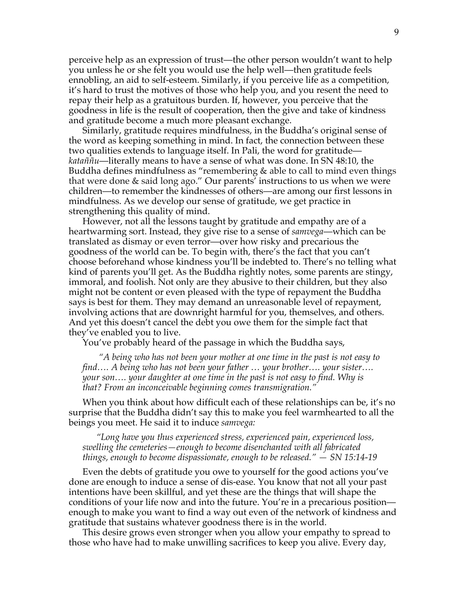perceive help as an expression of trust—the other person wouldn't want to help you unless he or she felt you would use the help well—then gratitude feels ennobling, an aid to self-esteem. Similarly, if you perceive life as a competition, it's hard to trust the motives of those who help you, and you resent the need to repay their help as a gratuitous burden. If, however, you perceive that the goodness in life is the result of cooperation, then the give and take of kindness and gratitude become a much more pleasant exchange.

Similarly, gratitude requires mindfulness, in the Buddha's original sense of the word as keeping something in mind. In fact, the connection between these two qualities extends to language itself. In Pali, the word for gratitude *kataññu*—literally means to have a sense of what was done. In SN 48:10, the Buddha defines mindfulness as "remembering & able to call to mind even things that were done & said long ago." Our parents' instructions to us when we were children—to remember the kindnesses of others—are among our first lessons in mindfulness. As we develop our sense of gratitude, we get practice in strengthening this quality of mind.

However, not all the lessons taught by gratitude and empathy are of a heartwarming sort. Instead, they give rise to a sense of *samvega*—which can be translated as dismay or even terror—over how risky and precarious the goodness of the world can be. To begin with, there's the fact that you can't choose beforehand whose kindness you'll be indebted to. There's no telling what kind of parents you'll get. As the Buddha rightly notes, some parents are stingy, immoral, and foolish. Not only are they abusive to their children, but they also might not be content or even pleased with the type of repayment the Buddha says is best for them. They may demand an unreasonable level of repayment, involving actions that are downright harmful for you, themselves, and others. And yet this doesn't cancel the debt you owe them for the simple fact that they've enabled you to live.

You've probably heard of the passage in which the Buddha says,

*"A being who has not been your mother at one time in the past is not easy to find…. A being who has not been your father … your brother…. your sister…. your son…. your daughter at one time in the past is not easy to find. Why is that? From an inconceivable beginning comes transmigration."* 

When you think about how difficult each of these relationships can be, it's no surprise that the Buddha didn't say this to make you feel warmhearted to all the beings you meet. He said it to induce *samvega:*

*"Long have you thus experienced stress, experienced pain, experienced loss, swelling the cemeteries—enough to become disenchanted with all fabricated things, enough to become dispassionate, enough to be released." — SN 15:14-19*

Even the debts of gratitude you owe to yourself for the good actions you've done are enough to induce a sense of dis-ease. You know that not all your past intentions have been skillful, and yet these are the things that will shape the conditions of your life now and into the future. You're in a precarious position enough to make you want to find a way out even of the network of kindness and gratitude that sustains whatever goodness there is in the world.

This desire grows even stronger when you allow your empathy to spread to those who have had to make unwilling sacrifices to keep you alive. Every day,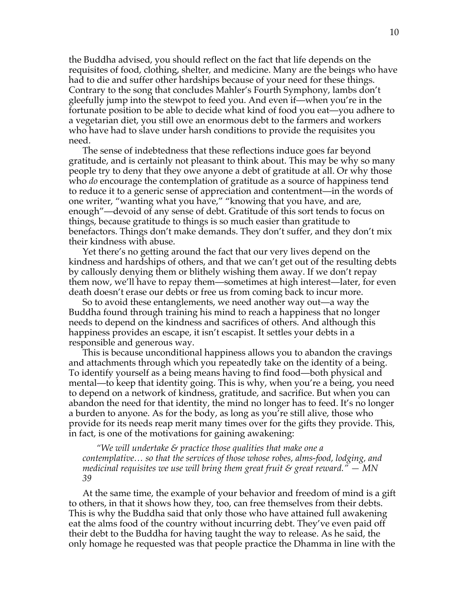the Buddha advised, you should reflect on the fact that life depends on the requisites of food, clothing, shelter, and medicine. Many are the beings who have had to die and suffer other hardships because of your need for these things. Contrary to the song that concludes Mahler's Fourth Symphony, lambs don't gleefully jump into the stewpot to feed you. And even if—when you're in the fortunate position to be able to decide what kind of food you eat—you adhere to a vegetarian diet, you still owe an enormous debt to the farmers and workers who have had to slave under harsh conditions to provide the requisites you need.

The sense of indebtedness that these reflections induce goes far beyond gratitude, and is certainly not pleasant to think about. This may be why so many people try to deny that they owe anyone a debt of gratitude at all. Or why those who *do* encourage the contemplation of gratitude as a source of happiness tend to reduce it to a generic sense of appreciation and contentment—in the words of one writer, "wanting what you have," "knowing that you have, and are, enough"—devoid of any sense of debt. Gratitude of this sort tends to focus on things, because gratitude to things is so much easier than gratitude to benefactors. Things don't make demands. They don't suffer, and they don't mix their kindness with abuse.

Yet there's no getting around the fact that our very lives depend on the kindness and hardships of others, and that we can't get out of the resulting debts by callously denying them or blithely wishing them away. If we don't repay them now, we'll have to repay them—sometimes at high interest—later, for even death doesn't erase our debts or free us from coming back to incur more.

So to avoid these entanglements, we need another way out—a way the Buddha found through training his mind to reach a happiness that no longer needs to depend on the kindness and sacrifices of others. And although this happiness provides an escape, it isn't escapist. It settles your debts in a responsible and generous way.

This is because unconditional happiness allows you to abandon the cravings and attachments through which you repeatedly take on the identity of a being. To identify yourself as a being means having to find food—both physical and mental—to keep that identity going. This is why, when you're a being, you need to depend on a network of kindness, gratitude, and sacrifice. But when you can abandon the need for that identity, the mind no longer has to feed. It's no longer a burden to anyone. As for the body, as long as you're still alive, those who provide for its needs reap merit many times over for the gifts they provide. This, in fact, is one of the motivations for gaining awakening:

*"We will undertake & practice those qualities that make one a contemplative… so that the services of those whose robes, alms-food, lodging, and medicinal requisites we use will bring them great fruit & great reward." — MN 39*

At the same time, the example of your behavior and freedom of mind is a gift to others, in that it shows how they, too, can free themselves from their debts. This is why the Buddha said that only those who have attained full awakening eat the alms food of the country without incurring debt. They've even paid off their debt to the Buddha for having taught the way to release. As he said, the only homage he requested was that people practice the Dhamma in line with the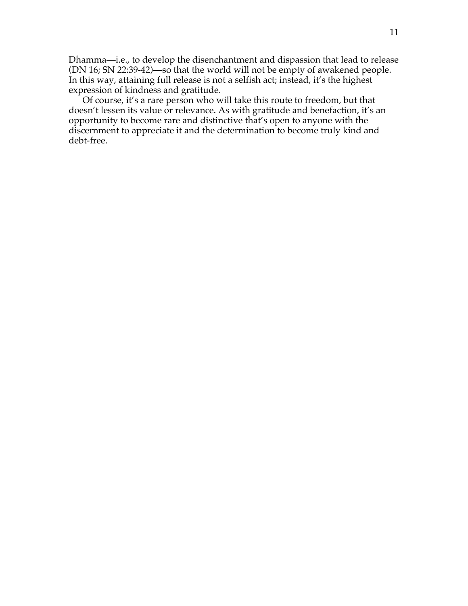Dhamma—i.e., to develop the disenchantment and dispassion that lead to release (DN 16; SN 22:39-42)—so that the world will not be empty of awakened people. In this way, attaining full release is not a selfish act; instead, it's the highest expression of kindness and gratitude.

Of course, it's a rare person who will take this route to freedom, but that doesn't lessen its value or relevance. As with gratitude and benefaction, it's an opportunity to become rare and distinctive that's open to anyone with the discernment to appreciate it and the determination to become truly kind and debt-free.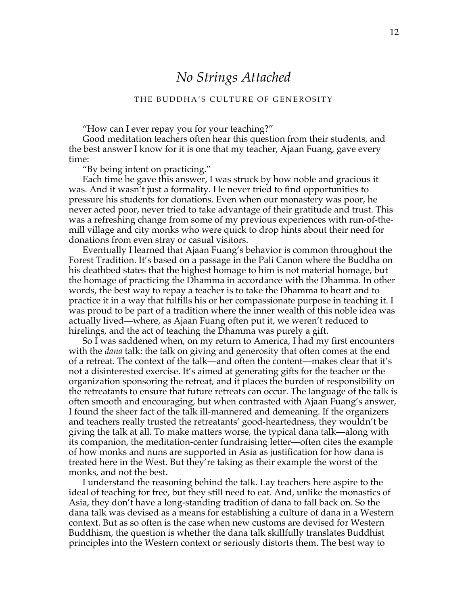### *No Strings Attached*

#### THE BUDDHA'S CULTURE OF GENEROSITY

"How can I ever repay you for your teaching?"

Good meditation teachers often hear this question from their students, and the best answer I know for it is one that my teacher, Ajaan Fuang, gave every time:

"By being intent on practicing."

Each time he gave this answer, I was struck by how noble and gracious it was. And it wasn't just a formality. He never tried to find opportunities to pressure his students for donations. Even when our monastery was poor, he never acted poor, never tried to take advantage of their gratitude and trust. This was a refreshing change from some of my previous experiences with run-of-themill village and city monks who were quick to drop hints about their need for donations from even stray or casual visitors.

Eventually I learned that Ajaan Fuang's behavior is common throughout the Forest Tradition. It's based on a passage in the Pali Canon where the Buddha on his deathbed states that the highest homage to him is not material homage, but the homage of practicing the Dhamma in accordance with the Dhamma. In other words, the best way to repay a teacher is to take the Dhamma to heart and to practice it in a way that fulfills his or her compassionate purpose in teaching it. I was proud to be part of a tradition where the inner wealth of this noble idea was actually lived—where, as Ajaan Fuang often put it, we weren't reduced to hirelings, and the act of teaching the Dhamma was purely a gift.

So I was saddened when, on my return to America, I had my first encounters with the *dana* talk: the talk on giving and generosity that often comes at the end of a retreat. The context of the talk—and often the content—makes clear that it's not a disinterested exercise. It's aimed at generating gifts for the teacher or the organization sponsoring the retreat, and it places the burden of responsibility on the retreatants to ensure that future retreats can occur. The language of the talk is often smooth and encouraging, but when contrasted with Ajaan Fuang's answer, I found the sheer fact of the talk ill-mannered and demeaning. If the organizers and teachers really trusted the retreatants' good-heartedness, they wouldn't be giving the talk at all. To make matters worse, the typical dana talk—along with its companion, the meditation-center fundraising letter—often cites the example of how monks and nuns are supported in Asia as justification for how dana is treated here in the West. But they're taking as their example the worst of the monks, and not the best.

I understand the reasoning behind the talk. Lay teachers here aspire to the ideal of teaching for free, but they still need to eat. And, unlike the monastics of Asia, they don't have a long-standing tradition of dana to fall back on. So the dana talk was devised as a means for establishing a culture of dana in a Western context. But as so often is the case when new customs are devised for Western Buddhism, the question is whether the dana talk skillfully translates Buddhist principles into the Western context or seriously distorts them. The best way to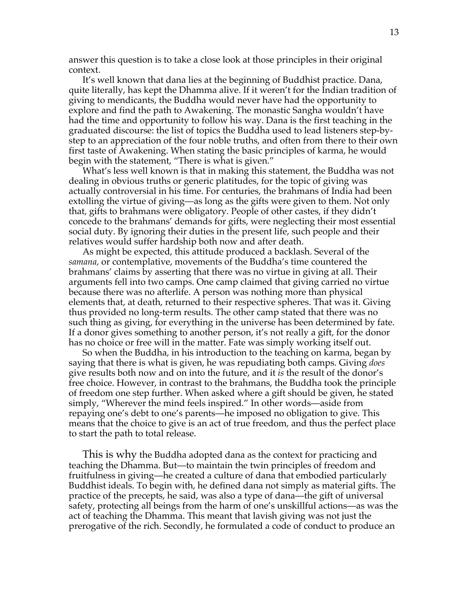answer this question is to take a close look at those principles in their original context.

It's well known that dana lies at the beginning of Buddhist practice. Dana, quite literally, has kept the Dhamma alive. If it weren't for the Indian tradition of giving to mendicants, the Buddha would never have had the opportunity to explore and find the path to Awakening. The monastic Sangha wouldn't have had the time and opportunity to follow his way. Dana is the first teaching in the graduated discourse: the list of topics the Buddha used to lead listeners step-bystep to an appreciation of the four noble truths, and often from there to their own first taste of Awakening. When stating the basic principles of karma, he would begin with the statement, "There is what is given."

What's less well known is that in making this statement, the Buddha was not dealing in obvious truths or generic platitudes, for the topic of giving was actually controversial in his time. For centuries, the brahmans of India had been extolling the virtue of giving—as long as the gifts were given to them. Not only that, gifts to brahmans were obligatory. People of other castes, if they didn't concede to the brahmans' demands for gifts, were neglecting their most essential social duty. By ignoring their duties in the present life, such people and their relatives would suffer hardship both now and after death.

As might be expected, this attitude produced a backlash. Several of the *samana,* or contemplative, movements of the Buddha's time countered the brahmans' claims by asserting that there was no virtue in giving at all. Their arguments fell into two camps. One camp claimed that giving carried no virtue because there was no afterlife. A person was nothing more than physical elements that, at death, returned to their respective spheres. That was it. Giving thus provided no long-term results. The other camp stated that there was no such thing as giving, for everything in the universe has been determined by fate. If a donor gives something to another person, it's not really a gift, for the donor has no choice or free will in the matter. Fate was simply working itself out.

So when the Buddha, in his introduction to the teaching on karma, began by saying that there is what is given, he was repudiating both camps. Giving *does* give results both now and on into the future, and it *is* the result of the donor's free choice. However, in contrast to the brahmans, the Buddha took the principle of freedom one step further. When asked where a gift should be given, he stated simply, "Wherever the mind feels inspired." In other words—aside from repaying one's debt to one's parents—he imposed no obligation to give. This means that the choice to give is an act of true freedom, and thus the perfect place to start the path to total release.

This is why the Buddha adopted dana as the context for practicing and teaching the Dhamma. But—to maintain the twin principles of freedom and fruitfulness in giving—he created a culture of dana that embodied particularly Buddhist ideals. To begin with, he defined dana not simply as material gifts. The practice of the precepts, he said, was also a type of dana—the gift of universal safety, protecting all beings from the harm of one's unskillful actions—as was the act of teaching the Dhamma. This meant that lavish giving was not just the prerogative of the rich. Secondly, he formulated a code of conduct to produce an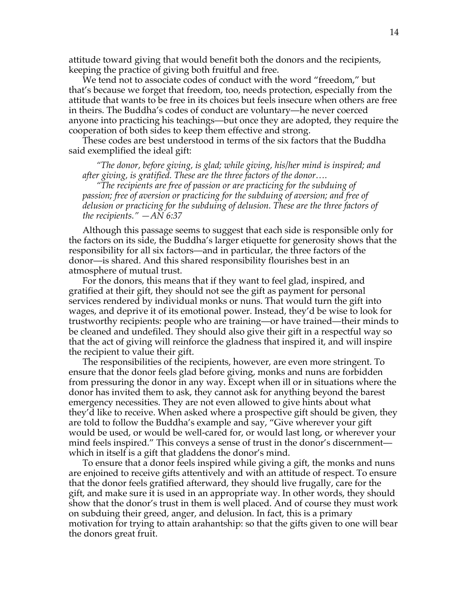attitude toward giving that would benefit both the donors and the recipients, keeping the practice of giving both fruitful and free.

We tend not to associate codes of conduct with the word "freedom," but that's because we forget that freedom, too, needs protection, especially from the attitude that wants to be free in its choices but feels insecure when others are free in theirs. The Buddha's codes of conduct are voluntary—he never coerced anyone into practicing his teachings—but once they are adopted, they require the cooperation of both sides to keep them effective and strong.

These codes are best understood in terms of the six factors that the Buddha said exemplified the ideal gift:

*"The donor, before giving, is glad; while giving, his/her mind is inspired; and after giving, is gratified. These are the three factors of the donor….*

*"The recipients are free of passion or are practicing for the subduing of passion; free of aversion or practicing for the subduing of aversion; and free of delusion or practicing for the subduing of delusion. These are the three factors of the recipients." —AN 6:37* 

Although this passage seems to suggest that each side is responsible only for the factors on its side, the Buddha's larger etiquette for generosity shows that the responsibility for all six factors—and in particular, the three factors of the donor—is shared. And this shared responsibility flourishes best in an atmosphere of mutual trust.

For the donors, this means that if they want to feel glad, inspired, and gratified at their gift, they should not see the gift as payment for personal services rendered by individual monks or nuns. That would turn the gift into wages, and deprive it of its emotional power. Instead, they'd be wise to look for trustworthy recipients: people who are training—or have trained—their minds to be cleaned and undefiled. They should also give their gift in a respectful way so that the act of giving will reinforce the gladness that inspired it, and will inspire the recipient to value their gift.

The responsibilities of the recipients, however, are even more stringent. To ensure that the donor feels glad before giving, monks and nuns are forbidden from pressuring the donor in any way. Except when ill or in situations where the donor has invited them to ask, they cannot ask for anything beyond the barest emergency necessities. They are not even allowed to give hints about what they'd like to receive. When asked where a prospective gift should be given, they are told to follow the Buddha's example and say, "Give wherever your gift would be used, or would be well-cared for, or would last long, or wherever your mind feels inspired." This conveys a sense of trust in the donor's discernment which in itself is a gift that gladdens the donor's mind.

To ensure that a donor feels inspired while giving a gift, the monks and nuns are enjoined to receive gifts attentively and with an attitude of respect. To ensure that the donor feels gratified afterward, they should live frugally, care for the gift, and make sure it is used in an appropriate way. In other words, they should show that the donor's trust in them is well placed. And of course they must work on subduing their greed, anger, and delusion. In fact, this is a primary motivation for trying to attain arahantship: so that the gifts given to one will bear the donors great fruit.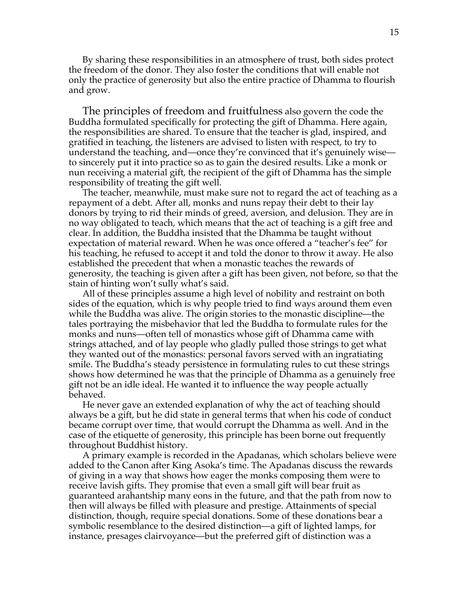By sharing these responsibilities in an atmosphere of trust, both sides protect the freedom of the donor. They also foster the conditions that will enable not only the practice of generosity but also the entire practice of Dhamma to flourish and grow.

The principles of freedom and fruitfulness also govern the code the Buddha formulated specifically for protecting the gift of Dhamma. Here again, the responsibilities are shared. To ensure that the teacher is glad, inspired, and gratified in teaching, the listeners are advised to listen with respect, to try to understand the teaching, and—once they're convinced that it's genuinely wise to sincerely put it into practice so as to gain the desired results. Like a monk or nun receiving a material gift, the recipient of the gift of Dhamma has the simple responsibility of treating the gift well.

The teacher, meanwhile, must make sure not to regard the act of teaching as a repayment of a debt. After all, monks and nuns repay their debt to their lay donors by trying to rid their minds of greed, aversion, and delusion. They are in no way obligated to teach, which means that the act of teaching is a gift free and clear. In addition, the Buddha insisted that the Dhamma be taught without expectation of material reward. When he was once offered a "teacher's fee" for his teaching, he refused to accept it and told the donor to throw it away. He also established the precedent that when a monastic teaches the rewards of generosity, the teaching is given after a gift has been given, not before, so that the stain of hinting won't sully what's said.

All of these principles assume a high level of nobility and restraint on both sides of the equation, which is why people tried to find ways around them even while the Buddha was alive. The origin stories to the monastic discipline—the tales portraying the misbehavior that led the Buddha to formulate rules for the monks and nuns—often tell of monastics whose gift of Dhamma came with strings attached, and of lay people who gladly pulled those strings to get what they wanted out of the monastics: personal favors served with an ingratiating smile. The Buddha's steady persistence in formulating rules to cut these strings shows how determined he was that the principle of Dhamma as a genuinely free gift not be an idle ideal. He wanted it to influence the way people actually behaved.

He never gave an extended explanation of why the act of teaching should always be a gift, but he did state in general terms that when his code of conduct became corrupt over time, that would corrupt the Dhamma as well. And in the case of the etiquette of generosity, this principle has been borne out frequently throughout Buddhist history.

A primary example is recorded in the Apadanas, which scholars believe were added to the Canon after King Asoka's time. The Apadanas discuss the rewards of giving in a way that shows how eager the monks composing them were to receive lavish gifts. They promise that even a small gift will bear fruit as guaranteed arahantship many eons in the future, and that the path from now to then will always be filled with pleasure and prestige. Attainments of special distinction, though, require special donations. Some of these donations bear a symbolic resemblance to the desired distinction—a gift of lighted lamps, for instance, presages clairvoyance—but the preferred gift of distinction was a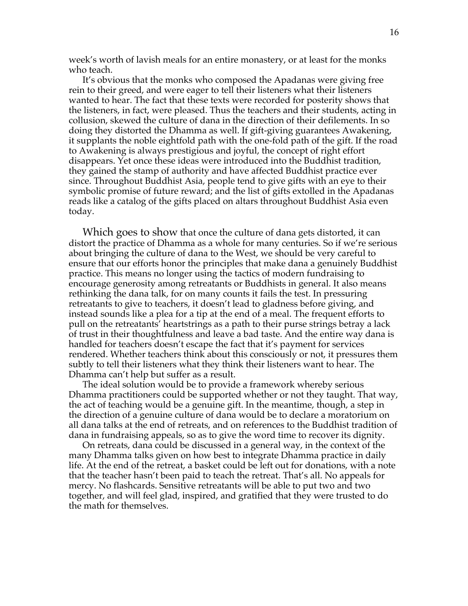week's worth of lavish meals for an entire monastery, or at least for the monks who teach.

It's obvious that the monks who composed the Apadanas were giving free rein to their greed, and were eager to tell their listeners what their listeners wanted to hear. The fact that these texts were recorded for posterity shows that the listeners, in fact, were pleased. Thus the teachers and their students, acting in collusion, skewed the culture of dana in the direction of their defilements. In so doing they distorted the Dhamma as well. If gift-giving guarantees Awakening, it supplants the noble eightfold path with the one-fold path of the gift. If the road to Awakening is always prestigious and joyful, the concept of right effort disappears. Yet once these ideas were introduced into the Buddhist tradition, they gained the stamp of authority and have affected Buddhist practice ever since. Throughout Buddhist Asia, people tend to give gifts with an eye to their symbolic promise of future reward; and the list of gifts extolled in the Apadanas reads like a catalog of the gifts placed on altars throughout Buddhist Asia even today.

Which goes to show that once the culture of dana gets distorted, it can distort the practice of Dhamma as a whole for many centuries. So if we're serious about bringing the culture of dana to the West, we should be very careful to ensure that our efforts honor the principles that make dana a genuinely Buddhist practice. This means no longer using the tactics of modern fundraising to encourage generosity among retreatants or Buddhists in general. It also means rethinking the dana talk, for on many counts it fails the test. In pressuring retreatants to give to teachers, it doesn't lead to gladness before giving, and instead sounds like a plea for a tip at the end of a meal. The frequent efforts to pull on the retreatants' heartstrings as a path to their purse strings betray a lack of trust in their thoughtfulness and leave a bad taste. And the entire way dana is handled for teachers doesn't escape the fact that it's payment for services rendered. Whether teachers think about this consciously or not, it pressures them subtly to tell their listeners what they think their listeners want to hear. The Dhamma can't help but suffer as a result.

The ideal solution would be to provide a framework whereby serious Dhamma practitioners could be supported whether or not they taught. That way, the act of teaching would be a genuine gift. In the meantime, though, a step in the direction of a genuine culture of dana would be to declare a moratorium on all dana talks at the end of retreats, and on references to the Buddhist tradition of dana in fundraising appeals, so as to give the word time to recover its dignity.

On retreats, dana could be discussed in a general way, in the context of the many Dhamma talks given on how best to integrate Dhamma practice in daily life. At the end of the retreat, a basket could be left out for donations, with a note that the teacher hasn't been paid to teach the retreat. That's all. No appeals for mercy. No flashcards. Sensitive retreatants will be able to put two and two together, and will feel glad, inspired, and gratified that they were trusted to do the math for themselves.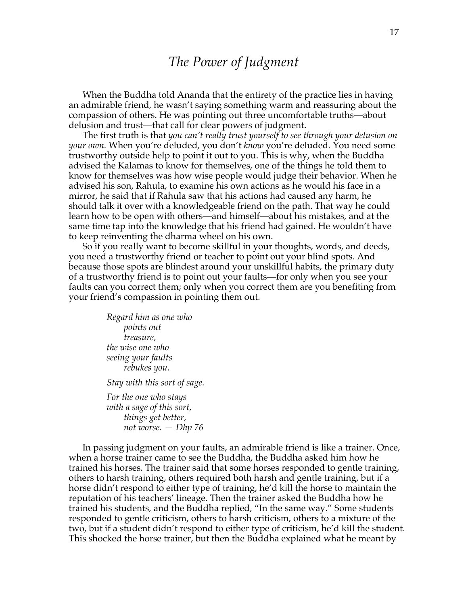### *The Power of Judgment*

When the Buddha told Ananda that the entirety of the practice lies in having an admirable friend, he wasn't saying something warm and reassuring about the compassion of others. He was pointing out three uncomfortable truths—about delusion and trust—that call for clear powers of judgment.

The first truth is that *you can't really trust yourself to see through your delusion on your own.* When you're deluded, you don't *know* you're deluded. You need some trustworthy outside help to point it out to you. This is why, when the Buddha advised the Kalamas to know for themselves, one of the things he told them to know for themselves was how wise people would judge their behavior. When he advised his son, Rahula, to examine his own actions as he would his face in a mirror, he said that if Rahula saw that his actions had caused any harm, he should talk it over with a knowledgeable friend on the path. That way he could learn how to be open with others—and himself—about his mistakes, and at the same time tap into the knowledge that his friend had gained. He wouldn't have to keep reinventing the dharma wheel on his own.

So if you really want to become skillful in your thoughts, words, and deeds, you need a trustworthy friend or teacher to point out your blind spots. And because those spots are blindest around your unskillful habits, the primary duty of a trustworthy friend is to point out your faults—for only when you see your faults can you correct them; only when you correct them are you benefiting from your friend's compassion in pointing them out.

> *Regard him as one who points out treasure, the wise one who seeing your faults rebukes you.*

*Stay with this sort of sage.*

*For the one who stays with a sage of this sort, things get better, not worse. — Dhp 76*

In passing judgment on your faults, an admirable friend is like a trainer. Once, when a horse trainer came to see the Buddha, the Buddha asked him how he trained his horses. The trainer said that some horses responded to gentle training, others to harsh training, others required both harsh and gentle training, but if a horse didn't respond to either type of training, he'd kill the horse to maintain the reputation of his teachers' lineage. Then the trainer asked the Buddha how he trained his students, and the Buddha replied, "In the same way." Some students responded to gentle criticism, others to harsh criticism, others to a mixture of the two, but if a student didn't respond to either type of criticism, he'd kill the student. This shocked the horse trainer, but then the Buddha explained what he meant by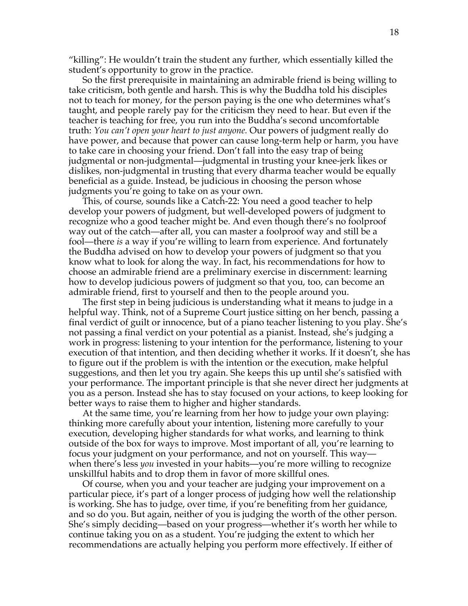"killing": He wouldn't train the student any further, which essentially killed the student's opportunity to grow in the practice.

So the first prerequisite in maintaining an admirable friend is being willing to take criticism, both gentle and harsh. This is why the Buddha told his disciples not to teach for money, for the person paying is the one who determines what's taught, and people rarely pay for the criticism they need to hear. But even if the teacher is teaching for free, you run into the Buddha's second uncomfortable truth: *You can't open your heart to just anyone.* Our powers of judgment really do have power, and because that power can cause long-term help or harm, you have to take care in choosing your friend. Don't fall into the easy trap of being judgmental or non-judgmental—judgmental in trusting your knee-jerk likes or dislikes, non-judgmental in trusting that every dharma teacher would be equally beneficial as a guide. Instead, be judicious in choosing the person whose judgments you're going to take on as your own.

This, of course, sounds like a Catch-22: You need a good teacher to help develop your powers of judgment, but well-developed powers of judgment to recognize who a good teacher might be. And even though there's no foolproof way out of the catch—after all, you can master a foolproof way and still be a fool—there *is* a way if you're willing to learn from experience. And fortunately the Buddha advised on how to develop your powers of judgment so that you know what to look for along the way. In fact, his recommendations for how to choose an admirable friend are a preliminary exercise in discernment: learning how to develop judicious powers of judgment so that you, too, can become an admirable friend, first to yourself and then to the people around you.

The first step in being judicious is understanding what it means to judge in a helpful way. Think, not of a Supreme Court justice sitting on her bench, passing a final verdict of guilt or innocence, but of a piano teacher listening to you play. She's not passing a final verdict on your potential as a pianist. Instead, she's judging a work in progress: listening to your intention for the performance, listening to your execution of that intention, and then deciding whether it works. If it doesn't, she has to figure out if the problem is with the intention or the execution, make helpful suggestions, and then let you try again. She keeps this up until she's satisfied with your performance. The important principle is that she never direct her judgments at you as a person. Instead she has to stay focused on your actions, to keep looking for better ways to raise them to higher and higher standards.

At the same time, you're learning from her how to judge your own playing: thinking more carefully about your intention, listening more carefully to your execution, developing higher standards for what works, and learning to think outside of the box for ways to improve. Most important of all, you're learning to focus your judgment on your performance, and not on yourself. This way when there's less *you* invested in your habits—you're more willing to recognize unskillful habits and to drop them in favor of more skillful ones.

Of course, when you and your teacher are judging your improvement on a particular piece, it's part of a longer process of judging how well the relationship is working. She has to judge, over time, if you're benefiting from her guidance, and so do you. But again, neither of you is judging the worth of the other person. She's simply deciding—based on your progress—whether it's worth her while to continue taking you on as a student. You're judging the extent to which her recommendations are actually helping you perform more effectively. If either of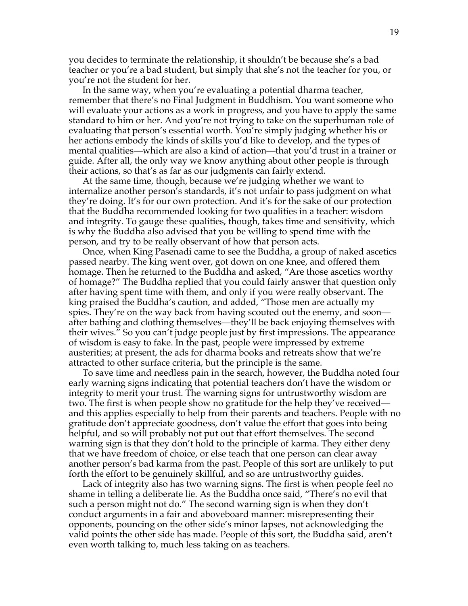you decides to terminate the relationship, it shouldn't be because she's a bad teacher or you're a bad student, but simply that she's not the teacher for you, or you're not the student for her.

In the same way, when you're evaluating a potential dharma teacher, remember that there's no Final Judgment in Buddhism. You want someone who will evaluate your actions as a work in progress, and you have to apply the same standard to him or her. And you're not trying to take on the superhuman role of evaluating that person's essential worth. You're simply judging whether his or her actions embody the kinds of skills you'd like to develop, and the types of mental qualities—which are also a kind of action—that you'd trust in a trainer or guide. After all, the only way we know anything about other people is through their actions, so that's as far as our judgments can fairly extend.

At the same time, though, because we're judging whether we want to internalize another person's standards, it's not unfair to pass judgment on what they're doing. It's for our own protection. And it's for the sake of our protection that the Buddha recommended looking for two qualities in a teacher: wisdom and integrity. To gauge these qualities, though, takes time and sensitivity, which is why the Buddha also advised that you be willing to spend time with the person, and try to be really observant of how that person acts.

Once, when King Pasenadi came to see the Buddha, a group of naked ascetics passed nearby. The king went over, got down on one knee, and offered them homage. Then he returned to the Buddha and asked, "Are those ascetics worthy of homage?" The Buddha replied that you could fairly answer that question only after having spent time with them, and only if you were really observant. The king praised the Buddha's caution, and added, "Those men are actually my spies. They're on the way back from having scouted out the enemy, and soon after bathing and clothing themselves—they'll be back enjoying themselves with their wives." So you can't judge people just by first impressions. The appearance of wisdom is easy to fake. In the past, people were impressed by extreme austerities; at present, the ads for dharma books and retreats show that we're attracted to other surface criteria, but the principle is the same.

To save time and needless pain in the search, however, the Buddha noted four early warning signs indicating that potential teachers don't have the wisdom or integrity to merit your trust. The warning signs for untrustworthy wisdom are two. The first is when people show no gratitude for the help they've received and this applies especially to help from their parents and teachers. People with no gratitude don't appreciate goodness, don't value the effort that goes into being helpful, and so will probably not put out that effort themselves. The second warning sign is that they don't hold to the principle of karma. They either deny that we have freedom of choice, or else teach that one person can clear away another person's bad karma from the past. People of this sort are unlikely to put forth the effort to be genuinely skillful, and so are untrustworthy guides.

Lack of integrity also has two warning signs. The first is when people feel no shame in telling a deliberate lie. As the Buddha once said, "There's no evil that such a person might not do." The second warning sign is when they don't conduct arguments in a fair and aboveboard manner: misrepresenting their opponents, pouncing on the other side's minor lapses, not acknowledging the valid points the other side has made. People of this sort, the Buddha said, aren't even worth talking to, much less taking on as teachers.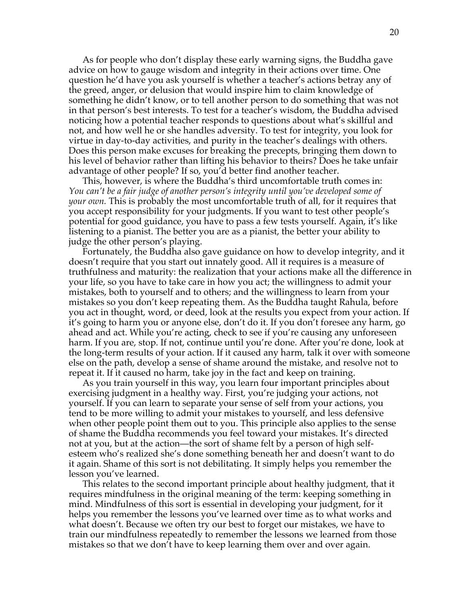As for people who don't display these early warning signs, the Buddha gave advice on how to gauge wisdom and integrity in their actions over time. One question he'd have you ask yourself is whether a teacher's actions betray any of the greed, anger, or delusion that would inspire him to claim knowledge of something he didn't know, or to tell another person to do something that was not in that person's best interests. To test for a teacher's wisdom, the Buddha advised noticing how a potential teacher responds to questions about what's skillful and not, and how well he or she handles adversity. To test for integrity, you look for virtue in day-to-day activities, and purity in the teacher's dealings with others. Does this person make excuses for breaking the precepts, bringing them down to his level of behavior rather than lifting his behavior to theirs? Does he take unfair advantage of other people? If so, you'd better find another teacher.

This, however, is where the Buddha's third uncomfortable truth comes in: *You can't be a fair judge of another person's integrity until you've developed some of your own.* This is probably the most uncomfortable truth of all, for it requires that you accept responsibility for your judgments. If you want to test other people's potential for good guidance, you have to pass a few tests yourself. Again, it's like listening to a pianist. The better you are as a pianist, the better your ability to judge the other person's playing.

Fortunately, the Buddha also gave guidance on how to develop integrity, and it doesn't require that you start out innately good. All it requires is a measure of truthfulness and maturity: the realization that your actions make all the difference in your life, so you have to take care in how you act; the willingness to admit your mistakes, both to yourself and to others; and the willingness to learn from your mistakes so you don't keep repeating them. As the Buddha taught Rahula, before you act in thought, word, or deed, look at the results you expect from your action. If it's going to harm you or anyone else, don't do it. If you don't foresee any harm, go ahead and act. While you're acting, check to see if you're causing any unforeseen harm. If you are, stop. If not, continue until you're done. After you're done, look at the long-term results of your action. If it caused any harm, talk it over with someone else on the path, develop a sense of shame around the mistake, and resolve not to repeat it. If it caused no harm, take joy in the fact and keep on training.

As you train yourself in this way, you learn four important principles about exercising judgment in a healthy way. First, you're judging your actions, not yourself. If you can learn to separate your sense of self from your actions, you tend to be more willing to admit your mistakes to yourself, and less defensive when other people point them out to you. This principle also applies to the sense of shame the Buddha recommends you feel toward your mistakes. It's directed not at you, but at the action—the sort of shame felt by a person of high selfesteem who's realized she's done something beneath her and doesn't want to do it again. Shame of this sort is not debilitating. It simply helps you remember the lesson you've learned.

This relates to the second important principle about healthy judgment, that it requires mindfulness in the original meaning of the term: keeping something in mind. Mindfulness of this sort is essential in developing your judgment, for it helps you remember the lessons you've learned over time as to what works and what doesn't. Because we often try our best to forget our mistakes, we have to train our mindfulness repeatedly to remember the lessons we learned from those mistakes so that we don't have to keep learning them over and over again.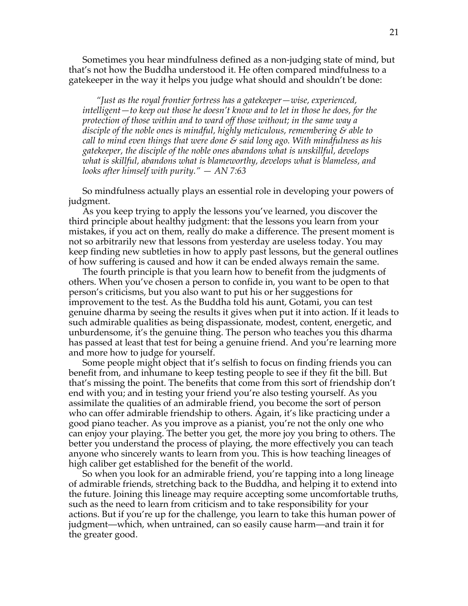Sometimes you hear mindfulness defined as a non-judging state of mind, but that's not how the Buddha understood it. He often compared mindfulness to a gatekeeper in the way it helps you judge what should and shouldn't be done:

*"Just as the royal frontier fortress has a gatekeeper—wise, experienced, intelligent—to keep out those he doesn't know and to let in those he does, for the protection of those within and to ward off those without; in the same way a disciple of the noble ones is mindful, highly meticulous, remembering & able to call to mind even things that were done & said long ago. With mindfulness as his gatekeeper, the disciple of the noble ones abandons what is unskillful, develops what is skillful, abandons what is blameworthy, develops what is blameless, and looks after himself with purity." — AN 7:63* 

So mindfulness actually plays an essential role in developing your powers of judgment.

As you keep trying to apply the lessons you've learned, you discover the third principle about healthy judgment: that the lessons you learn from your mistakes, if you act on them, really do make a difference. The present moment is not so arbitrarily new that lessons from yesterday are useless today. You may keep finding new subtleties in how to apply past lessons, but the general outlines of how suffering is caused and how it can be ended always remain the same.

The fourth principle is that you learn how to benefit from the judgments of others. When you've chosen a person to confide in, you want to be open to that person's criticisms, but you also want to put his or her suggestions for improvement to the test. As the Buddha told his aunt, Gotami, you can test genuine dharma by seeing the results it gives when put it into action. If it leads to such admirable qualities as being dispassionate, modest, content, energetic, and unburdensome, it's the genuine thing. The person who teaches you this dharma has passed at least that test for being a genuine friend. And you're learning more and more how to judge for yourself.

Some people might object that it's selfish to focus on finding friends you can benefit from, and inhumane to keep testing people to see if they fit the bill. But that's missing the point. The benefits that come from this sort of friendship don't end with you; and in testing your friend you're also testing yourself. As you assimilate the qualities of an admirable friend, you become the sort of person who can offer admirable friendship to others. Again, it's like practicing under a good piano teacher. As you improve as a pianist, you're not the only one who can enjoy your playing. The better you get, the more joy you bring to others. The better you understand the process of playing, the more effectively you can teach anyone who sincerely wants to learn from you. This is how teaching lineages of high caliber get established for the benefit of the world.

So when you look for an admirable friend, you're tapping into a long lineage of admirable friends, stretching back to the Buddha, and helping it to extend into the future. Joining this lineage may require accepting some uncomfortable truths, such as the need to learn from criticism and to take responsibility for your actions. But if you're up for the challenge, you learn to take this human power of judgment—which, when untrained, can so easily cause harm—and train it for the greater good.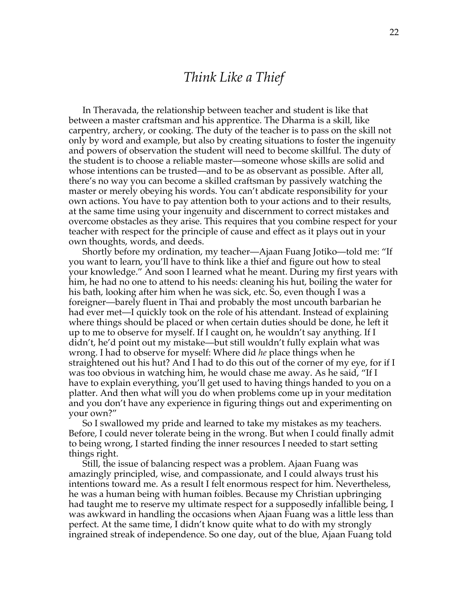### *Think Like a Thief*

In Theravada, the relationship between teacher and student is like that between a master craftsman and his apprentice. The Dharma is a skill, like carpentry, archery, or cooking. The duty of the teacher is to pass on the skill not only by word and example, but also by creating situations to foster the ingenuity and powers of observation the student will need to become skillful. The duty of the student is to choose a reliable master—someone whose skills are solid and whose intentions can be trusted—and to be as observant as possible. After all, there's no way you can become a skilled craftsman by passively watching the master or merely obeying his words. You can't abdicate responsibility for your own actions. You have to pay attention both to your actions and to their results, at the same time using your ingenuity and discernment to correct mistakes and overcome obstacles as they arise. This requires that you combine respect for your teacher with respect for the principle of cause and effect as it plays out in your own thoughts, words, and deeds.

Shortly before my ordination, my teacher—Ajaan Fuang Jotiko—told me: "If you want to learn, you'll have to think like a thief and figure out how to steal your knowledge." And soon I learned what he meant. During my first years with him, he had no one to attend to his needs: cleaning his hut, boiling the water for his bath, looking after him when he was sick, etc. So, even though I was a foreigner—barely fluent in Thai and probably the most uncouth barbarian he had ever met—I quickly took on the role of his attendant. Instead of explaining where things should be placed or when certain duties should be done, he left it up to me to observe for myself. If I caught on, he wouldn't say anything. If I didn't, he'd point out my mistake—but still wouldn't fully explain what was wrong. I had to observe for myself: Where did *he* place things when he straightened out his hut? And I had to do this out of the corner of my eye, for if I was too obvious in watching him, he would chase me away. As he said, "If I have to explain everything, you'll get used to having things handed to you on a platter. And then what will you do when problems come up in your meditation and you don't have any experience in figuring things out and experimenting on your own?"

So I swallowed my pride and learned to take my mistakes as my teachers. Before, I could never tolerate being in the wrong. But when I could finally admit to being wrong, I started finding the inner resources I needed to start setting things right.

Still, the issue of balancing respect was a problem. Ajaan Fuang was amazingly principled, wise, and compassionate, and I could always trust his intentions toward me. As a result I felt enormous respect for him. Nevertheless, he was a human being with human foibles. Because my Christian upbringing had taught me to reserve my ultimate respect for a supposedly infallible being, I was awkward in handling the occasions when Ajaan Fuang was a little less than perfect. At the same time, I didn't know quite what to do with my strongly ingrained streak of independence. So one day, out of the blue, Ajaan Fuang told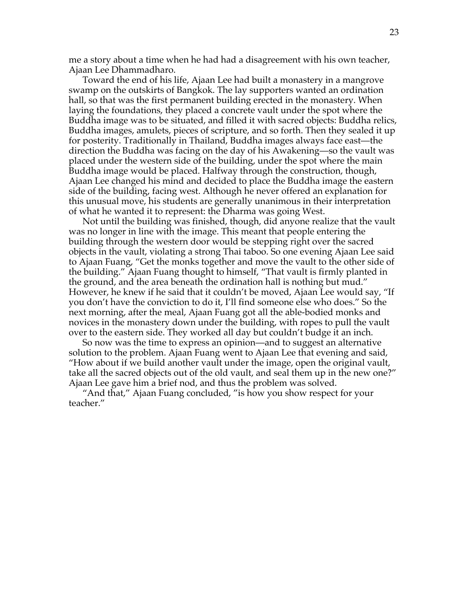me a story about a time when he had had a disagreement with his own teacher, Ajaan Lee Dhammadharo.

Toward the end of his life, Ajaan Lee had built a monastery in a mangrove swamp on the outskirts of Bangkok. The lay supporters wanted an ordination hall, so that was the first permanent building erected in the monastery. When laying the foundations, they placed a concrete vault under the spot where the Buddha image was to be situated, and filled it with sacred objects: Buddha relics, Buddha images, amulets, pieces of scripture, and so forth. Then they sealed it up for posterity. Traditionally in Thailand, Buddha images always face east—the direction the Buddha was facing on the day of his Awakening—so the vault was placed under the western side of the building, under the spot where the main Buddha image would be placed. Halfway through the construction, though, Ajaan Lee changed his mind and decided to place the Buddha image the eastern side of the building, facing west. Although he never offered an explanation for this unusual move, his students are generally unanimous in their interpretation of what he wanted it to represent: the Dharma was going West.

Not until the building was finished, though, did anyone realize that the vault was no longer in line with the image. This meant that people entering the building through the western door would be stepping right over the sacred objects in the vault, violating a strong Thai taboo. So one evening Ajaan Lee said to Ajaan Fuang, "Get the monks together and move the vault to the other side of the building." Ajaan Fuang thought to himself, "That vault is firmly planted in the ground, and the area beneath the ordination hall is nothing but mud." However, he knew if he said that it couldn't be moved, Ajaan Lee would say, "If you don't have the conviction to do it, I'll find someone else who does." So the next morning, after the meal, Ajaan Fuang got all the able-bodied monks and novices in the monastery down under the building, with ropes to pull the vault over to the eastern side. They worked all day but couldn't budge it an inch.

So now was the time to express an opinion—and to suggest an alternative solution to the problem. Ajaan Fuang went to Ajaan Lee that evening and said, "How about if we build another vault under the image, open the original vault, take all the sacred objects out of the old vault, and seal them up in the new one?" Ajaan Lee gave him a brief nod, and thus the problem was solved.

"And that," Ajaan Fuang concluded, "is how you show respect for your teacher."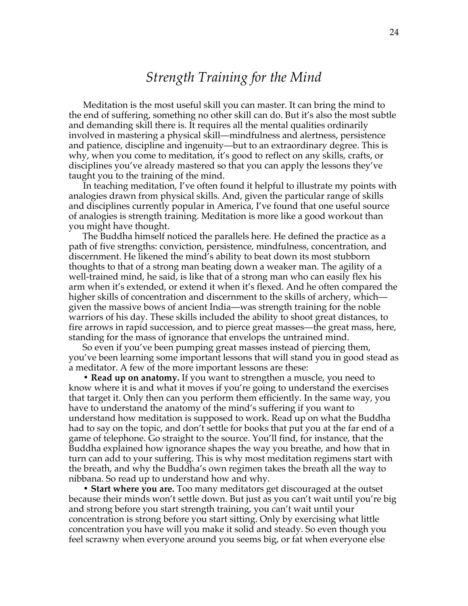### *Strength Training for the Mind*

Meditation is the most useful skill you can master. It can bring the mind to the end of suffering, something no other skill can do. But it's also the most subtle and demanding skill there is. It requires all the mental qualities ordinarily involved in mastering a physical skill—mindfulness and alertness, persistence and patience, discipline and ingenuity—but to an extraordinary degree. This is why, when you come to meditation, it's good to reflect on any skills, crafts, or disciplines you've already mastered so that you can apply the lessons they've taught you to the training of the mind.

In teaching meditation, I've often found it helpful to illustrate my points with analogies drawn from physical skills. And, given the particular range of skills and disciplines currently popular in America, I've found that one useful source of analogies is strength training. Meditation is more like a good workout than you might have thought.

The Buddha himself noticed the parallels here. He defined the practice as a path of five strengths: conviction, persistence, mindfulness, concentration, and discernment. He likened the mind's ability to beat down its most stubborn thoughts to that of a strong man beating down a weaker man. The agility of a well-trained mind, he said, is like that of a strong man who can easily flex his arm when it's extended, or extend it when it's flexed. And he often compared the higher skills of concentration and discernment to the skills of archery, which given the massive bows of ancient India—was strength training for the noble warriors of his day. These skills included the ability to shoot great distances, to fire arrows in rapid succession, and to pierce great masses—the great mass, here, standing for the mass of ignorance that envelops the untrained mind.

So even if you've been pumping great masses instead of piercing them, you've been learning some important lessons that will stand you in good stead as a meditator. A few of the more important lessons are these:

**• Read up on anatomy.** If you want to strengthen a muscle, you need to know where it is and what it moves if you're going to understand the exercises that target it. Only then can you perform them efficiently. In the same way, you have to understand the anatomy of the mind's suffering if you want to understand how meditation is supposed to work. Read up on what the Buddha had to say on the topic, and don't settle for books that put you at the far end of a game of telephone. Go straight to the source. You'll find, for instance, that the Buddha explained how ignorance shapes the way you breathe, and how that in turn can add to your suffering. This is why most meditation regimens start with the breath, and why the Buddha's own regimen takes the breath all the way to nibbana. So read up to understand how and why.

**• Start where you are.** Too many meditators get discouraged at the outset because their minds won't settle down. But just as you can't wait until you're big and strong before you start strength training, you can't wait until your concentration is strong before you start sitting. Only by exercising what little concentration you have will you make it solid and steady. So even though you feel scrawny when everyone around you seems big, or fat when everyone else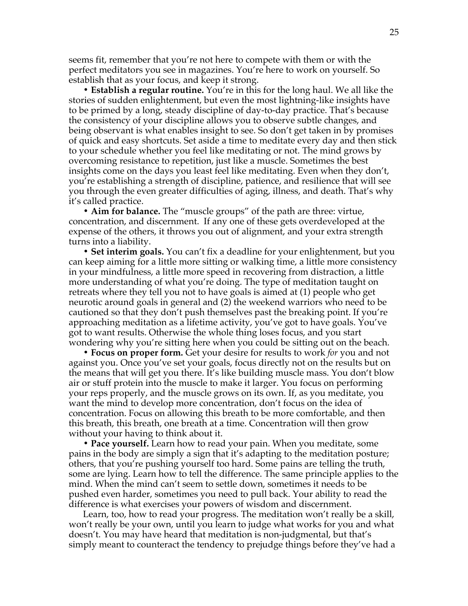seems fit, remember that you're not here to compete with them or with the perfect meditators you see in magazines. You're here to work on yourself. So establish that as your focus, and keep it strong.

**• Establish a regular routine.** You're in this for the long haul. We all like the stories of sudden enlightenment, but even the most lightning-like insights have to be primed by a long, steady discipline of day-to-day practice. That's because the consistency of your discipline allows you to observe subtle changes, and being observant is what enables insight to see. So don't get taken in by promises of quick and easy shortcuts. Set aside a time to meditate every day and then stick to your schedule whether you feel like meditating or not. The mind grows by overcoming resistance to repetition, just like a muscle. Sometimes the best insights come on the days you least feel like meditating. Even when they don't, you're establishing a strength of discipline, patience, and resilience that will see you through the even greater difficulties of aging, illness, and death. That's why it's called practice.

**• Aim for balance.** The "muscle groups" of the path are three: virtue, concentration, and discernment. If any one of these gets overdeveloped at the expense of the others, it throws you out of alignment, and your extra strength turns into a liability.

**• Set interim goals.** You can't fix a deadline for your enlightenment, but you can keep aiming for a little more sitting or walking time, a little more consistency in your mindfulness, a little more speed in recovering from distraction, a little more understanding of what you're doing. The type of meditation taught on retreats where they tell you not to have goals is aimed at (1) people who get neurotic around goals in general and (2) the weekend warriors who need to be cautioned so that they don't push themselves past the breaking point. If you're approaching meditation as a lifetime activity, you've got to have goals. You've got to want results. Otherwise the whole thing loses focus, and you start wondering why you're sitting here when you could be sitting out on the beach.

**• Focus on proper form.** Get your desire for results to work *for* you and not against you. Once you've set your goals, focus directly not on the results but on the means that will get you there. It's like building muscle mass. You don't blow air or stuff protein into the muscle to make it larger. You focus on performing your reps properly, and the muscle grows on its own. If, as you meditate, you want the mind to develop more concentration, don't focus on the idea of concentration. Focus on allowing this breath to be more comfortable, and then this breath, this breath, one breath at a time. Concentration will then grow without your having to think about it.

**• Pace yourself.** Learn how to read your pain. When you meditate, some pains in the body are simply a sign that it's adapting to the meditation posture; others, that you're pushing yourself too hard. Some pains are telling the truth, some are lying. Learn how to tell the difference. The same principle applies to the mind. When the mind can't seem to settle down, sometimes it needs to be pushed even harder, sometimes you need to pull back. Your ability to read the difference is what exercises your powers of wisdom and discernment.

Learn, too, how to read your progress. The meditation won't really be a skill, won't really be your own, until you learn to judge what works for you and what doesn't. You may have heard that meditation is non-judgmental, but that's simply meant to counteract the tendency to prejudge things before they've had a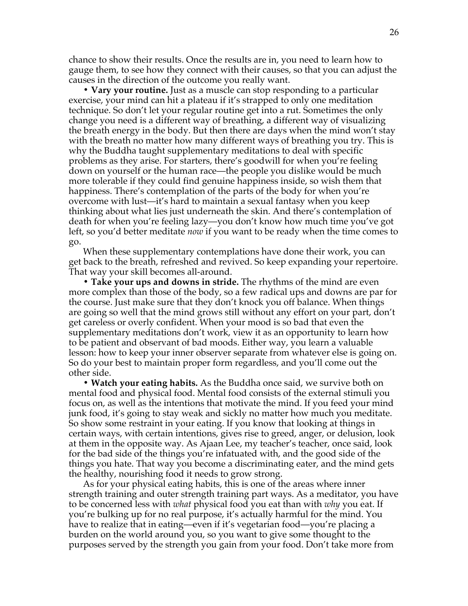chance to show their results. Once the results are in, you need to learn how to gauge them, to see how they connect with their causes, so that you can adjust the causes in the direction of the outcome you really want.

**• Vary your routine.** Just as a muscle can stop responding to a particular exercise, your mind can hit a plateau if it's strapped to only one meditation technique. So don't let your regular routine get into a rut. Sometimes the only change you need is a different way of breathing, a different way of visualizing the breath energy in the body. But then there are days when the mind won't stay with the breath no matter how many different ways of breathing you try. This is why the Buddha taught supplementary meditations to deal with specific problems as they arise. For starters, there's goodwill for when you're feeling down on yourself or the human race—the people you dislike would be much more tolerable if they could find genuine happiness inside, so wish them that happiness. There's contemplation of the parts of the body for when you're overcome with lust—it's hard to maintain a sexual fantasy when you keep thinking about what lies just underneath the skin. And there's contemplation of death for when you're feeling lazy—you don't know how much time you've got left, so you'd better meditate *now* if you want to be ready when the time comes to go.

When these supplementary contemplations have done their work, you can get back to the breath, refreshed and revived. So keep expanding your repertoire. That way your skill becomes all-around.

**• Take your ups and downs in stride.** The rhythms of the mind are even more complex than those of the body, so a few radical ups and downs are par for the course. Just make sure that they don't knock you off balance. When things are going so well that the mind grows still without any effort on your part, don't get careless or overly confident. When your mood is so bad that even the supplementary meditations don't work, view it as an opportunity to learn how to be patient and observant of bad moods. Either way, you learn a valuable lesson: how to keep your inner observer separate from whatever else is going on. So do your best to maintain proper form regardless, and you'll come out the other side.

**• Watch your eating habits.** As the Buddha once said, we survive both on mental food and physical food. Mental food consists of the external stimuli you focus on, as well as the intentions that motivate the mind. If you feed your mind junk food, it's going to stay weak and sickly no matter how much you meditate. So show some restraint in your eating. If you know that looking at things in certain ways, with certain intentions, gives rise to greed, anger, or delusion, look at them in the opposite way. As Ajaan Lee, my teacher's teacher, once said, look for the bad side of the things you're infatuated with, and the good side of the things you hate. That way you become a discriminating eater, and the mind gets the healthy, nourishing food it needs to grow strong.

As for your physical eating habits, this is one of the areas where inner strength training and outer strength training part ways. As a meditator, you have to be concerned less with *what* physical food you eat than with *why* you eat. If you're bulking up for no real purpose, it's actually harmful for the mind. You have to realize that in eating—even if it's vegetarian food—you're placing a burden on the world around you, so you want to give some thought to the purposes served by the strength you gain from your food. Don't take more from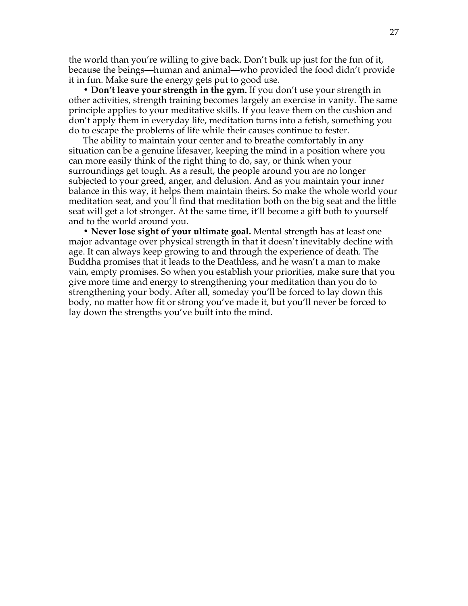the world than you're willing to give back. Don't bulk up just for the fun of it, because the beings—human and animal—who provided the food didn't provide it in fun. Make sure the energy gets put to good use.

**• Don't leave your strength in the gym.** If you don't use your strength in other activities, strength training becomes largely an exercise in vanity. The same principle applies to your meditative skills. If you leave them on the cushion and don't apply them in everyday life, meditation turns into a fetish, something you do to escape the problems of life while their causes continue to fester.

The ability to maintain your center and to breathe comfortably in any situation can be a genuine lifesaver, keeping the mind in a position where you can more easily think of the right thing to do, say, or think when your surroundings get tough. As a result, the people around you are no longer subjected to your greed, anger, and delusion. And as you maintain your inner balance in this way, it helps them maintain theirs. So make the whole world your meditation seat, and you'll find that meditation both on the big seat and the little seat will get a lot stronger. At the same time, it'll become a gift both to yourself and to the world around you.

**• Never lose sight of your ultimate goal.** Mental strength has at least one major advantage over physical strength in that it doesn't inevitably decline with age. It can always keep growing to and through the experience of death. The Buddha promises that it leads to the Deathless, and he wasn't a man to make vain, empty promises. So when you establish your priorities, make sure that you give more time and energy to strengthening your meditation than you do to strengthening your body. After all, someday you'll be forced to lay down this body, no matter how fit or strong you've made it, but you'll never be forced to lay down the strengths you've built into the mind.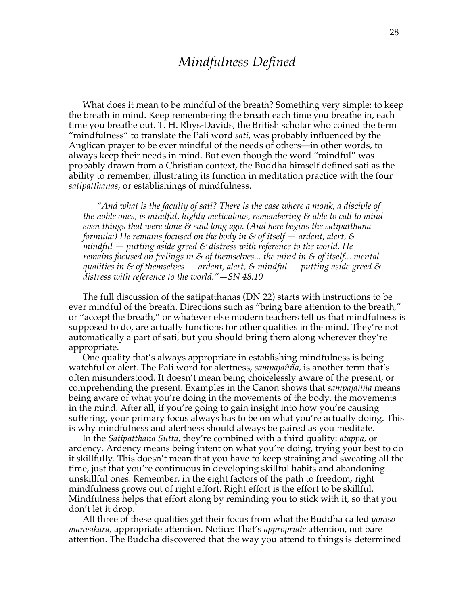### *Mindfulness Defined*

What does it mean to be mindful of the breath? Something very simple: to keep the breath in mind. Keep remembering the breath each time you breathe in, each time you breathe out. T. H. Rhys-Davids, the British scholar who coined the term "mindfulness" to translate the Pali word *sati,* was probably influenced by the Anglican prayer to be ever mindful of the needs of others—in other words, to always keep their needs in mind. But even though the word "mindful" was probably drawn from a Christian context, the Buddha himself defined sati as the ability to remember, illustrating its function in meditation practice with the four *satipatthanas,* or establishings of mindfulness.

*"And what is the faculty of sati? There is the case where a monk, a disciple of the noble ones, is mindful, highly meticulous, remembering & able to call to mind even things that were done & said long ago. (And here begins the satipatthana formula:) He remains focused on the body in & of itself — ardent, alert, & mindful — putting aside greed & distress with reference to the world. He remains focused on feelings in & of themselves... the mind in & of itself... mental qualities in & of themselves — ardent, alert, & mindful — putting aside greed & distress with reference to the world."—SN 48:10*

The full discussion of the satipatthanas (DN 22) starts with instructions to be ever mindful of the breath. Directions such as "bring bare attention to the breath," or "accept the breath," or whatever else modern teachers tell us that mindfulness is supposed to do, are actually functions for other qualities in the mind. They're not automatically a part of sati, but you should bring them along wherever they're appropriate.

One quality that's always appropriate in establishing mindfulness is being watchful or alert. The Pali word for alertness, *sampajañña,* is another term that's often misunderstood. It doesn't mean being choicelessly aware of the present, or comprehending the present. Examples in the Canon shows that *sampajañña* means being aware of what you're doing in the movements of the body, the movements in the mind. After all, if you're going to gain insight into how you're causing suffering, your primary focus always has to be on what you're actually doing. This is why mindfulness and alertness should always be paired as you meditate.

In the *Satipatthana Sutta,* they're combined with a third quality: *atappa,* or ardency. Ardency means being intent on what you're doing, trying your best to do it skillfully. This doesn't mean that you have to keep straining and sweating all the time, just that you're continuous in developing skillful habits and abandoning unskillful ones. Remember, in the eight factors of the path to freedom, right mindfulness grows out of right effort. Right effort is the effort to be skillful. Mindfulness helps that effort along by reminding you to stick with it, so that you don't let it drop.

All three of these qualities get their focus from what the Buddha called *yoniso manisikara,* appropriate attention. Notice: That's *appropriate* attention, not bare attention. The Buddha discovered that the way you attend to things is determined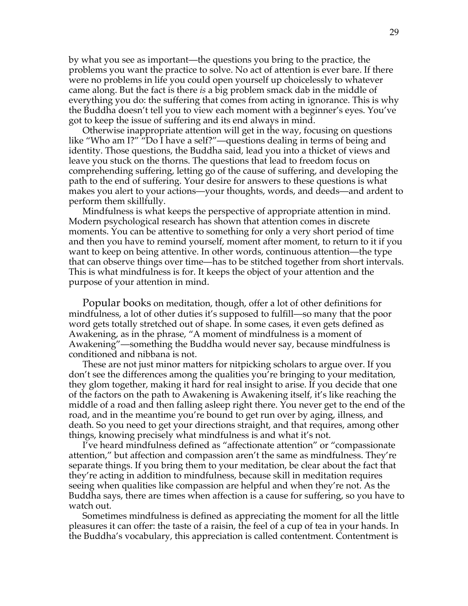by what you see as important—the questions you bring to the practice, the problems you want the practice to solve. No act of attention is ever bare. If there were no problems in life you could open yourself up choicelessly to whatever came along. But the fact is there *is* a big problem smack dab in the middle of everything you do: the suffering that comes from acting in ignorance. This is why the Buddha doesn't tell you to view each moment with a beginner's eyes. You've got to keep the issue of suffering and its end always in mind.

Otherwise inappropriate attention will get in the way, focusing on questions like "Who am I?" "Do I have a self?"—questions dealing in terms of being and identity. Those questions, the Buddha said, lead you into a thicket of views and leave you stuck on the thorns. The questions that lead to freedom focus on comprehending suffering, letting go of the cause of suffering, and developing the path to the end of suffering. Your desire for answers to these questions is what makes you alert to your actions—your thoughts, words, and deeds—and ardent to perform them skillfully.

Mindfulness is what keeps the perspective of appropriate attention in mind. Modern psychological research has shown that attention comes in discrete moments. You can be attentive to something for only a very short period of time and then you have to remind yourself, moment after moment, to return to it if you want to keep on being attentive. In other words, continuous attention—the type that can observe things over time—has to be stitched together from short intervals. This is what mindfulness is for. It keeps the object of your attention and the purpose of your attention in mind.

Popular books on meditation, though, offer a lot of other definitions for mindfulness, a lot of other duties it's supposed to fulfill—so many that the poor word gets totally stretched out of shape. In some cases, it even gets defined as Awakening, as in the phrase, "A moment of mindfulness is a moment of Awakening"—something the Buddha would never say, because mindfulness is conditioned and nibbana is not.

These are not just minor matters for nitpicking scholars to argue over. If you don't see the differences among the qualities you're bringing to your meditation, they glom together, making it hard for real insight to arise. If you decide that one of the factors on the path to Awakening is Awakening itself, it's like reaching the middle of a road and then falling asleep right there. You never get to the end of the road, and in the meantime you're bound to get run over by aging, illness, and death. So you need to get your directions straight, and that requires, among other things, knowing precisely what mindfulness is and what it's not.

I've heard mindfulness defined as "affectionate attention" or "compassionate attention," but affection and compassion aren't the same as mindfulness. They're separate things. If you bring them to your meditation, be clear about the fact that they're acting in addition to mindfulness, because skill in meditation requires seeing when qualities like compassion are helpful and when they're not. As the Buddha says, there are times when affection is a cause for suffering, so you have to watch out.

Sometimes mindfulness is defined as appreciating the moment for all the little pleasures it can offer: the taste of a raisin, the feel of a cup of tea in your hands. In the Buddha's vocabulary, this appreciation is called contentment. Contentment is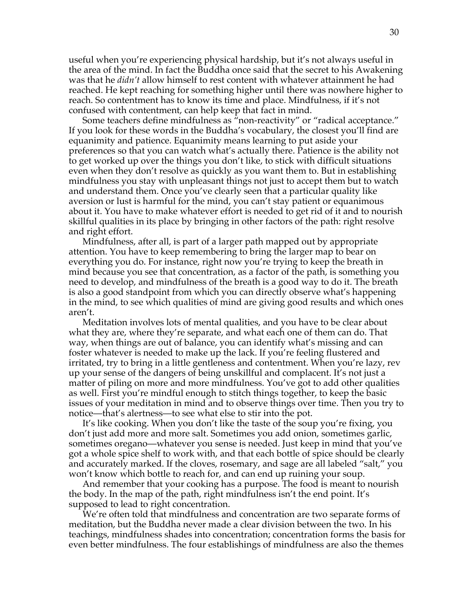useful when you're experiencing physical hardship, but it's not always useful in the area of the mind. In fact the Buddha once said that the secret to his Awakening was that he *didn't* allow himself to rest content with whatever attainment he had reached. He kept reaching for something higher until there was nowhere higher to reach. So contentment has to know its time and place. Mindfulness, if it's not confused with contentment, can help keep that fact in mind.

Some teachers define mindfulness as "non-reactivity" or "radical acceptance." If you look for these words in the Buddha's vocabulary, the closest you'll find are equanimity and patience. Equanimity means learning to put aside your preferences so that you can watch what's actually there. Patience is the ability not to get worked up over the things you don't like, to stick with difficult situations even when they don't resolve as quickly as you want them to. But in establishing mindfulness you stay with unpleasant things not just to accept them but to watch and understand them. Once you've clearly seen that a particular quality like aversion or lust is harmful for the mind, you can't stay patient or equanimous about it. You have to make whatever effort is needed to get rid of it and to nourish skillful qualities in its place by bringing in other factors of the path: right resolve and right effort.

Mindfulness, after all, is part of a larger path mapped out by appropriate attention. You have to keep remembering to bring the larger map to bear on everything you do. For instance, right now you're trying to keep the breath in mind because you see that concentration, as a factor of the path, is something you need to develop, and mindfulness of the breath is a good way to do it. The breath is also a good standpoint from which you can directly observe what's happening in the mind, to see which qualities of mind are giving good results and which ones aren't.

Meditation involves lots of mental qualities, and you have to be clear about what they are, where they're separate, and what each one of them can do. That way, when things are out of balance, you can identify what's missing and can foster whatever is needed to make up the lack. If you're feeling flustered and irritated, try to bring in a little gentleness and contentment. When you're lazy, rev up your sense of the dangers of being unskillful and complacent. It's not just a matter of piling on more and more mindfulness. You've got to add other qualities as well. First you're mindful enough to stitch things together, to keep the basic issues of your meditation in mind and to observe things over time. Then you try to notice—that's alertness—to see what else to stir into the pot.

It's like cooking. When you don't like the taste of the soup you're fixing, you don't just add more and more salt. Sometimes you add onion, sometimes garlic, sometimes oregano—whatever you sense is needed. Just keep in mind that you've got a whole spice shelf to work with, and that each bottle of spice should be clearly and accurately marked. If the cloves, rosemary, and sage are all labeled "salt," you won't know which bottle to reach for, and can end up ruining your soup.

And remember that your cooking has a purpose. The food is meant to nourish the body. In the map of the path, right mindfulness isn't the end point. It's supposed to lead to right concentration.

We're often told that mindfulness and concentration are two separate forms of meditation, but the Buddha never made a clear division between the two. In his teachings, mindfulness shades into concentration; concentration forms the basis for even better mindfulness. The four establishings of mindfulness are also the themes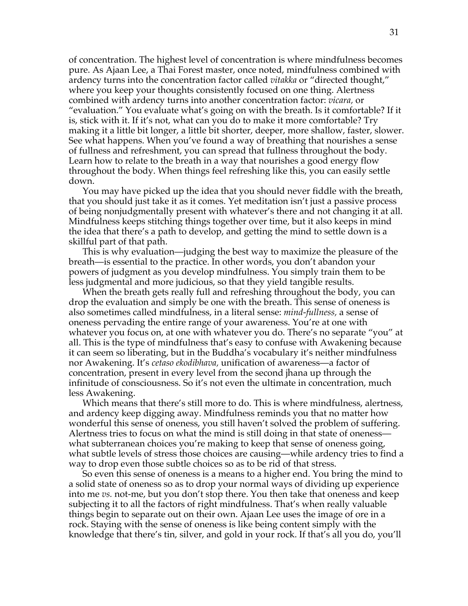of concentration. The highest level of concentration is where mindfulness becomes pure. As Ajaan Lee, a Thai Forest master, once noted, mindfulness combined with ardency turns into the concentration factor called *vitakka* or "directed thought," where you keep your thoughts consistently focused on one thing. Alertness combined with ardency turns into another concentration factor: *vicara,* or "evaluation." You evaluate what's going on with the breath. Is it comfortable? If it is, stick with it. If it's not, what can you do to make it more comfortable? Try making it a little bit longer, a little bit shorter, deeper, more shallow, faster, slower. See what happens. When you've found a way of breathing that nourishes a sense of fullness and refreshment, you can spread that fullness throughout the body. Learn how to relate to the breath in a way that nourishes a good energy flow throughout the body. When things feel refreshing like this, you can easily settle down.

You may have picked up the idea that you should never fiddle with the breath, that you should just take it as it comes. Yet meditation isn't just a passive process of being nonjudgmentally present with whatever's there and not changing it at all. Mindfulness keeps stitching things together over time, but it also keeps in mind the idea that there's a path to develop, and getting the mind to settle down is a skillful part of that path.

This is why evaluation—judging the best way to maximize the pleasure of the breath—is essential to the practice. In other words, you don't abandon your powers of judgment as you develop mindfulness. You simply train them to be less judgmental and more judicious, so that they yield tangible results.

When the breath gets really full and refreshing throughout the body, you can drop the evaluation and simply be one with the breath. This sense of oneness is also sometimes called mindfulness, in a literal sense: *mind-fullness,* a sense of oneness pervading the entire range of your awareness. You're at one with whatever you focus on, at one with whatever you do. There's no separate "you" at all. This is the type of mindfulness that's easy to confuse with Awakening because it can seem so liberating, but in the Buddha's vocabulary it's neither mindfulness nor Awakening. It's *cetaso ekodibhava,* unification of awareness—a factor of concentration, present in every level from the second jhana up through the infinitude of consciousness. So it's not even the ultimate in concentration, much less Awakening.

Which means that there's still more to do. This is where mindfulness, alertness, and ardency keep digging away. Mindfulness reminds you that no matter how wonderful this sense of oneness, you still haven't solved the problem of suffering. Alertness tries to focus on what the mind is still doing in that state of oneness what subterranean choices you're making to keep that sense of oneness going, what subtle levels of stress those choices are causing—while ardency tries to find a way to drop even those subtle choices so as to be rid of that stress.

So even this sense of oneness is a means to a higher end. You bring the mind to a solid state of oneness so as to drop your normal ways of dividing up experience into me *vs.* not-me, but you don't stop there. You then take that oneness and keep subjecting it to all the factors of right mindfulness. That's when really valuable things begin to separate out on their own. Ajaan Lee uses the image of ore in a rock. Staying with the sense of oneness is like being content simply with the knowledge that there's tin, silver, and gold in your rock. If that's all you do, you'll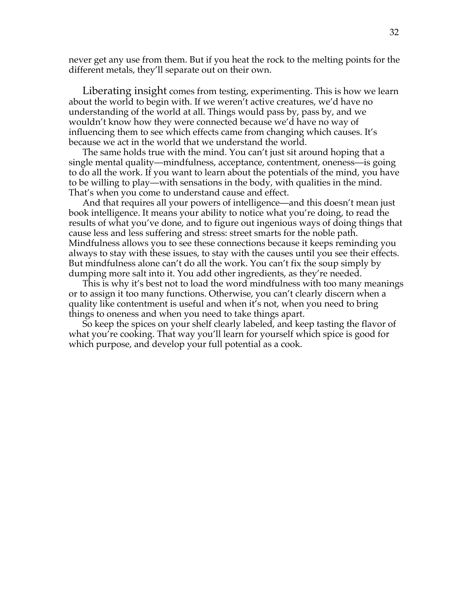never get any use from them. But if you heat the rock to the melting points for the different metals, they'll separate out on their own.

Liberating insight comes from testing, experimenting. This is how we learn about the world to begin with. If we weren't active creatures, we'd have no understanding of the world at all. Things would pass by, pass by, and we wouldn't know how they were connected because we'd have no way of influencing them to see which effects came from changing which causes. It's because we act in the world that we understand the world.

The same holds true with the mind. You can't just sit around hoping that a single mental quality—mindfulness, acceptance, contentment, oneness—is going to do all the work. If you want to learn about the potentials of the mind, you have to be willing to play—with sensations in the body, with qualities in the mind. That's when you come to understand cause and effect.

And that requires all your powers of intelligence—and this doesn't mean just book intelligence. It means your ability to notice what you're doing, to read the results of what you've done, and to figure out ingenious ways of doing things that cause less and less suffering and stress: street smarts for the noble path. Mindfulness allows you to see these connections because it keeps reminding you always to stay with these issues, to stay with the causes until you see their effects. But mindfulness alone can't do all the work. You can't fix the soup simply by dumping more salt into it. You add other ingredients, as they're needed.

This is why it's best not to load the word mindfulness with too many meanings or to assign it too many functions. Otherwise, you can't clearly discern when a quality like contentment is useful and when it's not, when you need to bring things to oneness and when you need to take things apart.

So keep the spices on your shelf clearly labeled, and keep tasting the flavor of what you're cooking. That way you'll learn for yourself which spice is good for which purpose, and develop your full potential as a cook.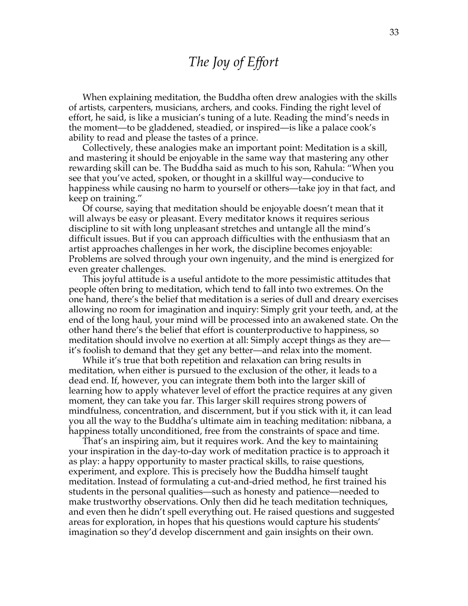### *The Joy of Effort*

When explaining meditation, the Buddha often drew analogies with the skills of artists, carpenters, musicians, archers, and cooks. Finding the right level of effort, he said, is like a musician's tuning of a lute. Reading the mind's needs in the moment—to be gladdened, steadied, or inspired—is like a palace cook's ability to read and please the tastes of a prince.

Collectively, these analogies make an important point: Meditation is a skill, and mastering it should be enjoyable in the same way that mastering any other rewarding skill can be. The Buddha said as much to his son, Rahula: "When you see that you've acted, spoken, or thought in a skillful way—conducive to happiness while causing no harm to yourself or others—take joy in that fact, and keep on training."

Of course, saying that meditation should be enjoyable doesn't mean that it will always be easy or pleasant. Every meditator knows it requires serious discipline to sit with long unpleasant stretches and untangle all the mind's difficult issues. But if you can approach difficulties with the enthusiasm that an artist approaches challenges in her work, the discipline becomes enjoyable: Problems are solved through your own ingenuity, and the mind is energized for even greater challenges.

This joyful attitude is a useful antidote to the more pessimistic attitudes that people often bring to meditation, which tend to fall into two extremes. On the one hand, there's the belief that meditation is a series of dull and dreary exercises allowing no room for imagination and inquiry: Simply grit your teeth, and, at the end of the long haul, your mind will be processed into an awakened state. On the other hand there's the belief that effort is counterproductive to happiness, so meditation should involve no exertion at all: Simply accept things as they are it's foolish to demand that they get any better—and relax into the moment.

While it's true that both repetition and relaxation can bring results in meditation, when either is pursued to the exclusion of the other, it leads to a dead end. If, however, you can integrate them both into the larger skill of learning how to apply whatever level of effort the practice requires at any given moment, they can take you far. This larger skill requires strong powers of mindfulness, concentration, and discernment, but if you stick with it, it can lead you all the way to the Buddha's ultimate aim in teaching meditation: nibbana, a happiness totally unconditioned, free from the constraints of space and time.

That's an inspiring aim, but it requires work. And the key to maintaining your inspiration in the day-to-day work of meditation practice is to approach it as play: a happy opportunity to master practical skills, to raise questions, experiment, and explore. This is precisely how the Buddha himself taught meditation. Instead of formulating a cut-and-dried method, he first trained his students in the personal qualities—such as honesty and patience—needed to make trustworthy observations. Only then did he teach meditation techniques, and even then he didn't spell everything out. He raised questions and suggested areas for exploration, in hopes that his questions would capture his students' imagination so they'd develop discernment and gain insights on their own.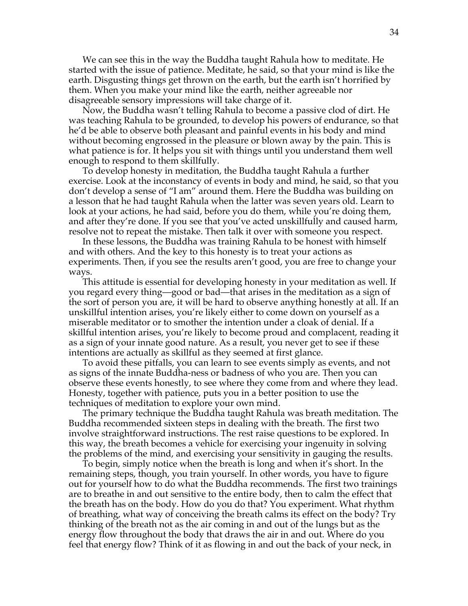We can see this in the way the Buddha taught Rahula how to meditate. He started with the issue of patience. Meditate, he said, so that your mind is like the earth. Disgusting things get thrown on the earth, but the earth isn't horrified by them. When you make your mind like the earth, neither agreeable nor disagreeable sensory impressions will take charge of it.

Now, the Buddha wasn't telling Rahula to become a passive clod of dirt. He was teaching Rahula to be grounded, to develop his powers of endurance, so that he'd be able to observe both pleasant and painful events in his body and mind without becoming engrossed in the pleasure or blown away by the pain. This is what patience is for. It helps you sit with things until you understand them well enough to respond to them skillfully.

To develop honesty in meditation, the Buddha taught Rahula a further exercise. Look at the inconstancy of events in body and mind, he said, so that you don't develop a sense of "I am" around them. Here the Buddha was building on a lesson that he had taught Rahula when the latter was seven years old. Learn to look at your actions, he had said, before you do them, while you're doing them, and after they're done. If you see that you've acted unskillfully and caused harm, resolve not to repeat the mistake. Then talk it over with someone you respect.

In these lessons, the Buddha was training Rahula to be honest with himself and with others. And the key to this honesty is to treat your actions as experiments. Then, if you see the results aren't good, you are free to change your ways.

This attitude is essential for developing honesty in your meditation as well. If you regard every thing—good or bad—that arises in the meditation as a sign of the sort of person you are, it will be hard to observe anything honestly at all. If an unskillful intention arises, you're likely either to come down on yourself as a miserable meditator or to smother the intention under a cloak of denial. If a skillful intention arises, you're likely to become proud and complacent, reading it as a sign of your innate good nature. As a result, you never get to see if these intentions are actually as skillful as they seemed at first glance.

To avoid these pitfalls, you can learn to see events simply as events, and not as signs of the innate Buddha-ness or badness of who you are. Then you can observe these events honestly, to see where they come from and where they lead. Honesty, together with patience, puts you in a better position to use the techniques of meditation to explore your own mind.

The primary technique the Buddha taught Rahula was breath meditation. The Buddha recommended sixteen steps in dealing with the breath. The first two involve straightforward instructions. The rest raise questions to be explored. In this way, the breath becomes a vehicle for exercising your ingenuity in solving the problems of the mind, and exercising your sensitivity in gauging the results.

To begin, simply notice when the breath is long and when it's short. In the remaining steps, though, you train yourself. In other words, you have to figure out for yourself how to do what the Buddha recommends. The first two trainings are to breathe in and out sensitive to the entire body, then to calm the effect that the breath has on the body. How do you do that? You experiment. What rhythm of breathing, what way of conceiving the breath calms its effect on the body? Try thinking of the breath not as the air coming in and out of the lungs but as the energy flow throughout the body that draws the air in and out. Where do you feel that energy flow? Think of it as flowing in and out the back of your neck, in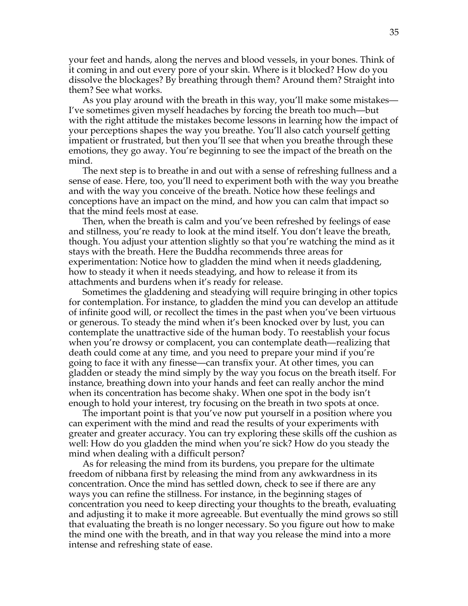your feet and hands, along the nerves and blood vessels, in your bones. Think of it coming in and out every pore of your skin. Where is it blocked? How do you dissolve the blockages? By breathing through them? Around them? Straight into them? See what works.

As you play around with the breath in this way, you'll make some mistakes— I've sometimes given myself headaches by forcing the breath too much—but with the right attitude the mistakes become lessons in learning how the impact of your perceptions shapes the way you breathe. You'll also catch yourself getting impatient or frustrated, but then you'll see that when you breathe through these emotions, they go away. You're beginning to see the impact of the breath on the mind.

The next step is to breathe in and out with a sense of refreshing fullness and a sense of ease. Here, too, you'll need to experiment both with the way you breathe and with the way you conceive of the breath. Notice how these feelings and conceptions have an impact on the mind, and how you can calm that impact so that the mind feels most at ease.

Then, when the breath is calm and you've been refreshed by feelings of ease and stillness, you're ready to look at the mind itself. You don't leave the breath, though. You adjust your attention slightly so that you're watching the mind as it stays with the breath. Here the Buddha recommends three areas for experimentation: Notice how to gladden the mind when it needs gladdening, how to steady it when it needs steadying, and how to release it from its attachments and burdens when it's ready for release.

Sometimes the gladdening and steadying will require bringing in other topics for contemplation. For instance, to gladden the mind you can develop an attitude of infinite good will, or recollect the times in the past when you've been virtuous or generous. To steady the mind when it's been knocked over by lust, you can contemplate the unattractive side of the human body. To reestablish your focus when you're drowsy or complacent, you can contemplate death—realizing that death could come at any time, and you need to prepare your mind if you're going to face it with any finesse—can transfix your. At other times, you can gladden or steady the mind simply by the way you focus on the breath itself. For instance, breathing down into your hands and feet can really anchor the mind when its concentration has become shaky. When one spot in the body isn't enough to hold your interest, try focusing on the breath in two spots at once.

The important point is that you've now put yourself in a position where you can experiment with the mind and read the results of your experiments with greater and greater accuracy. You can try exploring these skills off the cushion as well: How do you gladden the mind when you're sick? How do you steady the mind when dealing with a difficult person?

As for releasing the mind from its burdens, you prepare for the ultimate freedom of nibbana first by releasing the mind from any awkwardness in its concentration. Once the mind has settled down, check to see if there are any ways you can refine the stillness. For instance, in the beginning stages of concentration you need to keep directing your thoughts to the breath, evaluating and adjusting it to make it more agreeable. But eventually the mind grows so still that evaluating the breath is no longer necessary. So you figure out how to make the mind one with the breath, and in that way you release the mind into a more intense and refreshing state of ease.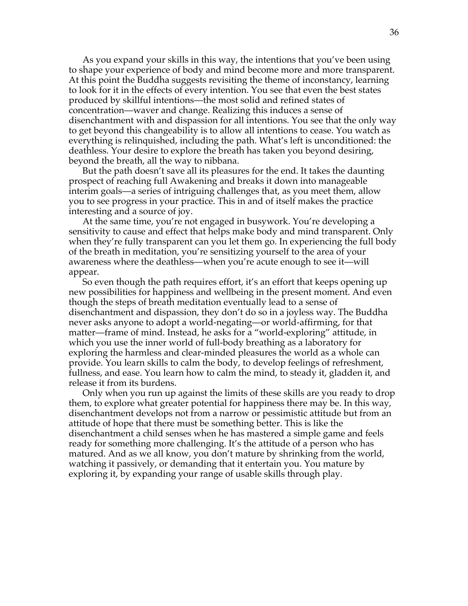As you expand your skills in this way, the intentions that you've been using to shape your experience of body and mind become more and more transparent. At this point the Buddha suggests revisiting the theme of inconstancy, learning to look for it in the effects of every intention. You see that even the best states produced by skillful intentions—the most solid and refined states of concentration—waver and change. Realizing this induces a sense of disenchantment with and dispassion for all intentions. You see that the only way to get beyond this changeability is to allow all intentions to cease. You watch as everything is relinquished, including the path. What's left is unconditioned: the deathless. Your desire to explore the breath has taken you beyond desiring, beyond the breath, all the way to nibbana.

But the path doesn't save all its pleasures for the end. It takes the daunting prospect of reaching full Awakening and breaks it down into manageable interim goals—a series of intriguing challenges that, as you meet them, allow you to see progress in your practice. This in and of itself makes the practice interesting and a source of joy.

At the same time, you're not engaged in busywork. You're developing a sensitivity to cause and effect that helps make body and mind transparent. Only when they're fully transparent can you let them go. In experiencing the full body of the breath in meditation, you're sensitizing yourself to the area of your awareness where the deathless—when you're acute enough to see it—will appear.

So even though the path requires effort, it's an effort that keeps opening up new possibilities for happiness and wellbeing in the present moment. And even though the steps of breath meditation eventually lead to a sense of disenchantment and dispassion, they don't do so in a joyless way. The Buddha never asks anyone to adopt a world-negating—or world-affirming, for that matter—frame of mind. Instead, he asks for a "world-exploring" attitude, in which you use the inner world of full-body breathing as a laboratory for exploring the harmless and clear-minded pleasures the world as a whole can provide. You learn skills to calm the body, to develop feelings of refreshment, fullness, and ease. You learn how to calm the mind, to steady it, gladden it, and release it from its burdens.

Only when you run up against the limits of these skills are you ready to drop them, to explore what greater potential for happiness there may be. In this way, disenchantment develops not from a narrow or pessimistic attitude but from an attitude of hope that there must be something better. This is like the disenchantment a child senses when he has mastered a simple game and feels ready for something more challenging. It's the attitude of a person who has matured. And as we all know, you don't mature by shrinking from the world, watching it passively, or demanding that it entertain you. You mature by exploring it, by expanding your range of usable skills through play.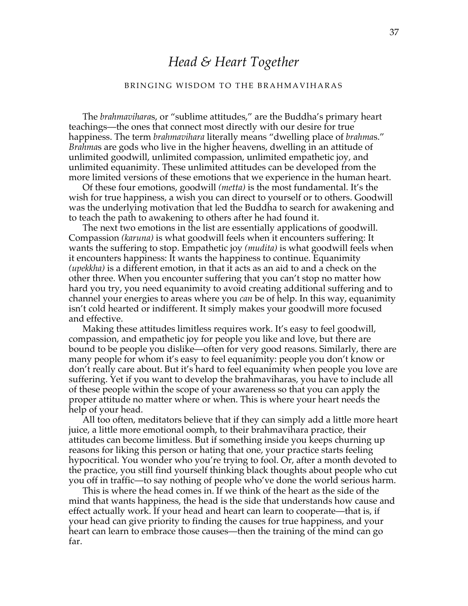## *Head & Heart Together*

## BRINGING WISDOM TO THE BRAHMAVIHARAS

The *brahmavihara*s, or "sublime attitudes," are the Buddha's primary heart teachings—the ones that connect most directly with our desire for true happiness. The term *brahmavihara* literally means "dwelling place of *brahma*s." *Brahma*s are gods who live in the higher heavens, dwelling in an attitude of unlimited goodwill, unlimited compassion, unlimited empathetic joy, and unlimited equanimity. These unlimited attitudes can be developed from the more limited versions of these emotions that we experience in the human heart.

Of these four emotions, goodwill *(metta)* is the most fundamental. It's the wish for true happiness, a wish you can direct to yourself or to others. Goodwill was the underlying motivation that led the Buddha to search for awakening and to teach the path to awakening to others after he had found it.

The next two emotions in the list are essentially applications of goodwill. Compassion *(karuna)* is what goodwill feels when it encounters suffering: It wants the suffering to stop. Empathetic joy *(mudita)* is what goodwill feels when it encounters happiness: It wants the happiness to continue. Equanimity *(upekkha)* is a different emotion, in that it acts as an aid to and a check on the other three. When you encounter suffering that you can't stop no matter how hard you try, you need equanimity to avoid creating additional suffering and to channel your energies to areas where you *can* be of help. In this way, equanimity isn't cold hearted or indifferent. It simply makes your goodwill more focused and effective.

Making these attitudes limitless requires work. It's easy to feel goodwill, compassion, and empathetic joy for people you like and love, but there are bound to be people you dislike—often for very good reasons. Similarly, there are many people for whom it's easy to feel equanimity: people you don't know or don't really care about. But it's hard to feel equanimity when people you love are suffering. Yet if you want to develop the brahmaviharas, you have to include all of these people within the scope of your awareness so that you can apply the proper attitude no matter where or when. This is where your heart needs the help of your head.

All too often, meditators believe that if they can simply add a little more heart juice, a little more emotional oomph, to their brahmavihara practice, their attitudes can become limitless. But if something inside you keeps churning up reasons for liking this person or hating that one, your practice starts feeling hypocritical. You wonder who you're trying to fool. Or, after a month devoted to the practice, you still find yourself thinking black thoughts about people who cut you off in traffic—to say nothing of people who've done the world serious harm.

This is where the head comes in. If we think of the heart as the side of the mind that wants happiness, the head is the side that understands how cause and effect actually work. If your head and heart can learn to cooperate—that is, if your head can give priority to finding the causes for true happiness, and your heart can learn to embrace those causes—then the training of the mind can go far.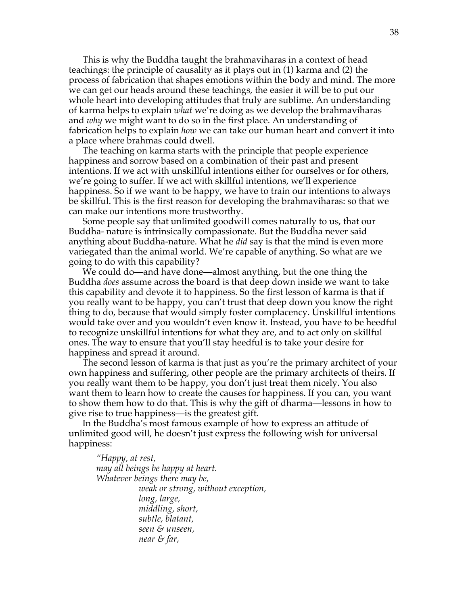This is why the Buddha taught the brahmaviharas in a context of head teachings: the principle of causality as it plays out in (1) karma and (2) the process of fabrication that shapes emotions within the body and mind. The more we can get our heads around these teachings, the easier it will be to put our whole heart into developing attitudes that truly are sublime. An understanding of karma helps to explain *what* we're doing as we develop the brahmaviharas and *why* we might want to do so in the first place. An understanding of fabrication helps to explain *how* we can take our human heart and convert it into a place where brahmas could dwell.

The teaching on karma starts with the principle that people experience happiness and sorrow based on a combination of their past and present intentions. If we act with unskillful intentions either for ourselves or for others, we're going to suffer. If we act with skillful intentions, we'll experience happiness. So if we want to be happy, we have to train our intentions to always be skillful. This is the first reason for developing the brahmaviharas: so that we can make our intentions more trustworthy.

Some people say that unlimited goodwill comes naturally to us, that our Buddha- nature is intrinsically compassionate. But the Buddha never said anything about Buddha-nature. What he *did* say is that the mind is even more variegated than the animal world. We're capable of anything. So what are we going to do with this capability?

We could do—and have done—almost anything, but the one thing the Buddha *does* assume across the board is that deep down inside we want to take this capability and devote it to happiness. So the first lesson of karma is that if you really want to be happy, you can't trust that deep down you know the right thing to do, because that would simply foster complacency. Unskillful intentions would take over and you wouldn't even know it. Instead, you have to be heedful to recognize unskillful intentions for what they are, and to act only on skillful ones. The way to ensure that you'll stay heedful is to take your desire for happiness and spread it around.

The second lesson of karma is that just as you're the primary architect of your own happiness and suffering, other people are the primary architects of theirs. If you really want them to be happy, you don't just treat them nicely. You also want them to learn how to create the causes for happiness. If you can, you want to show them how to do that. This is why the gift of dharma—lessons in how to give rise to true happiness—is the greatest gift.

In the Buddha's most famous example of how to express an attitude of unlimited good will, he doesn't just express the following wish for universal happiness:

*"Happy, at rest, may all beings be happy at heart. Whatever beings there may be, weak or strong, without exception, long, large, middling, short, subtle, blatant, seen & unseen, near & far,*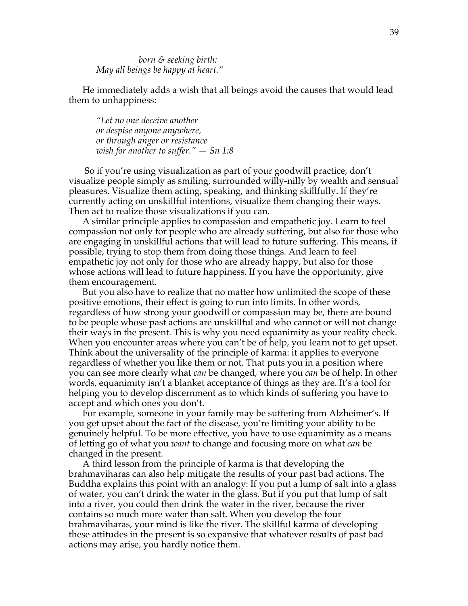*born & seeking birth: May all beings be happy at heart."*

He immediately adds a wish that all beings avoid the causes that would lead them to unhappiness:

*"Let no one deceive another or despise anyone anywhere, or through anger or resistance wish for another to suffer." — Sn 1:8*

 So if you're using visualization as part of your goodwill practice, don't visualize people simply as smiling, surrounded willy-nilly by wealth and sensual pleasures. Visualize them acting, speaking, and thinking skillfully. If they're currently acting on unskillful intentions, visualize them changing their ways. Then act to realize those visualizations if you can.

A similar principle applies to compassion and empathetic joy. Learn to feel compassion not only for people who are already suffering, but also for those who are engaging in unskillful actions that will lead to future suffering. This means, if possible, trying to stop them from doing those things. And learn to feel empathetic joy not only for those who are already happy, but also for those whose actions will lead to future happiness. If you have the opportunity, give them encouragement.

But you also have to realize that no matter how unlimited the scope of these positive emotions, their effect is going to run into limits. In other words, regardless of how strong your goodwill or compassion may be, there are bound to be people whose past actions are unskillful and who cannot or will not change their ways in the present. This is why you need equanimity as your reality check. When you encounter areas where you can't be of help, you learn not to get upset. Think about the universality of the principle of karma: it applies to everyone regardless of whether you like them or not. That puts you in a position where you can see more clearly what *can* be changed, where you *can* be of help. In other words, equanimity isn't a blanket acceptance of things as they are. It's a tool for helping you to develop discernment as to which kinds of suffering you have to accept and which ones you don't.

For example, someone in your family may be suffering from Alzheimer's. If you get upset about the fact of the disease, you're limiting your ability to be genuinely helpful. To be more effective, you have to use equanimity as a means of letting go of what you *want* to change and focusing more on what *can* be changed in the present.

A third lesson from the principle of karma is that developing the brahmaviharas can also help mitigate the results of your past bad actions. The Buddha explains this point with an analogy: If you put a lump of salt into a glass of water, you can't drink the water in the glass. But if you put that lump of salt into a river, you could then drink the water in the river, because the river contains so much more water than salt. When you develop the four brahmaviharas, your mind is like the river. The skillful karma of developing these attitudes in the present is so expansive that whatever results of past bad actions may arise, you hardly notice them.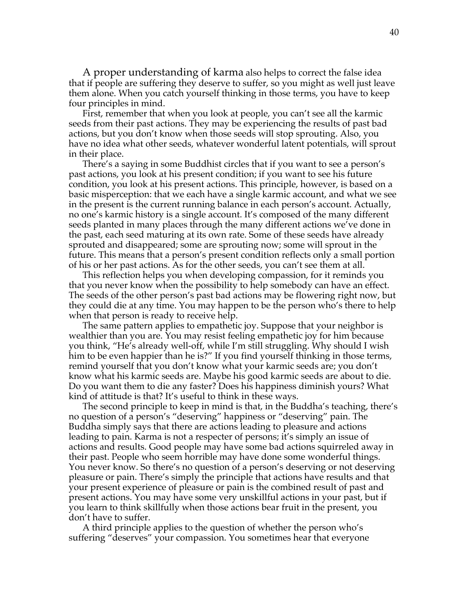A proper understanding of karma also helps to correct the false idea that if people are suffering they deserve to suffer, so you might as well just leave them alone. When you catch yourself thinking in those terms, you have to keep four principles in mind.

First, remember that when you look at people, you can't see all the karmic seeds from their past actions. They may be experiencing the results of past bad actions, but you don't know when those seeds will stop sprouting. Also, you have no idea what other seeds, whatever wonderful latent potentials, will sprout in their place.

There's a saying in some Buddhist circles that if you want to see a person's past actions, you look at his present condition; if you want to see his future condition, you look at his present actions. This principle, however, is based on a basic misperception: that we each have a single karmic account, and what we see in the present is the current running balance in each person's account. Actually, no one's karmic history is a single account. It's composed of the many different seeds planted in many places through the many different actions we've done in the past, each seed maturing at its own rate. Some of these seeds have already sprouted and disappeared; some are sprouting now; some will sprout in the future. This means that a person's present condition reflects only a small portion of his or her past actions. As for the other seeds, you can't see them at all.

This reflection helps you when developing compassion, for it reminds you that you never know when the possibility to help somebody can have an effect. The seeds of the other person's past bad actions may be flowering right now, but they could die at any time. You may happen to be the person who's there to help when that person is ready to receive help.

The same pattern applies to empathetic joy. Suppose that your neighbor is wealthier than you are. You may resist feeling empathetic joy for him because you think, "He's already well-off, while I'm still struggling. Why should I wish him to be even happier than he is?" If you find yourself thinking in those terms, remind yourself that you don't know what your karmic seeds are; you don't know what his karmic seeds are. Maybe his good karmic seeds are about to die. Do you want them to die any faster? Does his happiness diminish yours? What kind of attitude is that? It's useful to think in these ways.

The second principle to keep in mind is that, in the Buddha's teaching, there's no question of a person's "deserving" happiness or "deserving" pain. The Buddha simply says that there are actions leading to pleasure and actions leading to pain. Karma is not a respecter of persons; it's simply an issue of actions and results. Good people may have some bad actions squirreled away in their past. People who seem horrible may have done some wonderful things. You never know. So there's no question of a person's deserving or not deserving pleasure or pain. There's simply the principle that actions have results and that your present experience of pleasure or pain is the combined result of past and present actions. You may have some very unskillful actions in your past, but if you learn to think skillfully when those actions bear fruit in the present, you don't have to suffer.

A third principle applies to the question of whether the person who's suffering "deserves" your compassion. You sometimes hear that everyone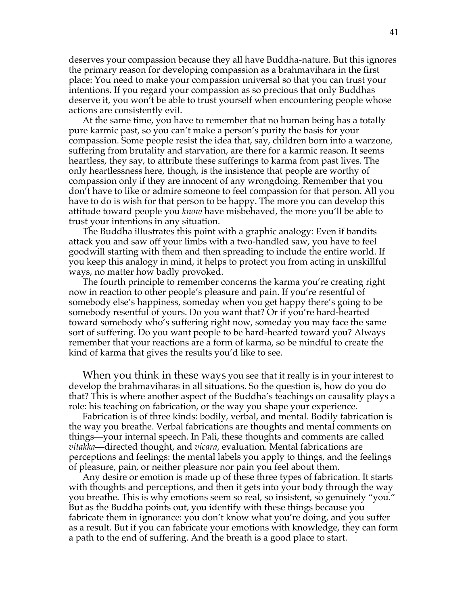deserves your compassion because they all have Buddha-nature. But this ignores the primary reason for developing compassion as a brahmavihara in the first place: You need to make your compassion universal so that you can trust your intentions**.** If you regard your compassion as so precious that only Buddhas deserve it, you won't be able to trust yourself when encountering people whose actions are consistently evil.

At the same time, you have to remember that no human being has a totally pure karmic past, so you can't make a person's purity the basis for your compassion. Some people resist the idea that, say, children born into a warzone, suffering from brutality and starvation, are there for a karmic reason. It seems heartless, they say, to attribute these sufferings to karma from past lives. The only heartlessness here, though, is the insistence that people are worthy of compassion only if they are innocent of any wrongdoing. Remember that you don't have to like or admire someone to feel compassion for that person. All you have to do is wish for that person to be happy. The more you can develop this attitude toward people you *know* have misbehaved, the more you'll be able to trust your intentions in any situation.

The Buddha illustrates this point with a graphic analogy: Even if bandits attack you and saw off your limbs with a two-handled saw, you have to feel goodwill starting with them and then spreading to include the entire world. If you keep this analogy in mind, it helps to protect you from acting in unskillful ways, no matter how badly provoked.

The fourth principle to remember concerns the karma you're creating right now in reaction to other people's pleasure and pain. If you're resentful of somebody else's happiness, someday when you get happy there's going to be somebody resentful of yours. Do you want that? Or if you're hard-hearted toward somebody who's suffering right now, someday you may face the same sort of suffering. Do you want people to be hard-hearted toward you? Always remember that your reactions are a form of karma, so be mindful to create the kind of karma that gives the results you'd like to see.

When you think in these ways you see that it really is in your interest to develop the brahmaviharas in all situations. So the question is, how do you do that? This is where another aspect of the Buddha's teachings on causality plays a role: his teaching on fabrication, or the way you shape your experience.

Fabrication is of three kinds: bodily, verbal, and mental. Bodily fabrication is the way you breathe. Verbal fabrications are thoughts and mental comments on things—your internal speech. In Pali, these thoughts and comments are called *vitakka*—directed thought, and *vicara,* evaluation. Mental fabrications are perceptions and feelings: the mental labels you apply to things, and the feelings of pleasure, pain, or neither pleasure nor pain you feel about them.

Any desire or emotion is made up of these three types of fabrication. It starts with thoughts and perceptions, and then it gets into your body through the way you breathe. This is why emotions seem so real, so insistent, so genuinely "you." But as the Buddha points out, you identify with these things because you fabricate them in ignorance: you don't know what you're doing, and you suffer as a result. But if you can fabricate your emotions with knowledge, they can form a path to the end of suffering. And the breath is a good place to start.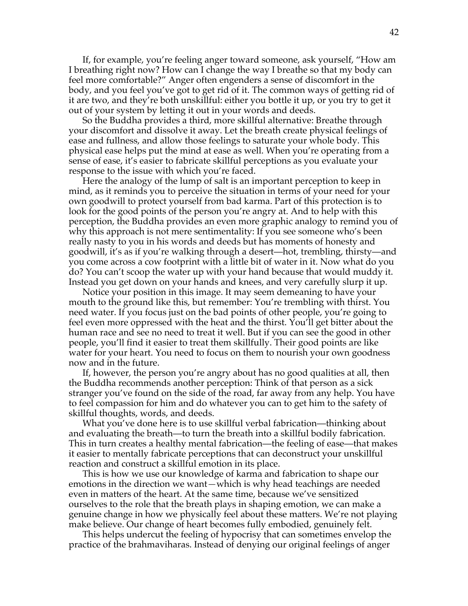If, for example, you're feeling anger toward someone, ask yourself, "How am I breathing right now? How can I change the way I breathe so that my body can feel more comfortable?" Anger often engenders a sense of discomfort in the body, and you feel you've got to get rid of it. The common ways of getting rid of it are two, and they're both unskillful: either you bottle it up, or you try to get it out of your system by letting it out in your words and deeds.

So the Buddha provides a third, more skillful alternative: Breathe through your discomfort and dissolve it away. Let the breath create physical feelings of ease and fullness, and allow those feelings to saturate your whole body. This physical ease helps put the mind at ease as well. When you're operating from a sense of ease, it's easier to fabricate skillful perceptions as you evaluate your response to the issue with which you're faced.

Here the analogy of the lump of salt is an important perception to keep in mind, as it reminds you to perceive the situation in terms of your need for your own goodwill to protect yourself from bad karma. Part of this protection is to look for the good points of the person you're angry at. And to help with this perception, the Buddha provides an even more graphic analogy to remind you of why this approach is not mere sentimentality: If you see someone who's been really nasty to you in his words and deeds but has moments of honesty and goodwill, it's as if you're walking through a desert—hot, trembling, thirsty—and you come across a cow footprint with a little bit of water in it. Now what do you do? You can't scoop the water up with your hand because that would muddy it. Instead you get down on your hands and knees, and very carefully slurp it up.

Notice your position in this image. It may seem demeaning to have your mouth to the ground like this, but remember: You're trembling with thirst. You need water. If you focus just on the bad points of other people, you're going to feel even more oppressed with the heat and the thirst. You'll get bitter about the human race and see no need to treat it well. But if you can see the good in other people, you'll find it easier to treat them skillfully. Their good points are like water for your heart. You need to focus on them to nourish your own goodness now and in the future.

If, however, the person you're angry about has no good qualities at all, then the Buddha recommends another perception: Think of that person as a sick stranger you've found on the side of the road, far away from any help. You have to feel compassion for him and do whatever you can to get him to the safety of skillful thoughts, words, and deeds.

What you've done here is to use skillful verbal fabrication—thinking about and evaluating the breath—to turn the breath into a skillful bodily fabrication. This in turn creates a healthy mental fabrication—the feeling of ease—that makes it easier to mentally fabricate perceptions that can deconstruct your unskillful reaction and construct a skillful emotion in its place.

This is how we use our knowledge of karma and fabrication to shape our emotions in the direction we want*—*which is why head teachings are needed even in matters of the heart. At the same time, because we've sensitized ourselves to the role that the breath plays in shaping emotion, we can make a genuine change in how we physically feel about these matters. We're not playing make believe. Our change of heart becomes fully embodied, genuinely felt.

This helps undercut the feeling of hypocrisy that can sometimes envelop the practice of the brahmaviharas. Instead of denying our original feelings of anger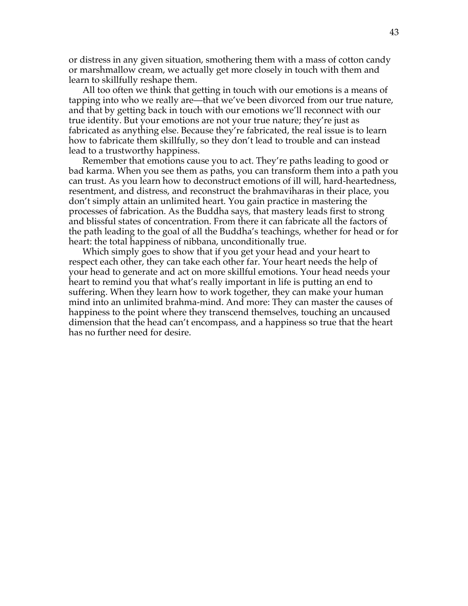or distress in any given situation, smothering them with a mass of cotton candy or marshmallow cream, we actually get more closely in touch with them and learn to skillfully reshape them.

All too often we think that getting in touch with our emotions is a means of tapping into who we really are—that we've been divorced from our true nature, and that by getting back in touch with our emotions we'll reconnect with our true identity. But your emotions are not your true nature; they're just as fabricated as anything else. Because they're fabricated, the real issue is to learn how to fabricate them skillfully, so they don't lead to trouble and can instead lead to a trustworthy happiness.

Remember that emotions cause you to act. They're paths leading to good or bad karma. When you see them as paths, you can transform them into a path you can trust. As you learn how to deconstruct emotions of ill will, hard-heartedness, resentment, and distress, and reconstruct the brahmaviharas in their place, you don't simply attain an unlimited heart. You gain practice in mastering the processes of fabrication. As the Buddha says, that mastery leads first to strong and blissful states of concentration. From there it can fabricate all the factors of the path leading to the goal of all the Buddha's teachings, whether for head or for heart: the total happiness of nibbana, unconditionally true.

Which simply goes to show that if you get your head and your heart to respect each other, they can take each other far. Your heart needs the help of your head to generate and act on more skillful emotions. Your head needs your heart to remind you that what's really important in life is putting an end to suffering. When they learn how to work together, they can make your human mind into an unlimited brahma-mind. And more: They can master the causes of happiness to the point where they transcend themselves, touching an uncaused dimension that the head can't encompass, and a happiness so true that the heart has no further need for desire.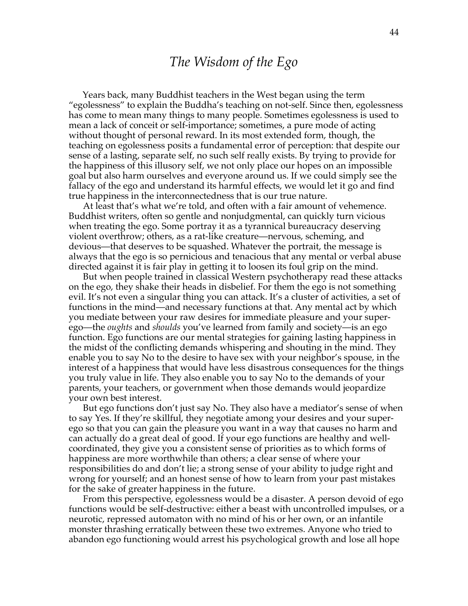# *The Wisdom of the Ego*

Years back, many Buddhist teachers in the West began using the term "egolessness" to explain the Buddha's teaching on not-self. Since then, egolessness has come to mean many things to many people. Sometimes egolessness is used to mean a lack of conceit or self-importance; sometimes, a pure mode of acting without thought of personal reward. In its most extended form, though, the teaching on egolessness posits a fundamental error of perception: that despite our sense of a lasting, separate self, no such self really exists. By trying to provide for the happiness of this illusory self, we not only place our hopes on an impossible goal but also harm ourselves and everyone around us. If we could simply see the fallacy of the ego and understand its harmful effects, we would let it go and find true happiness in the interconnectedness that is our true nature.

At least that's what we're told, and often with a fair amount of vehemence. Buddhist writers, often so gentle and nonjudgmental, can quickly turn vicious when treating the ego. Some portray it as a tyrannical bureaucracy deserving violent overthrow; others, as a rat-like creature—nervous, scheming, and devious—that deserves to be squashed. Whatever the portrait, the message is always that the ego is so pernicious and tenacious that any mental or verbal abuse directed against it is fair play in getting it to loosen its foul grip on the mind.

But when people trained in classical Western psychotherapy read these attacks on the ego, they shake their heads in disbelief. For them the ego is not something evil. It's not even a singular thing you can attack. It's a cluster of activities, a set of functions in the mind—and necessary functions at that. Any mental act by which you mediate between your raw desires for immediate pleasure and your superego—the *oughts* and *shoulds* you've learned from family and society—is an ego function. Ego functions are our mental strategies for gaining lasting happiness in the midst of the conflicting demands whispering and shouting in the mind. They enable you to say No to the desire to have sex with your neighbor's spouse, in the interest of a happiness that would have less disastrous consequences for the things you truly value in life. They also enable you to say No to the demands of your parents, your teachers, or government when those demands would jeopardize your own best interest.

But ego functions don't just say No. They also have a mediator's sense of when to say Yes. If they're skillful, they negotiate among your desires and your superego so that you can gain the pleasure you want in a way that causes no harm and can actually do a great deal of good. If your ego functions are healthy and wellcoordinated, they give you a consistent sense of priorities as to which forms of happiness are more worthwhile than others; a clear sense of where your responsibilities do and don't lie; a strong sense of your ability to judge right and wrong for yourself; and an honest sense of how to learn from your past mistakes for the sake of greater happiness in the future.

From this perspective, egolessness would be a disaster. A person devoid of ego functions would be self-destructive: either a beast with uncontrolled impulses, or a neurotic, repressed automaton with no mind of his or her own, or an infantile monster thrashing erratically between these two extremes. Anyone who tried to abandon ego functioning would arrest his psychological growth and lose all hope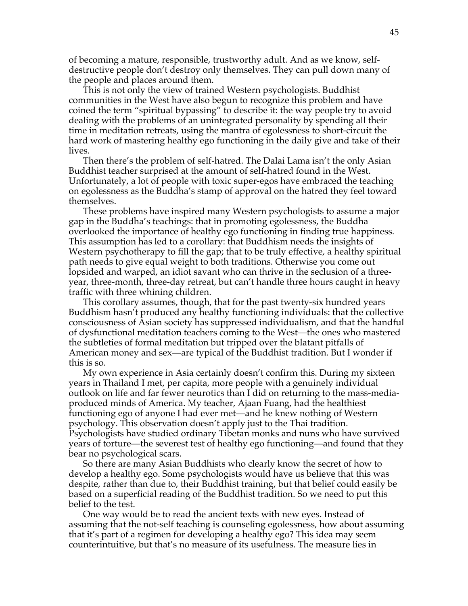of becoming a mature, responsible, trustworthy adult. And as we know, selfdestructive people don't destroy only themselves. They can pull down many of the people and places around them.

This is not only the view of trained Western psychologists. Buddhist communities in the West have also begun to recognize this problem and have coined the term "spiritual bypassing" to describe it: the way people try to avoid dealing with the problems of an unintegrated personality by spending all their time in meditation retreats, using the mantra of egolessness to short-circuit the hard work of mastering healthy ego functioning in the daily give and take of their lives.

Then there's the problem of self-hatred. The Dalai Lama isn't the only Asian Buddhist teacher surprised at the amount of self-hatred found in the West. Unfortunately, a lot of people with toxic super-egos have embraced the teaching on egolessness as the Buddha's stamp of approval on the hatred they feel toward themselves.

These problems have inspired many Western psychologists to assume a major gap in the Buddha's teachings: that in promoting egolessness, the Buddha overlooked the importance of healthy ego functioning in finding true happiness. This assumption has led to a corollary: that Buddhism needs the insights of Western psychotherapy to fill the gap; that to be truly effective, a healthy spiritual path needs to give equal weight to both traditions. Otherwise you come out lopsided and warped, an idiot savant who can thrive in the seclusion of a threeyear, three-month, three-day retreat, but can't handle three hours caught in heavy traffic with three whining children.

This corollary assumes, though, that for the past twenty-six hundred years Buddhism hasn't produced any healthy functioning individuals: that the collective consciousness of Asian society has suppressed individualism, and that the handful of dysfunctional meditation teachers coming to the West—the ones who mastered the subtleties of formal meditation but tripped over the blatant pitfalls of American money and sex—are typical of the Buddhist tradition. But I wonder if this is so.

My own experience in Asia certainly doesn't confirm this. During my sixteen years in Thailand I met, per capita, more people with a genuinely individual outlook on life and far fewer neurotics than I did on returning to the mass-mediaproduced minds of America. My teacher, Ajaan Fuang, had the healthiest functioning ego of anyone I had ever met—and he knew nothing of Western psychology. This observation doesn't apply just to the Thai tradition. Psychologists have studied ordinary Tibetan monks and nuns who have survived years of torture—the severest test of healthy ego functioning—and found that they bear no psychological scars.

So there are many Asian Buddhists who clearly know the secret of how to develop a healthy ego. Some psychologists would have us believe that this was despite, rather than due to, their Buddhist training, but that belief could easily be based on a superficial reading of the Buddhist tradition. So we need to put this belief to the test.

One way would be to read the ancient texts with new eyes. Instead of assuming that the not-self teaching is counseling egolessness, how about assuming that it's part of a regimen for developing a healthy ego? This idea may seem counterintuitive, but that's no measure of its usefulness. The measure lies in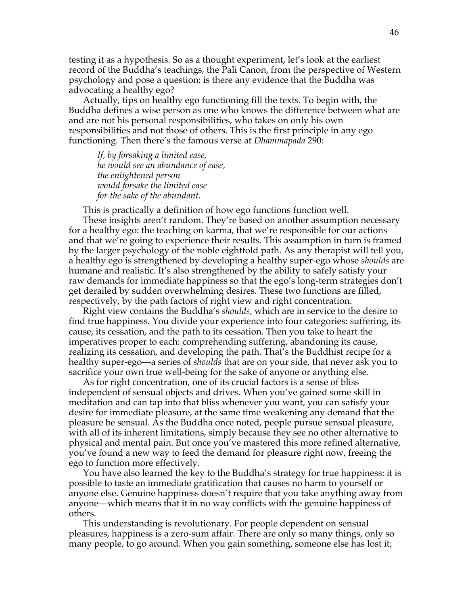testing it as a hypothesis. So as a thought experiment, let's look at the earliest record of the Buddha's teachings, the Pali Canon, from the perspective of Western psychology and pose a question: is there any evidence that the Buddha was advocating a healthy ego?

Actually, tips on healthy ego functioning fill the texts. To begin with, the Buddha defines a wise person as one who knows the difference between what are and are not his personal responsibilities, who takes on only his own responsibilities and not those of others. This is the first principle in any ego functioning. Then there's the famous verse at *Dhammapada* 290:

*If, by forsaking a limited ease, he would see an abundance of ease, the enlightened person would forsake the limited ease for the sake of the abundant.*

This is practically a definition of how ego functions function well.

These insights aren't random. They're based on another assumption necessary for a healthy ego: the teaching on karma, that we're responsible for our actions and that we're going to experience their results. This assumption in turn is framed by the larger psychology of the noble eightfold path. As any therapist will tell you, a healthy ego is strengthened by developing a healthy super-ego whose *shoulds* are humane and realistic. It's also strengthened by the ability to safely satisfy your raw demands for immediate happiness so that the ego's long-term strategies don't get derailed by sudden overwhelming desires. These two functions are filled, respectively, by the path factors of right view and right concentration.

Right view contains the Buddha's *shoulds,* which are in service to the desire to find true happiness. You divide your experience into four categories: suffering, its cause, its cessation, and the path to its cessation. Then you take to heart the imperatives proper to each: comprehending suffering, abandoning its cause, realizing its cessation, and developing the path. That's the Buddhist recipe for a healthy super-ego—a series of *shoulds* that are on your side, that never ask you to sacrifice your own true well-being for the sake of anyone or anything else.

As for right concentration, one of its crucial factors is a sense of bliss independent of sensual objects and drives. When you've gained some skill in meditation and can tap into that bliss whenever you want, you can satisfy your desire for immediate pleasure, at the same time weakening any demand that the pleasure be sensual. As the Buddha once noted, people pursue sensual pleasure, with all of its inherent limitations, simply because they see no other alternative to physical and mental pain. But once you've mastered this more refined alternative, you've found a new way to feed the demand for pleasure right now, freeing the ego to function more effectively.

You have also learned the key to the Buddha's strategy for true happiness: it is possible to taste an immediate gratification that causes no harm to yourself or anyone else. Genuine happiness doesn't require that you take anything away from anyone—which means that it in no way conflicts with the genuine happiness of others.

This understanding is revolutionary. For people dependent on sensual pleasures, happiness is a zero-sum affair. There are only so many things, only so many people, to go around. When you gain something, someone else has lost it;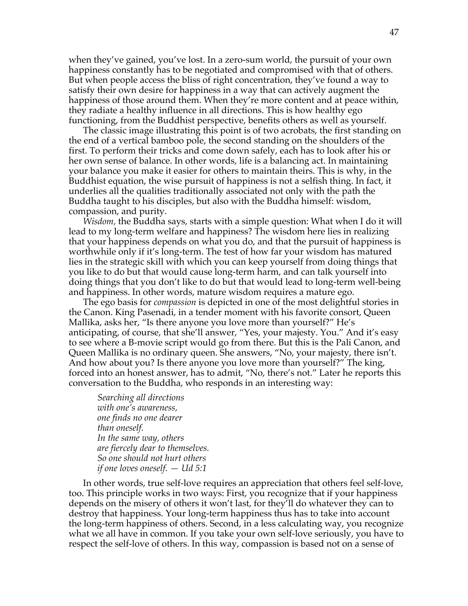when they've gained, you've lost. In a zero-sum world, the pursuit of your own happiness constantly has to be negotiated and compromised with that of others. But when people access the bliss of right concentration, they've found a way to satisfy their own desire for happiness in a way that can actively augment the happiness of those around them. When they're more content and at peace within, they radiate a healthy influence in all directions. This is how healthy ego functioning, from the Buddhist perspective, benefits others as well as yourself.

The classic image illustrating this point is of two acrobats, the first standing on the end of a vertical bamboo pole, the second standing on the shoulders of the first. To perform their tricks and come down safely, each has to look after his or her own sense of balance. In other words, life is a balancing act. In maintaining your balance you make it easier for others to maintain theirs. This is why, in the Buddhist equation, the wise pursuit of happiness is not a selfish thing. In fact, it underlies all the qualities traditionally associated not only with the path the Buddha taught to his disciples, but also with the Buddha himself: wisdom, compassion, and purity.

*Wisdom,* the Buddha says, starts with a simple question: What when I do it will lead to my long-term welfare and happiness? The wisdom here lies in realizing that your happiness depends on what you do, and that the pursuit of happiness is worthwhile only if it's long-term. The test of how far your wisdom has matured lies in the strategic skill with which you can keep yourself from doing things that you like to do but that would cause long-term harm, and can talk yourself into doing things that you don't like to do but that would lead to long-term well-being and happiness. In other words, mature wisdom requires a mature ego.

The ego basis for *compassion* is depicted in one of the most delightful stories in the Canon. King Pasenadi, in a tender moment with his favorite consort, Queen Mallika, asks her, "Is there anyone you love more than yourself?" He's anticipating, of course, that she'll answer, "Yes, your majesty. You." And it's easy to see where a B-movie script would go from there. But this is the Pali Canon, and Queen Mallika is no ordinary queen. She answers, "No, your majesty, there isn't. And how about you? Is there anyone you love more than yourself?" The king, forced into an honest answer, has to admit, "No, there's not." Later he reports this conversation to the Buddha, who responds in an interesting way:

*Searching all directions with one's awareness, one finds no one dearer than oneself. In the same way, others are fiercely dear to themselves. So one should not hurt others if one loves oneself. — Ud 5:1*

In other words, true self-love requires an appreciation that others feel self-love, too. This principle works in two ways: First, you recognize that if your happiness depends on the misery of others it won't last, for they'll do whatever they can to destroy that happiness. Your long-term happiness thus has to take into account the long-term happiness of others. Second, in a less calculating way, you recognize what we all have in common. If you take your own self-love seriously, you have to respect the self-love of others. In this way, compassion is based not on a sense of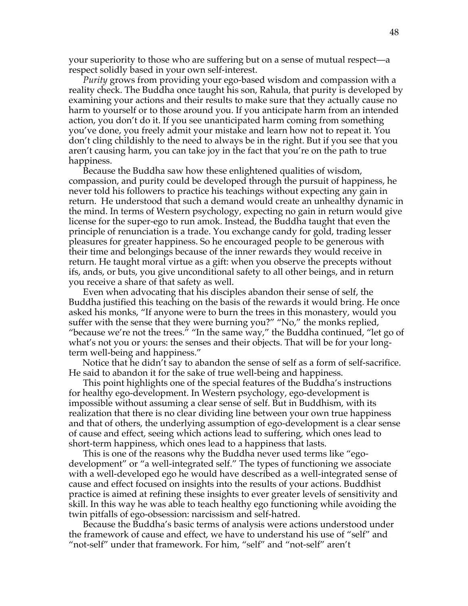your superiority to those who are suffering but on a sense of mutual respect—a respect solidly based in your own self-interest.

*Purity* grows from providing your ego-based wisdom and compassion with a reality check. The Buddha once taught his son, Rahula, that purity is developed by examining your actions and their results to make sure that they actually cause no harm to yourself or to those around you. If you anticipate harm from an intended action, you don't do it. If you see unanticipated harm coming from something you've done, you freely admit your mistake and learn how not to repeat it. You don't cling childishly to the need to always be in the right. But if you see that you aren't causing harm, you can take joy in the fact that you're on the path to true happiness.

Because the Buddha saw how these enlightened qualities of wisdom, compassion, and purity could be developed through the pursuit of happiness, he never told his followers to practice his teachings without expecting any gain in return. He understood that such a demand would create an unhealthy dynamic in the mind. In terms of Western psychology, expecting no gain in return would give license for the super-ego to run amok. Instead, the Buddha taught that even the principle of renunciation is a trade. You exchange candy for gold, trading lesser pleasures for greater happiness. So he encouraged people to be generous with their time and belongings because of the inner rewards they would receive in return. He taught moral virtue as a gift: when you observe the precepts without ifs, ands, or buts, you give unconditional safety to all other beings, and in return you receive a share of that safety as well.

Even when advocating that his disciples abandon their sense of self, the Buddha justified this teaching on the basis of the rewards it would bring. He once asked his monks, "If anyone were to burn the trees in this monastery, would you suffer with the sense that they were burning you?" "No," the monks replied, "because we're not the trees." "In the same way," the Buddha continued, "let go of what's not you or yours: the senses and their objects. That will be for your longterm well-being and happiness."

Notice that he didn't say to abandon the sense of self as a form of self-sacrifice. He said to abandon it for the sake of true well-being and happiness.

This point highlights one of the special features of the Buddha's instructions for healthy ego-development. In Western psychology, ego-development is impossible without assuming a clear sense of self. But in Buddhism, with its realization that there is no clear dividing line between your own true happiness and that of others, the underlying assumption of ego-development is a clear sense of cause and effect, seeing which actions lead to suffering, which ones lead to short-term happiness, which ones lead to a happiness that lasts.

This is one of the reasons why the Buddha never used terms like "egodevelopment" or "a well-integrated self." The types of functioning we associate with a well-developed ego he would have described as a well-integrated sense of cause and effect focused on insights into the results of your actions. Buddhist practice is aimed at refining these insights to ever greater levels of sensitivity and skill. In this way he was able to teach healthy ego functioning while avoiding the twin pitfalls of ego-obsession: narcissism and self-hatred.

Because the Buddha's basic terms of analysis were actions understood under the framework of cause and effect, we have to understand his use of "self" and "not-self" under that framework. For him, "self" and "not-self" aren't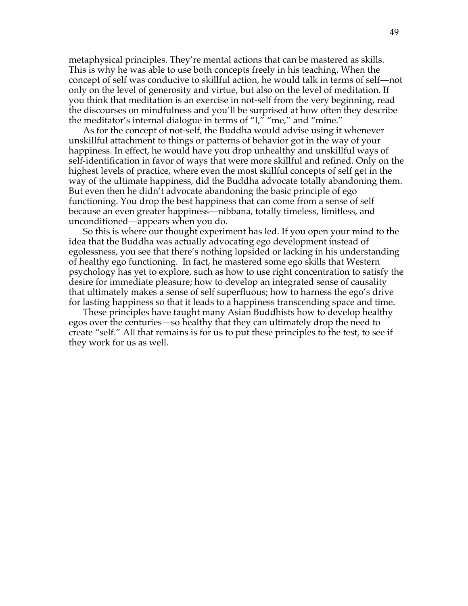metaphysical principles. They're mental actions that can be mastered as skills. This is why he was able to use both concepts freely in his teaching. When the concept of self was conducive to skillful action, he would talk in terms of self—not only on the level of generosity and virtue, but also on the level of meditation. If you think that meditation is an exercise in not-self from the very beginning, read the discourses on mindfulness and you'll be surprised at how often they describe the meditator's internal dialogue in terms of "I," "me," and "mine."

As for the concept of not-self, the Buddha would advise using it whenever unskillful attachment to things or patterns of behavior got in the way of your happiness. In effect, he would have you drop unhealthy and unskillful ways of self-identification in favor of ways that were more skillful and refined. Only on the highest levels of practice, where even the most skillful concepts of self get in the way of the ultimate happiness, did the Buddha advocate totally abandoning them. But even then he didn't advocate abandoning the basic principle of ego functioning. You drop the best happiness that can come from a sense of self because an even greater happiness—nibbana, totally timeless, limitless, and unconditioned—appears when you do.

So this is where our thought experiment has led. If you open your mind to the idea that the Buddha was actually advocating ego development instead of egolessness, you see that there's nothing lopsided or lacking in his understanding of healthy ego functioning. In fact, he mastered some ego skills that Western psychology has yet to explore, such as how to use right concentration to satisfy the desire for immediate pleasure; how to develop an integrated sense of causality that ultimately makes a sense of self superfluous; how to harness the ego's drive for lasting happiness so that it leads to a happiness transcending space and time.

These principles have taught many Asian Buddhists how to develop healthy egos over the centuries—so healthy that they can ultimately drop the need to create "self." All that remains is for us to put these principles to the test, to see if they work for us as well.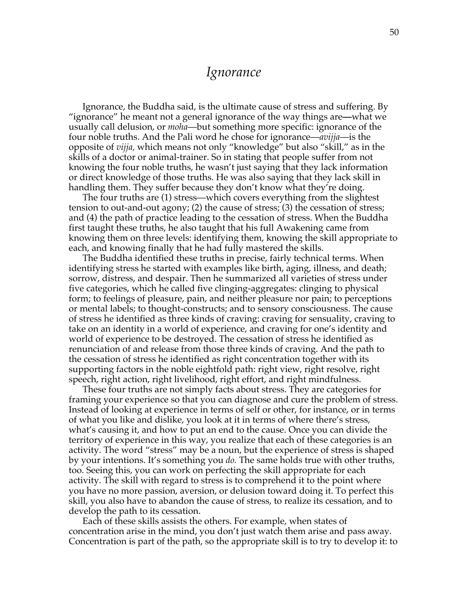# *Ignorance*

Ignorance, the Buddha said, is the ultimate cause of stress and suffering. By "ignorance" he meant not a general ignorance of the way things are**—**what we usually call delusion, or *moha*—but something more specific: ignorance of the four noble truths. And the Pali word he chose for ignorance—*avijja*—is the opposite of *vijja,* which means not only "knowledge" but also "skill," as in the skills of a doctor or animal-trainer. So in stating that people suffer from not knowing the four noble truths, he wasn't just saying that they lack information or direct knowledge of those truths. He was also saying that they lack skill in handling them. They suffer because they don't know what they're doing.

The four truths are (1) stress—which covers everything from the slightest tension to out-and-out agony; (2) the cause of stress; (3) the cessation of stress; and (4) the path of practice leading to the cessation of stress. When the Buddha first taught these truths, he also taught that his full Awakening came from knowing them on three levels: identifying them, knowing the skill appropriate to each, and knowing finally that he had fully mastered the skills.

The Buddha identified these truths in precise, fairly technical terms. When identifying stress he started with examples like birth, aging, illness, and death; sorrow, distress, and despair. Then he summarized all varieties of stress under five categories, which he called five clinging-aggregates: clinging to physical form; to feelings of pleasure, pain, and neither pleasure nor pain; to perceptions or mental labels; to thought-constructs; and to sensory consciousness. The cause of stress he identified as three kinds of craving: craving for sensuality, craving to take on an identity in a world of experience, and craving for one's identity and world of experience to be destroyed. The cessation of stress he identified as renunciation of and release from those three kinds of craving. And the path to the cessation of stress he identified as right concentration together with its supporting factors in the noble eightfold path: right view, right resolve, right speech, right action, right livelihood, right effort, and right mindfulness.

These four truths are not simply facts about stress. They are categories for framing your experience so that you can diagnose and cure the problem of stress. Instead of looking at experience in terms of self or other, for instance, or in terms of what you like and dislike, you look at it in terms of where there's stress, what's causing it, and how to put an end to the cause. Once you can divide the territory of experience in this way, you realize that each of these categories is an activity. The word "stress" may be a noun, but the experience of stress is shaped by your intentions. It's something you *do.* The same holds true with other truths, too. Seeing this, you can work on perfecting the skill appropriate for each activity. The skill with regard to stress is to comprehend it to the point where you have no more passion, aversion, or delusion toward doing it. To perfect this skill, you also have to abandon the cause of stress, to realize its cessation, and to develop the path to its cessation.

Each of these skills assists the others. For example, when states of concentration arise in the mind, you don't just watch them arise and pass away. Concentration is part of the path, so the appropriate skill is to try to develop it: to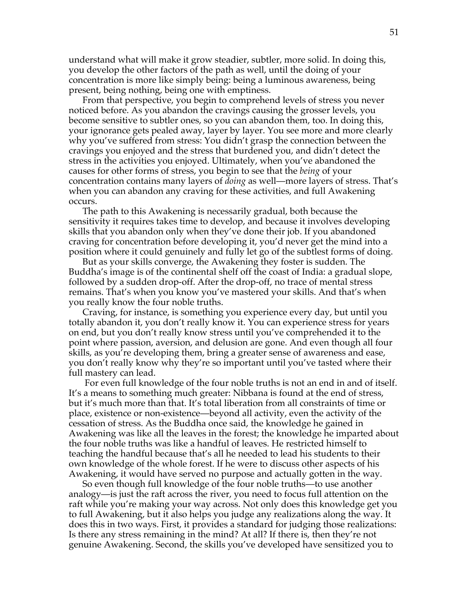understand what will make it grow steadier, subtler, more solid. In doing this, you develop the other factors of the path as well, until the doing of your concentration is more like simply being: being a luminous awareness, being present, being nothing, being one with emptiness.

From that perspective, you begin to comprehend levels of stress you never noticed before. As you abandon the cravings causing the grosser levels, you become sensitive to subtler ones, so you can abandon them, too. In doing this, your ignorance gets pealed away, layer by layer. You see more and more clearly why you've suffered from stress: You didn't grasp the connection between the cravings you enjoyed and the stress that burdened you, and didn't detect the stress in the activities you enjoyed. Ultimately, when you've abandoned the causes for other forms of stress, you begin to see that the *being* of your concentration contains many layers of *doing* as well—more layers of stress. That's when you can abandon any craving for these activities, and full Awakening occurs.

The path to this Awakening is necessarily gradual, both because the sensitivity it requires takes time to develop, and because it involves developing skills that you abandon only when they've done their job. If you abandoned craving for concentration before developing it, you'd never get the mind into a position where it could genuinely and fully let go of the subtlest forms of doing.

But as your skills converge, the Awakening they foster is sudden. The Buddha's image is of the continental shelf off the coast of India: a gradual slope, followed by a sudden drop-off. After the drop-off, no trace of mental stress remains. That's when you know you've mastered your skills. And that's when you really know the four noble truths.

Craving, for instance, is something you experience every day, but until you totally abandon it, you don't really know it. You can experience stress for years on end, but you don't really know stress until you've comprehended it to the point where passion, aversion, and delusion are gone. And even though all four skills, as you're developing them, bring a greater sense of awareness and ease, you don't really know why they're so important until you've tasted where their full mastery can lead.

 For even full knowledge of the four noble truths is not an end in and of itself. It's a means to something much greater: Nibbana is found at the end of stress, but it's much more than that. It's total liberation from all constraints of time or place, existence or non-existence—beyond all activity, even the activity of the cessation of stress. As the Buddha once said, the knowledge he gained in Awakening was like all the leaves in the forest; the knowledge he imparted about the four noble truths was like a handful of leaves. He restricted himself to teaching the handful because that's all he needed to lead his students to their own knowledge of the whole forest. If he were to discuss other aspects of his Awakening, it would have served no purpose and actually gotten in the way.

So even though full knowledge of the four noble truths—to use another analogy—is just the raft across the river, you need to focus full attention on the raft while you're making your way across. Not only does this knowledge get you to full Awakening, but it also helps you judge any realizations along the way. It does this in two ways. First, it provides a standard for judging those realizations: Is there any stress remaining in the mind? At all? If there is, then they're not genuine Awakening. Second, the skills you've developed have sensitized you to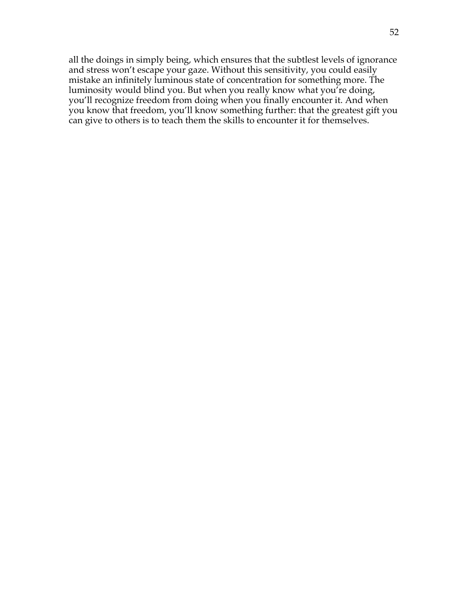all the doings in simply being, which ensures that the subtlest levels of ignorance and stress won't escape your gaze. Without this sensitivity, you could easily mistake an infinitely luminous state of concentration for something more. The luminosity would blind you. But when you really know what you're doing, you'll recognize freedom from doing when you finally encounter it. And when you know that freedom, you'll know something further: that the greatest gift you can give to others is to teach them the skills to encounter it for themselves.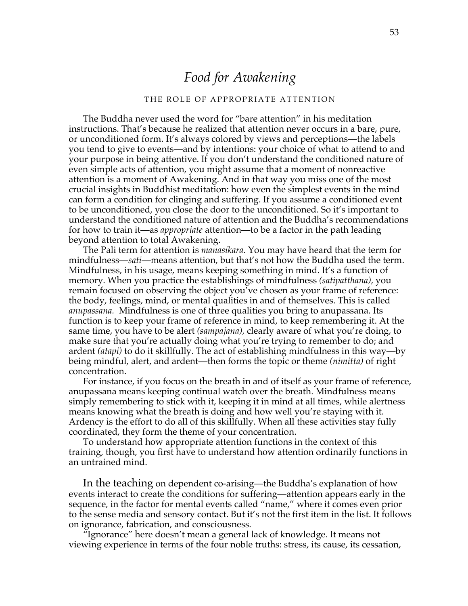# *Food for Awakening*

#### THE ROLE OF APPROPRIATE ATTENTION

The Buddha never used the word for "bare attention" in his meditation instructions. That's because he realized that attention never occurs in a bare, pure, or unconditioned form. It's always colored by views and perceptions—the labels you tend to give to events—and by intentions: your choice of what to attend to and your purpose in being attentive. If you don't understand the conditioned nature of even simple acts of attention, you might assume that a moment of nonreactive attention is a moment of Awakening. And in that way you miss one of the most crucial insights in Buddhist meditation: how even the simplest events in the mind can form a condition for clinging and suffering. If you assume a conditioned event to be unconditioned, you close the door to the unconditioned. So it's important to understand the conditioned nature of attention and the Buddha's recommendations for how to train it—as *appropriate* attention—to be a factor in the path leading beyond attention to total Awakening.

The Pali term for attention is *manasikara.* You may have heard that the term for mindfulness—*sati*—means attention, but that's not how the Buddha used the term. Mindfulness, in his usage, means keeping something in mind. It's a function of memory. When you practice the establishings of mindfulness *(satipatthana),* you remain focused on observing the object you've chosen as your frame of reference: the body, feelings, mind, or mental qualities in and of themselves. This is called *anupassana.* Mindfulness is one of three qualities you bring to anupassana. Its function is to keep your frame of reference in mind, to keep remembering it. At the same time, you have to be alert *(sampajana),* clearly aware of what you're doing, to make sure that you're actually doing what you're trying to remember to do; and ardent *(atapi)* to do it skillfully. The act of establishing mindfulness in this way—by being mindful, alert, and ardent—then forms the topic or theme *(nimitta)* of right concentration.

For instance, if you focus on the breath in and of itself as your frame of reference, anupassana means keeping continual watch over the breath. Mindfulness means simply remembering to stick with it, keeping it in mind at all times, while alertness means knowing what the breath is doing and how well you're staying with it. Ardency is the effort to do all of this skillfully. When all these activities stay fully coordinated, they form the theme of your concentration.

To understand how appropriate attention functions in the context of this training, though, you first have to understand how attention ordinarily functions in an untrained mind.

In the teaching on dependent co-arising—the Buddha's explanation of how events interact to create the conditions for suffering—attention appears early in the sequence, in the factor for mental events called "name," where it comes even prior to the sense media and sensory contact. But it's not the first item in the list. It follows on ignorance, fabrication, and consciousness.

"Ignorance" here doesn't mean a general lack of knowledge. It means not viewing experience in terms of the four noble truths: stress, its cause, its cessation,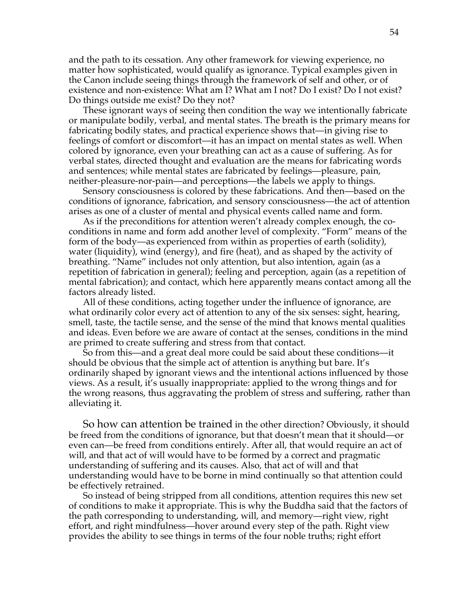and the path to its cessation. Any other framework for viewing experience, no matter how sophisticated, would qualify as ignorance. Typical examples given in the Canon include seeing things through the framework of self and other, or of existence and non-existence: What am I? What am I not? Do I exist? Do I not exist? Do things outside me exist? Do they not?

These ignorant ways of seeing then condition the way we intentionally fabricate or manipulate bodily, verbal, and mental states. The breath is the primary means for fabricating bodily states, and practical experience shows that—in giving rise to feelings of comfort or discomfort—it has an impact on mental states as well. When colored by ignorance, even your breathing can act as a cause of suffering. As for verbal states, directed thought and evaluation are the means for fabricating words and sentences; while mental states are fabricated by feelings—pleasure, pain, neither-pleasure-nor-pain—and perceptions—the labels we apply to things.

Sensory consciousness is colored by these fabrications. And then—based on the conditions of ignorance, fabrication, and sensory consciousness—the act of attention arises as one of a cluster of mental and physical events called name and form.

As if the preconditions for attention weren't already complex enough, the coconditions in name and form add another level of complexity. "Form" means of the form of the body—as experienced from within as properties of earth (solidity), water (liquidity), wind (energy), and fire (heat), and as shaped by the activity of breathing. "Name" includes not only attention, but also intention, again (as a repetition of fabrication in general); feeling and perception, again (as a repetition of mental fabrication); and contact, which here apparently means contact among all the factors already listed.

All of these conditions, acting together under the influence of ignorance, are what ordinarily color every act of attention to any of the six senses: sight, hearing, smell, taste, the tactile sense, and the sense of the mind that knows mental qualities and ideas. Even before we are aware of contact at the senses, conditions in the mind are primed to create suffering and stress from that contact.

So from this—and a great deal more could be said about these conditions—it should be obvious that the simple act of attention is anything but bare. It's ordinarily shaped by ignorant views and the intentional actions influenced by those views. As a result, it's usually inappropriate: applied to the wrong things and for the wrong reasons, thus aggravating the problem of stress and suffering, rather than alleviating it.

So how can attention be trained in the other direction? Obviously, it should be freed from the conditions of ignorance, but that doesn't mean that it should—or even can—be freed from conditions entirely. After all, that would require an act of will, and that act of will would have to be formed by a correct and pragmatic understanding of suffering and its causes. Also, that act of will and that understanding would have to be borne in mind continually so that attention could be effectively retrained.

So instead of being stripped from all conditions, attention requires this new set of conditions to make it appropriate. This is why the Buddha said that the factors of the path corresponding to understanding, will, and memory—right view, right effort, and right mindfulness—hover around every step of the path. Right view provides the ability to see things in terms of the four noble truths; right effort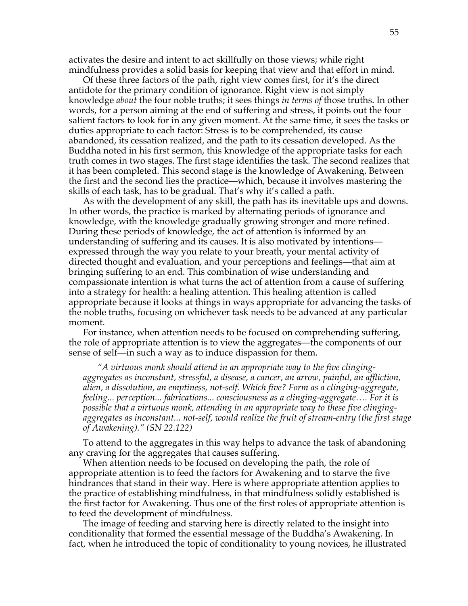activates the desire and intent to act skillfully on those views; while right mindfulness provides a solid basis for keeping that view and that effort in mind.

Of these three factors of the path, right view comes first, for it's the direct antidote for the primary condition of ignorance. Right view is not simply knowledge *about* the four noble truths; it sees things *in terms of* those truths. In other words, for a person aiming at the end of suffering and stress, it points out the four salient factors to look for in any given moment. At the same time, it sees the tasks or duties appropriate to each factor: Stress is to be comprehended, its cause abandoned, its cessation realized, and the path to its cessation developed. As the Buddha noted in his first sermon, this knowledge of the appropriate tasks for each truth comes in two stages. The first stage identifies the task. The second realizes that it has been completed. This second stage is the knowledge of Awakening. Between the first and the second lies the practice—which, because it involves mastering the skills of each task, has to be gradual. That's why it's called a path.

As with the development of any skill, the path has its inevitable ups and downs. In other words, the practice is marked by alternating periods of ignorance and knowledge, with the knowledge gradually growing stronger and more refined. During these periods of knowledge, the act of attention is informed by an understanding of suffering and its causes. It is also motivated by intentions expressed through the way you relate to your breath, your mental activity of directed thought and evaluation, and your perceptions and feelings—that aim at bringing suffering to an end. This combination of wise understanding and compassionate intention is what turns the act of attention from a cause of suffering into a strategy for health: a healing attention. This healing attention is called appropriate because it looks at things in ways appropriate for advancing the tasks of the noble truths, focusing on whichever task needs to be advanced at any particular moment.

For instance, when attention needs to be focused on comprehending suffering, the role of appropriate attention is to view the aggregates—the components of our sense of self—in such a way as to induce dispassion for them.

*"A virtuous monk should attend in an appropriate way to the five clingingaggregates as inconstant, stressful, a disease, a cancer, an arrow, painful, an affliction, alien, a dissolution, an emptiness, not-self. Which five? Form as a clinging-aggregate, feeling... perception... fabrications... consciousness as a clinging-aggregate…. For it is possible that a virtuous monk, attending in an appropriate way to these five clingingaggregates as inconstant... not-self, would realize the fruit of stream-entry (the first stage of Awakening)." (SN 22.122)*

To attend to the aggregates in this way helps to advance the task of abandoning any craving for the aggregates that causes suffering.

When attention needs to be focused on developing the path, the role of appropriate attention is to feed the factors for Awakening and to starve the five hindrances that stand in their way. Here is where appropriate attention applies to the practice of establishing mindfulness, in that mindfulness solidly established is the first factor for Awakening. Thus one of the first roles of appropriate attention is to feed the development of mindfulness.

The image of feeding and starving here is directly related to the insight into conditionality that formed the essential message of the Buddha's Awakening. In fact, when he introduced the topic of conditionality to young novices, he illustrated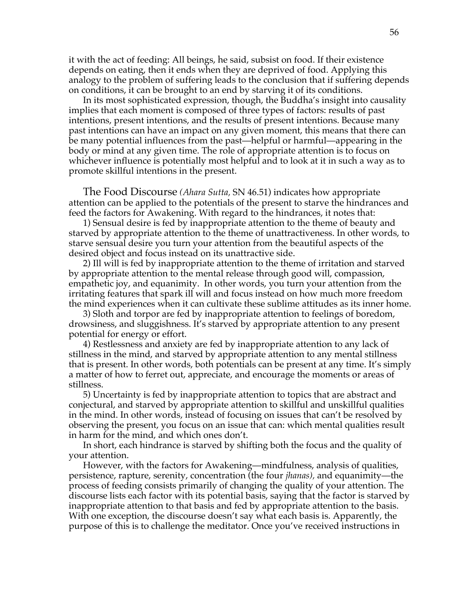it with the act of feeding: All beings, he said, subsist on food. If their existence depends on eating, then it ends when they are deprived of food. Applying this analogy to the problem of suffering leads to the conclusion that if suffering depends on conditions, it can be brought to an end by starving it of its conditions.

In its most sophisticated expression, though, the Buddha's insight into causality implies that each moment is composed of three types of factors: results of past intentions, present intentions, and the results of present intentions. Because many past intentions can have an impact on any given moment, this means that there can be many potential influences from the past—helpful or harmful—appearing in the body or mind at any given time. The role of appropriate attention is to focus on whichever influence is potentially most helpful and to look at it in such a way as to promote skillful intentions in the present.

The Food Discourse *(Ahara Sutta,* SN 46.51) indicates how appropriate attention can be applied to the potentials of the present to starve the hindrances and feed the factors for Awakening. With regard to the hindrances, it notes that:

1) Sensual desire is fed by inappropriate attention to the theme of beauty and starved by appropriate attention to the theme of unattractiveness. In other words, to starve sensual desire you turn your attention from the beautiful aspects of the desired object and focus instead on its unattractive side.

2) Ill will is fed by inappropriate attention to the theme of irritation and starved by appropriate attention to the mental release through good will, compassion, empathetic joy, and equanimity. In other words, you turn your attention from the irritating features that spark ill will and focus instead on how much more freedom the mind experiences when it can cultivate these sublime attitudes as its inner home.

3) Sloth and torpor are fed by inappropriate attention to feelings of boredom, drowsiness, and sluggishness. It's starved by appropriate attention to any present potential for energy or effort.

4) Restlessness and anxiety are fed by inappropriate attention to any lack of stillness in the mind, and starved by appropriate attention to any mental stillness that is present. In other words, both potentials can be present at any time. It's simply a matter of how to ferret out, appreciate, and encourage the moments or areas of stillness.

5) Uncertainty is fed by inappropriate attention to topics that are abstract and conjectural, and starved by appropriate attention to skillful and unskillful qualities in the mind. In other words, instead of focusing on issues that can't be resolved by observing the present, you focus on an issue that can: which mental qualities result in harm for the mind, and which ones don't.

In short, each hindrance is starved by shifting both the focus and the quality of your attention.

However, with the factors for Awakening—mindfulness, analysis of qualities, persistence, rapture, serenity, concentration (the four *jhanas),* and equanimity—the process of feeding consists primarily of changing the quality of your attention. The discourse lists each factor with its potential basis, saying that the factor is starved by inappropriate attention to that basis and fed by appropriate attention to the basis. With one exception, the discourse doesn't say what each basis is. Apparently, the purpose of this is to challenge the meditator. Once you've received instructions in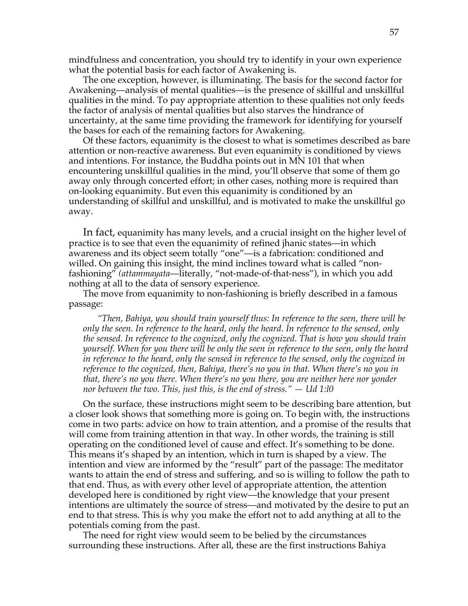mindfulness and concentration, you should try to identify in your own experience what the potential basis for each factor of Awakening is.

The one exception, however, is illuminating. The basis for the second factor for Awakening—analysis of mental qualities—is the presence of skillful and unskillful qualities in the mind. To pay appropriate attention to these qualities not only feeds the factor of analysis of mental qualities but also starves the hindrance of uncertainty, at the same time providing the framework for identifying for yourself the bases for each of the remaining factors for Awakening.

Of these factors, equanimity is the closest to what is sometimes described as bare attention or non-reactive awareness. But even equanimity is conditioned by views and intentions. For instance, the Buddha points out in MN 101 that when encountering unskillful qualities in the mind, you'll observe that some of them go away only through concerted effort; in other cases, nothing more is required than on-looking equanimity. But even this equanimity is conditioned by an understanding of skillful and unskillful, and is motivated to make the unskillful go away.

In fact, equanimity has many levels, and a crucial insight on the higher level of practice is to see that even the equanimity of refined jhanic states—in which awareness and its object seem totally "one"—is a fabrication: conditioned and willed. On gaining this insight, the mind inclines toward what is called "nonfashioning" *(attammayata*—literally, "not-made-of-that-ness"), in which you add nothing at all to the data of sensory experience.

The move from equanimity to non-fashioning is briefly described in a famous passage:

*"Then, Bahiya, you should train yourself thus: In reference to the seen, there will be only the seen. In reference to the heard, only the heard. In reference to the sensed, only the sensed. In reference to the cognized, only the cognized. That is how you should train yourself. When for you there will be only the seen in reference to the seen, only the heard in reference to the heard, only the sensed in reference to the sensed, only the cognized in reference to the cognized, then, Bahiya, there's no you in that. When there's no you in that, there's no you there. When there's no you there, you are neither here nor yonder nor between the two. This, just this, is the end of stress." — Ud 1:l0*

On the surface, these instructions might seem to be describing bare attention, but a closer look shows that something more is going on. To begin with, the instructions come in two parts: advice on how to train attention, and a promise of the results that will come from training attention in that way. In other words, the training is still operating on the conditioned level of cause and effect. It's something to be done. This means it's shaped by an intention, which in turn is shaped by a view. The intention and view are informed by the "result" part of the passage: The meditator wants to attain the end of stress and suffering, and so is willing to follow the path to that end. Thus, as with every other level of appropriate attention, the attention developed here is conditioned by right view—the knowledge that your present intentions are ultimately the source of stress—and motivated by the desire to put an end to that stress. This is why you make the effort not to add anything at all to the potentials coming from the past.

The need for right view would seem to be belied by the circumstances surrounding these instructions. After all, these are the first instructions Bahiya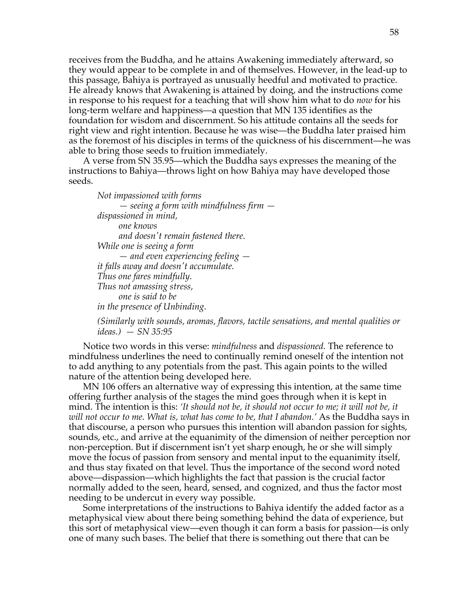receives from the Buddha, and he attains Awakening immediately afterward, so they would appear to be complete in and of themselves. However, in the lead-up to this passage, Bahiya is portrayed as unusually heedful and motivated to practice. He already knows that Awakening is attained by doing, and the instructions come in response to his request for a teaching that will show him what to do *now* for his long-term welfare and happiness—a question that MN 135 identifies as the foundation for wisdom and discernment. So his attitude contains all the seeds for right view and right intention. Because he was wise—the Buddha later praised him as the foremost of his disciples in terms of the quickness of his discernment—he was able to bring those seeds to fruition immediately.

A verse from SN 35.95—which the Buddha says expresses the meaning of the instructions to Bahiya—throws light on how Bahiya may have developed those seeds.

*Not impassioned with forms — seeing a form with mindfulness firm dispassioned in mind, one knows and doesn't remain fastened there. While one is seeing a form — and even experiencing feeling it falls away and doesn't accumulate. Thus one fares mindfully. Thus not amassing stress, one is said to be in the presence of Unbinding.*

*(Similarly with sounds, aromas, flavors, tactile sensations, and mental qualities or ideas.) — SN 35:95*

Notice two words in this verse: *mindfulness* and *dispassioned.* The reference to mindfulness underlines the need to continually remind oneself of the intention not to add anything to any potentials from the past. This again points to the willed nature of the attention being developed here.

MN 106 offers an alternative way of expressing this intention, at the same time offering further analysis of the stages the mind goes through when it is kept in mind. The intention is this: *'It should not be, it should not occur to me; it will not be, it will not occur to me. What is, what has come to be, that I abandon.'* As the Buddha says in that discourse, a person who pursues this intention will abandon passion for sights, sounds, etc., and arrive at the equanimity of the dimension of neither perception nor non-perception. But if discernment isn't yet sharp enough, he or she will simply move the focus of passion from sensory and mental input to the equanimity itself, and thus stay fixated on that level. Thus the importance of the second word noted above—dispassion—which highlights the fact that passion is the crucial factor normally added to the seen, heard, sensed, and cognized, and thus the factor most needing to be undercut in every way possible.

Some interpretations of the instructions to Bahiya identify the added factor as a metaphysical view about there being something behind the data of experience, but this sort of metaphysical view—even though it can form a basis for passion—is only one of many such bases. The belief that there is something out there that can be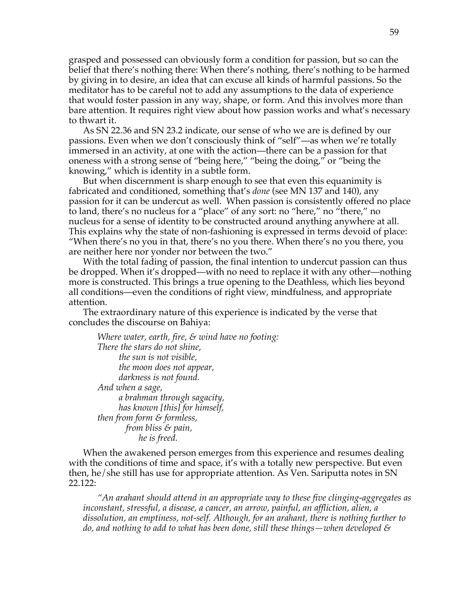grasped and possessed can obviously form a condition for passion, but so can the belief that there's nothing there: When there's nothing, there's nothing to be harmed by giving in to desire, an idea that can excuse all kinds of harmful passions. So the meditator has to be careful not to add any assumptions to the data of experience that would foster passion in any way, shape, or form. And this involves more than bare attention. It requires right view about how passion works and what's necessary to thwart it.

As SN 22.36 and SN 23.2 indicate, our sense of who we are is defined by our passions. Even when we don't consciously think of "self"—as when we're totally immersed in an activity, at one with the action—there can be a passion for that oneness with a strong sense of "being here," "being the doing," or "being the knowing," which is identity in a subtle form.

But when discernment is sharp enough to see that even this equanimity is fabricated and conditioned, something that's *done* (see MN 137 and 140), any passion for it can be undercut as well. When passion is consistently offered no place to land, there's no nucleus for a "place" of any sort: no "here," no "there," no nucleus for a sense of identity to be constructed around anything anywhere at all. This explains why the state of non-fashioning is expressed in terms devoid of place: "When there's no you in that, there's no you there. When there's no you there, you are neither here nor yonder nor between the two."

With the total fading of passion, the final intention to undercut passion can thus be dropped. When it's dropped—with no need to replace it with any other—nothing more is constructed. This brings a true opening to the Deathless, which lies beyond all conditions—even the conditions of right view, mindfulness, and appropriate attention.

The extraordinary nature of this experience is indicated by the verse that concludes the discourse on Bahiya:

*Where water, earth, fire, & wind have no footing: There the stars do not shine, the sun is not visible, the moon does not appear, darkness is not found. And when a sage, a brahman through sagacity, has known [this] for himself, then from form & formless, from bliss & pain, he is freed.*

When the awakened person emerges from this experience and resumes dealing with the conditions of time and space, it's with a totally new perspective. But even then, he/she still has use for appropriate attention. As Ven. Sariputta notes in SN 22.122:

*"An arahant should attend in an appropriate way to these five clinging-aggregates as inconstant, stressful, a disease, a cancer, an arrow, painful, an affliction, alien, a dissolution, an emptiness, not-self. Although, for an arahant, there is nothing further to do, and nothing to add to what has been done, still these things—when developed &*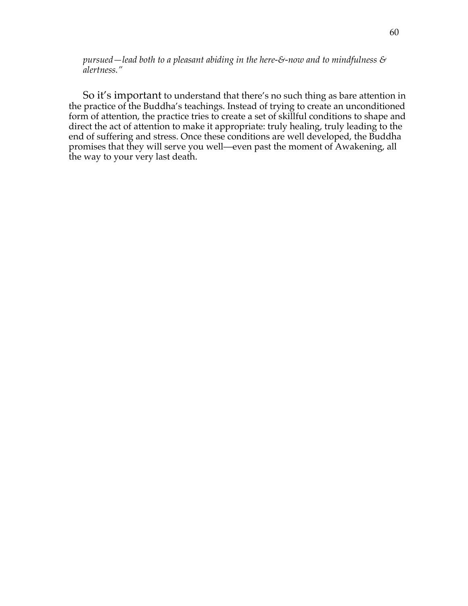*pursued—lead both to a pleasant abiding in the here-&-now and to mindfulness & alertness."*

So it's important to understand that there's no such thing as bare attention in the practice of the Buddha's teachings. Instead of trying to create an unconditioned form of attention, the practice tries to create a set of skillful conditions to shape and direct the act of attention to make it appropriate: truly healing, truly leading to the end of suffering and stress. Once these conditions are well developed, the Buddha promises that they will serve you well—even past the moment of Awakening, all the way to your very last death.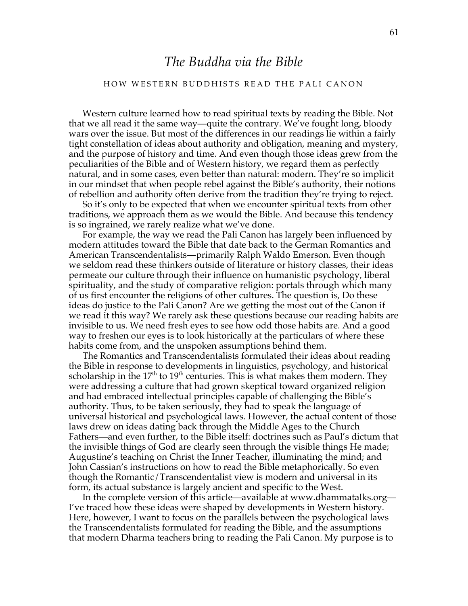## HOW WESTERN BUDDHISTS READ THE PALI CANON

Western culture learned how to read spiritual texts by reading the Bible. Not that we all read it the same way—quite the contrary. We've fought long, bloody wars over the issue. But most of the differences in our readings lie within a fairly tight constellation of ideas about authority and obligation, meaning and mystery, and the purpose of history and time. And even though those ideas grew from the peculiarities of the Bible and of Western history, we regard them as perfectly natural, and in some cases, even better than natural: modern. They're so implicit in our mindset that when people rebel against the Bible's authority, their notions of rebellion and authority often derive from the tradition they're trying to reject.

So it's only to be expected that when we encounter spiritual texts from other traditions, we approach them as we would the Bible. And because this tendency is so ingrained, we rarely realize what we've done.

For example, the way we read the Pali Canon has largely been influenced by modern attitudes toward the Bible that date back to the German Romantics and American Transcendentalists—primarily Ralph Waldo Emerson. Even though we seldom read these thinkers outside of literature or history classes, their ideas permeate our culture through their influence on humanistic psychology, liberal spirituality, and the study of comparative religion: portals through which many of us first encounter the religions of other cultures. The question is, Do these ideas do justice to the Pali Canon? Are we getting the most out of the Canon if we read it this way? We rarely ask these questions because our reading habits are invisible to us. We need fresh eyes to see how odd those habits are. And a good way to freshen our eyes is to look historically at the particulars of where these habits come from, and the unspoken assumptions behind them.

The Romantics and Transcendentalists formulated their ideas about reading the Bible in response to developments in linguistics, psychology, and historical scholarship in the  $17<sup>th</sup>$  to  $19<sup>th</sup>$  centuries. This is what makes them modern. They were addressing a culture that had grown skeptical toward organized religion and had embraced intellectual principles capable of challenging the Bible's authority. Thus, to be taken seriously, they had to speak the language of universal historical and psychological laws. However*,* the actual content of those laws drew on ideas dating back through the Middle Ages to the Church Fathers—and even further, to the Bible itself: doctrines such as Paul's dictum that the invisible things of God are clearly seen through the visible things He made; Augustine's teaching on Christ the Inner Teacher, illuminating the mind; and John Cassian's instructions on how to read the Bible metaphorically. So even though the Romantic/Transcendentalist view is modern and universal in its form, its actual substance is largely ancient and specific to the West.

In the complete version of this article—available at www.dhammatalks.org— I've traced how these ideas were shaped by developments in Western history. Here, however, I want to focus on the parallels between the psychological laws the Transcendentalists formulated for reading the Bible, and the assumptions that modern Dharma teachers bring to reading the Pali Canon. My purpose is to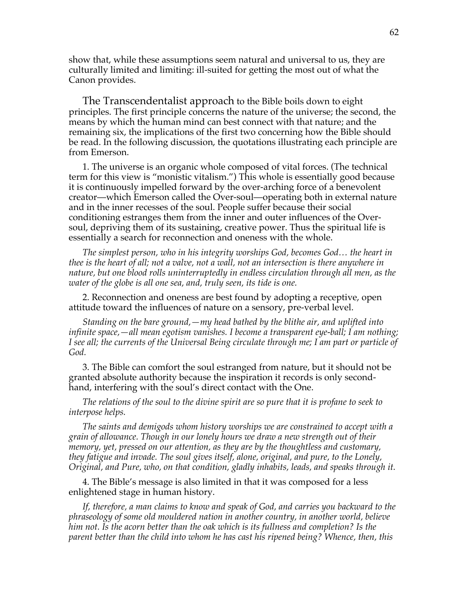show that, while these assumptions seem natural and universal to us, they are culturally limited and limiting: ill-suited for getting the most out of what the Canon provides.

The Transcendentalist approach to the Bible boils down to eight principles. The first principle concerns the nature of the universe; the second, the means by which the human mind can best connect with that nature; and the remaining six, the implications of the first two concerning how the Bible should be read. In the following discussion, the quotations illustrating each principle are from Emerson.

1. The universe is an organic whole composed of vital forces. (The technical term for this view is "monistic vitalism.") This whole is essentially good because it is continuously impelled forward by the over-arching force of a benevolent creator—which Emerson called the Over-soul—operating both in external nature and in the inner recesses of the soul. People suffer because their social conditioning estranges them from the inner and outer influences of the Oversoul, depriving them of its sustaining, creative power. Thus the spiritual life is essentially a search for reconnection and oneness with the whole.

*The simplest person, who in his integrity worships God, becomes God… the heart in thee is the heart of all; not a valve, not a wall, not an intersection is there anywhere in nature, but one blood rolls uninterruptedly in endless circulation through all men, as the water of the globe is all one sea, and, truly seen, its tide is one.*

2. Reconnection and oneness are best found by adopting a receptive, open attitude toward the influences of nature on a sensory, pre-verbal level.

*Standing on the bare ground,—my head bathed by the blithe air, and uplifted into infinite space,—all mean egotism vanishes. I become a transparent eye-ball; I am nothing; I see all; the currents of the Universal Being circulate through me; I am part or particle of God.*

3. The Bible can comfort the soul estranged from nature, but it should not be granted absolute authority because the inspiration it records is only secondhand, interfering with the soul's direct contact with the One.

*The relations of the soul to the divine spirit are so pure that it is profane to seek to interpose helps.*

*The saints and demigods whom history worships we are constrained to accept with a grain of allowance. Though in our lonely hours we draw a new strength out of their memory, yet, pressed on our attention, as they are by the thoughtless and customary, they fatigue and invade. The soul gives itself, alone, original, and pure, to the Lonely, Original, and Pure, who, on that condition, gladly inhabits, leads, and speaks through it.*

4. The Bible's message is also limited in that it was composed for a less enlightened stage in human history.

*If, therefore, a man claims to know and speak of God, and carries you backward to the phraseology of some old mouldered nation in another country, in another world, believe him not. Is the acorn better than the oak which is its fullness and completion? Is the parent better than the child into whom he has cast his ripened being? Whence, then, this*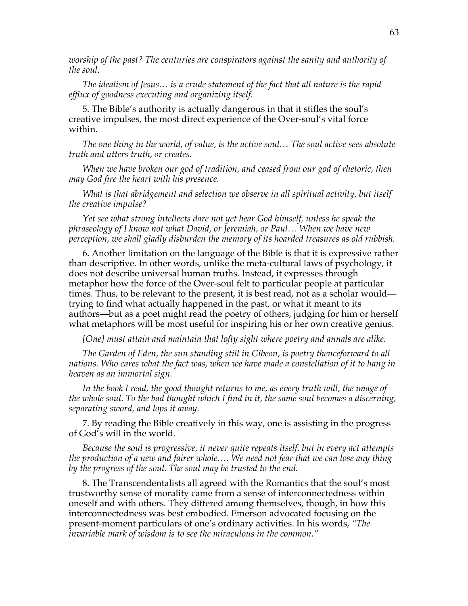*worship of the past? The centuries are conspirators against the sanity and authority of the soul.*

*The idealism of Jesus… is a crude statement of the fact that all nature is the rapid efflux of goodness executing and organizing itself.*

5. The Bible's authority is actually dangerous in that it stifles the soul's creative impulses, the most direct experience of the Over-soul's vital force within.

*The one thing in the world, of value, is the active soul… The soul active sees absolute truth and utters truth, or creates.*

*When we have broken our god of tradition, and ceased from our god of rhetoric, then may God fire the heart with his presence.*

*What is that abridgement and selection we observe in all spiritual activity, but itself the creative impulse?* 

Yet see what strong intellects dare not yet hear God himself, unless he speak the *phraseology of I know not what David, or Jeremiah, or Paul… When we have new perception, we shall gladly disburden the memory of its hoarded treasures as old rubbish.*

6. Another limitation on the language of the Bible is that it is expressive rather than descriptive. In other words, unlike the meta-cultural laws of psychology, it does not describe universal human truths. Instead, it expresses through metaphor how the force of the Over-soul felt to particular people at particular times. Thus, to be relevant to the present, it is best read, not as a scholar would trying to find what actually happened in the past, or what it meant to its authors—but as a poet might read the poetry of others, judging for him or herself what metaphors will be most useful for inspiring his or her own creative genius.

*[One] must attain and maintain that lofty sight where poetry and annals are alike.*

*The Garden of Eden, the sun standing still in Gibeon, is poetry thenceforward to all nations. Who cares what the fact was, when we have made a constellation of it to hang in heaven as an immortal sign.*

*In the book I read, the good thought returns to me, as every truth will, the image of the whole soul. To the bad thought which I find in it, the same soul becomes a discerning, separating sword, and lops it away.* 

7. By reading the Bible creatively in this way, one is assisting in the progress of God's will in the world.

*Because the soul is progressive, it never quite repeats itself, but in every act attempts the production of a new and fairer whole…. We need not fear that we can lose any thing by the progress of the soul. The soul may be trusted to the end.*

8. The Transcendentalists all agreed with the Romantics that the soul's most trustworthy sense of morality came from a sense of interconnectedness within oneself and with others. They differed among themselves, though, in how this interconnectedness was best embodied. Emerson advocated focusing on the present-moment particulars of one's ordinary activities. In his words, *"The invariable mark of wisdom is to see the miraculous in the common."*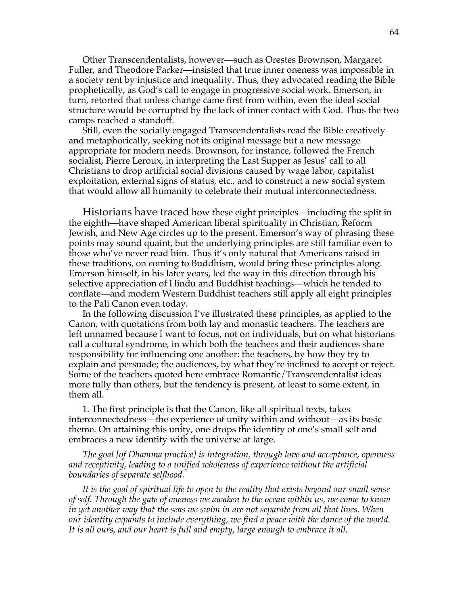Other Transcendentalists, however—such as Orestes Brownson, Margaret Fuller, and Theodore Parker—insisted that true inner oneness was impossible in a society rent by injustice and inequality. Thus, they advocated reading the Bible prophetically, as God's call to engage in progressive social work. Emerson, in turn, retorted that unless change came first from within, even the ideal social structure would be corrupted by the lack of inner contact with God. Thus the two camps reached a standoff.

Still, even the socially engaged Transcendentalists read the Bible creatively and metaphorically, seeking not its original message but a new message appropriate for modern needs. Brownson, for instance, followed the French socialist, Pierre Leroux, in interpreting the Last Supper as Jesus' call to all Christians to drop artificial social divisions caused by wage labor, capitalist exploitation, external signs of status, etc., and to construct a new social system that would allow all humanity to celebrate their mutual interconnectedness.

Historians have traced how these eight principles—including the split in the eighth—have shaped American liberal spirituality in Christian, Reform Jewish, and New Age circles up to the present. Emerson's way of phrasing these points may sound quaint, but the underlying principles are still familiar even to those who've never read him. Thus it's only natural that Americans raised in these traditions, on coming to Buddhism, would bring these principles along. Emerson himself, in his later years, led the way in this direction through his selective appreciation of Hindu and Buddhist teachings—which he tended to conflate—and modern Western Buddhist teachers still apply all eight principles to the Pali Canon even today.

In the following discussion I've illustrated these principles, as applied to the Canon, with quotations from both lay and monastic teachers. The teachers are left unnamed because I want to focus, not on individuals, but on what historians call a cultural syndrome, in which both the teachers and their audiences share responsibility for influencing one another: the teachers, by how they try to explain and persuade; the audiences, by what they're inclined to accept or reject. Some of the teachers quoted here embrace Romantic/Transcendentalist ideas more fully than others, but the tendency is present, at least to some extent, in them all.

1. The first principle is that the Canon, like all spiritual texts, takes interconnectedness—the experience of unity within and without—as its basic theme. On attaining this unity, one drops the identity of one's small self and embraces a new identity with the universe at large.

*The goal [of Dhamma practice] is integration, through love and acceptance, openness and receptivity, leading to a unified wholeness of experience without the artificial boundaries of separate selfhood.*

*It is the goal of spiritual life to open to the reality that exists beyond our small sense of self. Through the gate of oneness we awaken to the ocean within us, we come to know in yet another way that the seas we swim in are not separate from all that lives. When our identity expands to include everything, we find a peace with the dance of the world. It is all ours, and our heart is full and empty, large enough to embrace it all.*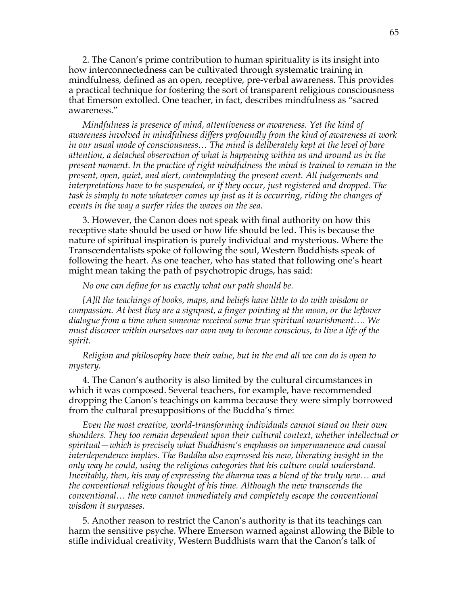2. The Canon's prime contribution to human spirituality is its insight into how interconnectedness can be cultivated through systematic training in mindfulness, defined as an open, receptive, pre-verbal awareness. This provides a practical technique for fostering the sort of transparent religious consciousness that Emerson extolled. One teacher, in fact, describes mindfulness as "sacred awareness."

*Mindfulness is presence of mind, attentiveness or awareness. Yet the kind of awareness involved in mindfulness differs profoundly from the kind of awareness at work in our usual mode of consciousness… The mind is deliberately kept at the level of bare attention, a detached observation of what is happening within us and around us in the present moment. In the practice of right mindfulness the mind is trained to remain in the present, open, quiet, and alert, contemplating the present event. All judgements and interpretations have to be suspended, or if they occur, just registered and dropped. The task is simply to note whatever comes up just as it is occurring, riding the changes of events in the way a surfer rides the waves on the sea.*

3. However, the Canon does not speak with final authority on how this receptive state should be used or how life should be led. This is because the nature of spiritual inspiration is purely individual and mysterious. Where the Transcendentalists spoke of following the soul, Western Buddhists speak of following the heart. As one teacher, who has stated that following one's heart might mean taking the path of psychotropic drugs, has said:

*No one can define for us exactly what our path should be.*

*[A]ll the teachings of books, maps, and beliefs have little to do with wisdom or compassion. At best they are a signpost, a finger pointing at the moon, or the leftover dialogue from a time when someone received some true spiritual nourishment…. We must discover within ourselves our own way to become conscious, to live a life of the spirit.*

*Religion and philosophy have their value, but in the end all we can do is open to mystery.*

4. The Canon's authority is also limited by the cultural circumstances in which it was composed. Several teachers, for example, have recommended dropping the Canon's teachings on kamma because they were simply borrowed from the cultural presuppositions of the Buddha's time:

*Even the most creative, world-transforming individuals cannot stand on their own shoulders. They too remain dependent upon their cultural context, whether intellectual or spiritual—which is precisely what Buddhism's emphasis on impermanence and causal interdependence implies. The Buddha also expressed his new, liberating insight in the only way he could, using the religious categories that his culture could understand. Inevitably, then, his way of expressing the dharma was a blend of the truly new… and the conventional religious thought of his time. Although the new transcends the conventional… the new cannot immediately and completely escape the conventional wisdom it surpasses.*

5. Another reason to restrict the Canon's authority is that its teachings can harm the sensitive psyche. Where Emerson warned against allowing the Bible to stifle individual creativity, Western Buddhists warn that the Canon's talk of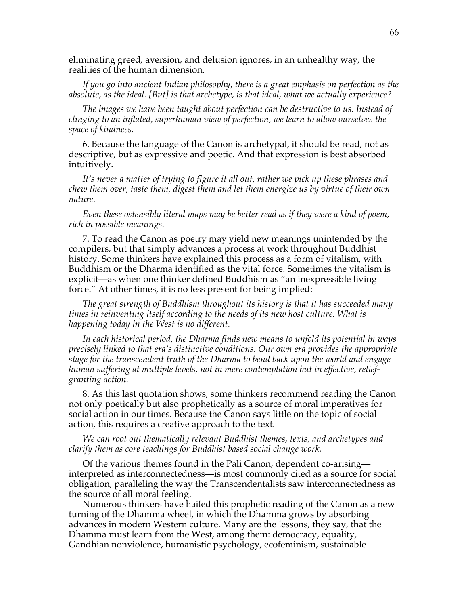eliminating greed, aversion, and delusion ignores, in an unhealthy way, the realities of the human dimension.

*If you go into ancient Indian philosophy, there is a great emphasis on perfection as the absolute, as the ideal. [But] is that archetype, is that ideal, what we actually experience?*

*The images we have been taught about perfection can be destructive to us. Instead of clinging to an inflated, superhuman view of perfection, we learn to allow ourselves the space of kindness.*

6. Because the language of the Canon is archetypal, it should be read, not as descriptive, but as expressive and poetic. And that expression is best absorbed intuitively.

*It's never a matter of trying to figure it all out, rather we pick up these phrases and chew them over, taste them, digest them and let them energize us by virtue of their own nature.*

*Even these ostensibly literal maps may be better read as if they were a kind of poem, rich in possible meanings.*

7. To read the Canon as poetry may yield new meanings unintended by the compilers, but that simply advances a process at work throughout Buddhist history. Some thinkers have explained this process as a form of vitalism, with Buddhism or the Dharma identified as the vital force. Sometimes the vitalism is explicit—as when one thinker defined Buddhism as "an inexpressible living force." At other times, it is no less present for being implied:

*The great strength of Buddhism throughout its history is that it has succeeded many times in reinventing itself according to the needs of its new host culture. What is happening today in the West is no different.*

*In each historical period, the Dharma finds new means to unfold its potential in ways precisely linked to that era's distinctive conditions. Our own era provides the appropriate stage for the transcendent truth of the Dharma to bend back upon the world and engage human suffering at multiple levels, not in mere contemplation but in effective, reliefgranting action.*

8. As this last quotation shows, some thinkers recommend reading the Canon not only poetically but also prophetically as a source of moral imperatives for social action in our times. Because the Canon says little on the topic of social action, this requires a creative approach to the text.

*We can root out thematically relevant Buddhist themes, texts, and archetypes and clarify them as core teachings for Buddhist based social change work.*

Of the various themes found in the Pali Canon, dependent co-arising interpreted as interconnectedness—is most commonly cited as a source for social obligation, paralleling the way the Transcendentalists saw interconnectedness as the source of all moral feeling.

Numerous thinkers have hailed this prophetic reading of the Canon as a new turning of the Dhamma wheel, in which the Dhamma grows by absorbing advances in modern Western culture. Many are the lessons, they say, that the Dhamma must learn from the West, among them: democracy, equality, Gandhian nonviolence, humanistic psychology, ecofeminism, sustainable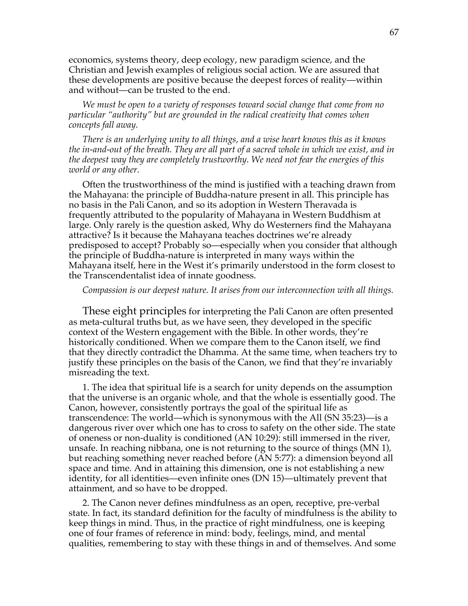economics, systems theory, deep ecology, new paradigm science, and the Christian and Jewish examples of religious social action. We are assured that these developments are positive because the deepest forces of reality—within and without—can be trusted to the end.

*We must be open to a variety of responses toward social change that come from no particular "authority" but are grounded in the radical creativity that comes when concepts fall away.*

*There is an underlying unity to all things, and a wise heart knows this as it knows the in-and-out of the breath. They are all part of a sacred whole in which we exist, and in the deepest way they are completely trustworthy. We need not fear the energies of this world or any other.*

Often the trustworthiness of the mind is justified with a teaching drawn from the Mahayana: the principle of Buddha-nature present in all. This principle has no basis in the Pali Canon, and so its adoption in Western Theravada is frequently attributed to the popularity of Mahayana in Western Buddhism at large. Only rarely is the question asked, Why do Westerners find the Mahayana attractive? Is it because the Mahayana teaches doctrines we're already predisposed to accept? Probably so—especially when you consider that although the principle of Buddha-nature is interpreted in many ways within the Mahayana itself, here in the West it's primarily understood in the form closest to the Transcendentalist idea of innate goodness.

## *Compassion is our deepest nature. It arises from our interconnection with all things.*

These eight principles for interpreting the Pali Canon are often presented as meta-cultural truths but, as we have seen, they developed in the specific context of the Western engagement with the Bible. In other words, they're historically conditioned. When we compare them to the Canon itself, we find that they directly contradict the Dhamma. At the same time, when teachers try to justify these principles on the basis of the Canon, we find that they're invariably misreading the text.

1. The idea that spiritual life is a search for unity depends on the assumption that the universe is an organic whole, and that the whole is essentially good. The Canon, however, consistently portrays the goal of the spiritual life as transcendence: The world—which is synonymous with the All (SN 35:23)—is a dangerous river over which one has to cross to safety on the other side. The state of oneness or non-duality is conditioned (AN 10:29): still immersed in the river, unsafe. In reaching nibbana, one is not returning to the source of things (MN 1), but reaching something never reached before (AN 5:77): a dimension beyond all space and time. And in attaining this dimension, one is not establishing a new identity, for all identities—even infinite ones (DN 15)—ultimately prevent that attainment, and so have to be dropped.

2. The Canon never defines mindfulness as an open, receptive, pre-verbal state. In fact, its standard definition for the faculty of mindfulness is the ability to keep things in mind. Thus, in the practice of right mindfulness, one is keeping one of four frames of reference in mind: body, feelings, mind, and mental qualities, remembering to stay with these things in and of themselves. And some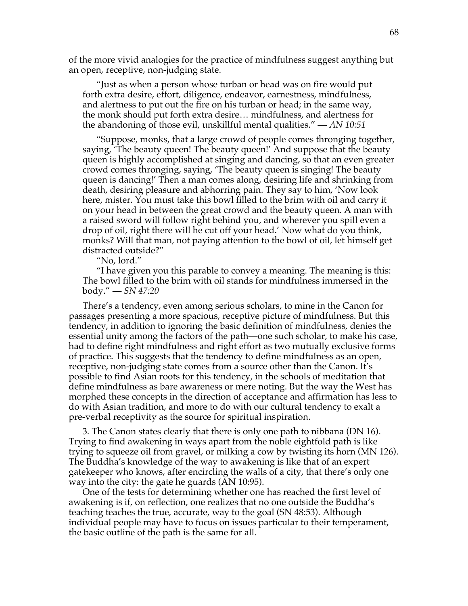of the more vivid analogies for the practice of mindfulness suggest anything but an open, receptive, non-judging state.

"Just as when a person whose turban or head was on fire would put forth extra desire, effort, diligence, endeavor, earnestness, mindfulness, and alertness to put out the fire on his turban or head; in the same way, the monk should put forth extra desire… mindfulness, and alertness for the abandoning of those evil, unskillful mental qualities." — *AN 10:51*

"Suppose, monks, that a large crowd of people comes thronging together, saying, 'The beauty queen! The beauty queen!' And suppose that the beauty queen is highly accomplished at singing and dancing, so that an even greater crowd comes thronging, saying, 'The beauty queen is singing! The beauty queen is dancing!' Then a man comes along, desiring life and shrinking from death, desiring pleasure and abhorring pain. They say to him, 'Now look here, mister. You must take this bowl filled to the brim with oil and carry it on your head in between the great crowd and the beauty queen. A man with a raised sword will follow right behind you, and wherever you spill even a drop of oil, right there will he cut off your head.' Now what do you think, monks? Will that man, not paying attention to the bowl of oil, let himself get distracted outside?"

"No, lord."

"I have given you this parable to convey a meaning. The meaning is this: The bowl filled to the brim with oil stands for mindfulness immersed in the body." — *SN 47:20*

There's a tendency, even among serious scholars, to mine in the Canon for passages presenting a more spacious, receptive picture of mindfulness. But this tendency, in addition to ignoring the basic definition of mindfulness, denies the essential unity among the factors of the path—one such scholar, to make his case, had to define right mindfulness and right effort as two mutually exclusive forms of practice. This suggests that the tendency to define mindfulness as an open, receptive, non-judging state comes from a source other than the Canon. It's possible to find Asian roots for this tendency, in the schools of meditation that define mindfulness as bare awareness or mere noting. But the way the West has morphed these concepts in the direction of acceptance and affirmation has less to do with Asian tradition, and more to do with our cultural tendency to exalt a pre-verbal receptivity as the source for spiritual inspiration.

3. The Canon states clearly that there is only one path to nibbana (DN 16). Trying to find awakening in ways apart from the noble eightfold path is like trying to squeeze oil from gravel, or milking a cow by twisting its horn (MN 126). The Buddha's knowledge of the way to awakening is like that of an expert gatekeeper who knows, after encircling the walls of a city, that there's only one way into the city: the gate he guards (AN 10:95).

One of the tests for determining whether one has reached the first level of awakening is if, on reflection, one realizes that no one outside the Buddha's teaching teaches the true, accurate, way to the goal (SN 48:53). Although individual people may have to focus on issues particular to their temperament, the basic outline of the path is the same for all.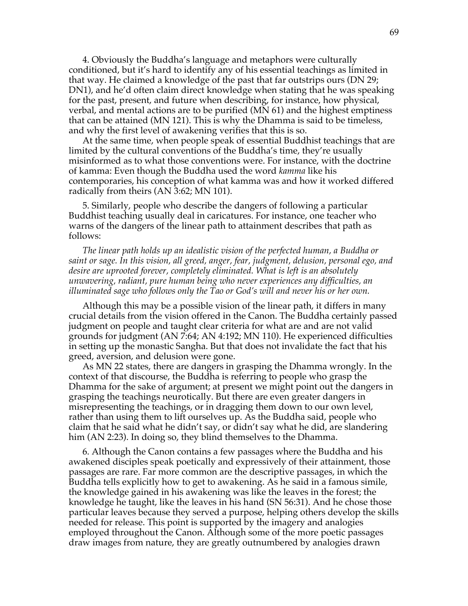4. Obviously the Buddha's language and metaphors were culturally conditioned, but it's hard to identify any of his essential teachings as limited in that way. He claimed a knowledge of the past that far outstrips ours (DN 29; DN1), and he'd often claim direct knowledge when stating that he was speaking for the past, present, and future when describing, for instance, how physical, verbal, and mental actions are to be purified (MN 61) and the highest emptiness that can be attained (MN 121). This is why the Dhamma is said to be timeless, and why the first level of awakening verifies that this is so.

At the same time, when people speak of essential Buddhist teachings that are limited by the cultural conventions of the Buddha's time, they're usually misinformed as to what those conventions were. For instance, with the doctrine of kamma: Even though the Buddha used the word *kamma* like his contemporaries, his conception of what kamma was and how it worked differed radically from theirs (AN 3:62; MN 101).

5. Similarly, people who describe the dangers of following a particular Buddhist teaching usually deal in caricatures. For instance, one teacher who warns of the dangers of the linear path to attainment describes that path as follows:

*The linear path holds up an idealistic vision of the perfected human, a Buddha or saint or sage. In this vision, all greed, anger, fear, judgment, delusion, personal ego, and desire are uprooted forever, completely eliminated. What is left is an absolutely unwavering, radiant, pure human being who never experiences any difficulties, an illuminated sage who follows only the Tao or God's will and never his or her own.* 

Although this may be a possible vision of the linear path, it differs in many crucial details from the vision offered in the Canon. The Buddha certainly passed judgment on people and taught clear criteria for what are and are not valid grounds for judgment (AN 7:64; AN 4:192; MN 110). He experienced difficulties in setting up the monastic Sangha. But that does not invalidate the fact that his greed, aversion, and delusion were gone.

As MN 22 states, there are dangers in grasping the Dhamma wrongly. In the context of that discourse, the Buddha is referring to people who grasp the Dhamma for the sake of argument; at present we might point out the dangers in grasping the teachings neurotically. But there are even greater dangers in misrepresenting the teachings, or in dragging them down to our own level, rather than using them to lift ourselves up. As the Buddha said, people who claim that he said what he didn't say, or didn't say what he did, are slandering him (AN 2:23). In doing so, they blind themselves to the Dhamma.

6. Although the Canon contains a few passages where the Buddha and his awakened disciples speak poetically and expressively of their attainment, those passages are rare. Far more common are the descriptive passages, in which the Buddha tells explicitly how to get to awakening. As he said in a famous simile, the knowledge gained in his awakening was like the leaves in the forest; the knowledge he taught, like the leaves in his hand (SN 56:31). And he chose those particular leaves because they served a purpose, helping others develop the skills needed for release. This point is supported by the imagery and analogies employed throughout the Canon. Although some of the more poetic passages draw images from nature, they are greatly outnumbered by analogies drawn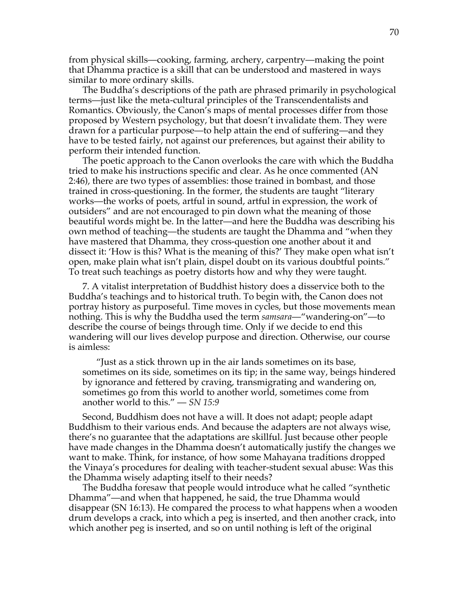from physical skills—cooking, farming, archery, carpentry—making the point that Dhamma practice is a skill that can be understood and mastered in ways similar to more ordinary skills.

The Buddha's descriptions of the path are phrased primarily in psychological terms—just like the meta-cultural principles of the Transcendentalists and Romantics. Obviously, the Canon's maps of mental processes differ from those proposed by Western psychology, but that doesn't invalidate them. They were drawn for a particular purpose—to help attain the end of suffering—and they have to be tested fairly, not against our preferences, but against their ability to perform their intended function.

The poetic approach to the Canon overlooks the care with which the Buddha tried to make his instructions specific and clear. As he once commented (AN 2:46), there are two types of assemblies: those trained in bombast, and those trained in cross-questioning. In the former, the students are taught "literary works—the works of poets, artful in sound, artful in expression, the work of outsiders" and are not encouraged to pin down what the meaning of those beautiful words might be. In the latter—and here the Buddha was describing his own method of teaching—the students are taught the Dhamma and "when they have mastered that Dhamma, they cross-question one another about it and dissect it: 'How is this? What is the meaning of this?' They make open what isn't open, make plain what isn't plain, dispel doubt on its various doubtful points." To treat such teachings as poetry distorts how and why they were taught.

7. A vitalist interpretation of Buddhist history does a disservice both to the Buddha's teachings and to historical truth. To begin with, the Canon does not portray history as purposeful. Time moves in cycles, but those movements mean nothing. This is why the Buddha used the term *samsara*—"wandering-on"—to describe the course of beings through time. Only if we decide to end this wandering will our lives develop purpose and direction. Otherwise, our course is aimless:

"Just as a stick thrown up in the air lands sometimes on its base, sometimes on its side, sometimes on its tip; in the same way, beings hindered by ignorance and fettered by craving, transmigrating and wandering on, sometimes go from this world to another world, sometimes come from another world to this." — *SN 15:9*

Second, Buddhism does not have a will. It does not adapt; people adapt Buddhism to their various ends. And because the adapters are not always wise, there's no guarantee that the adaptations are skillful. Just because other people have made changes in the Dhamma doesn't automatically justify the changes we want to make. Think, for instance, of how some Mahayana traditions dropped the Vinaya's procedures for dealing with teacher-student sexual abuse: Was this the Dhamma wisely adapting itself to their needs?

The Buddha foresaw that people would introduce what he called "synthetic Dhamma"—and when that happened, he said, the true Dhamma would disappear (SN 16:13). He compared the process to what happens when a wooden drum develops a crack, into which a peg is inserted, and then another crack, into which another peg is inserted, and so on until nothing is left of the original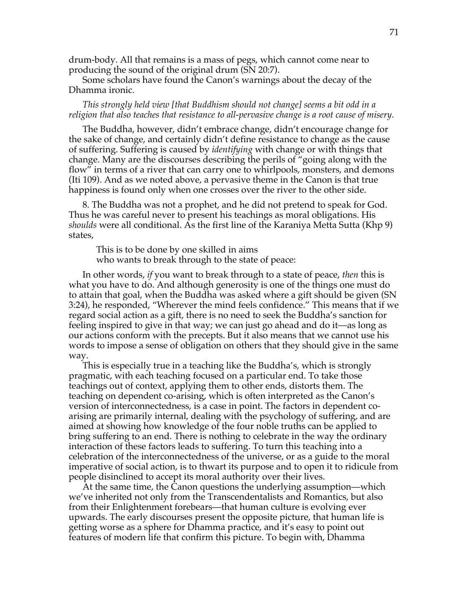drum-body. All that remains is a mass of pegs, which cannot come near to producing the sound of the original drum (SN 20:7).

Some scholars have found the Canon's warnings about the decay of the Dhamma ironic.

*This strongly held view [that Buddhism should not change] seems a bit odd in a religion that also teaches that resistance to all-pervasive change is a root cause of misery.*

The Buddha, however, didn't embrace change, didn't encourage change for the sake of change, and certainly didn't define resistance to change as the cause of suffering. Suffering is caused by *identifying* with change or with things that change. Many are the discourses describing the perils of "going along with the flow" in terms of a river that can carry one to whirlpools, monsters, and demons (Iti 109). And as we noted above, a pervasive theme in the Canon is that true happiness is found only when one crosses over the river to the other side.

8. The Buddha was not a prophet, and he did not pretend to speak for God. Thus he was careful never to present his teachings as moral obligations. His *shoulds* were all conditional. As the first line of the Karaniya Metta Sutta (Khp 9) states,

This is to be done by one skilled in aims who wants to break through to the state of peace:

In other words, *if* you want to break through to a state of peace, *then* this is what you have to do. And although generosity is one of the things one must do to attain that goal, when the Buddha was asked where a gift should be given (SN 3:24), he responded, "Wherever the mind feels confidence." This means that if we regard social action as a gift, there is no need to seek the Buddha's sanction for feeling inspired to give in that way; we can just go ahead and do it—as long as our actions conform with the precepts. But it also means that we cannot use his words to impose a sense of obligation on others that they should give in the same way.

This is especially true in a teaching like the Buddha's, which is strongly pragmatic, with each teaching focused on a particular end. To take those teachings out of context, applying them to other ends, distorts them. The teaching on dependent co-arising, which is often interpreted as the Canon's version of interconnectedness, is a case in point. The factors in dependent coarising are primarily internal, dealing with the psychology of suffering, and are aimed at showing how knowledge of the four noble truths can be applied to bring suffering to an end. There is nothing to celebrate in the way the ordinary interaction of these factors leads to suffering. To turn this teaching into a celebration of the interconnectedness of the universe, or as a guide to the moral imperative of social action, is to thwart its purpose and to open it to ridicule from people disinclined to accept its moral authority over their lives.

At the same time, the Canon questions the underlying assumption—which we've inherited not only from the Transcendentalists and Romantics, but also from their Enlightenment forebears—that human culture is evolving ever upwards. The early discourses present the opposite picture, that human life is getting worse as a sphere for Dhamma practice, and it's easy to point out features of modern life that confirm this picture. To begin with, Dhamma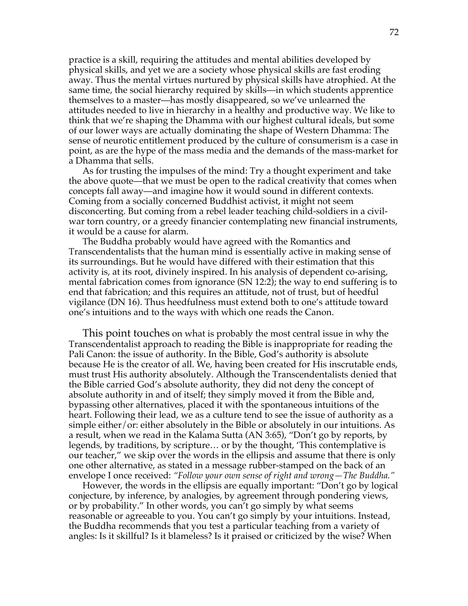practice is a skill, requiring the attitudes and mental abilities developed by physical skills, and yet we are a society whose physical skills are fast eroding away. Thus the mental virtues nurtured by physical skills have atrophied. At the same time, the social hierarchy required by skills—in which students apprentice themselves to a master—has mostly disappeared, so we've unlearned the attitudes needed to live in hierarchy in a healthy and productive way. We like to think that we're shaping the Dhamma with our highest cultural ideals, but some of our lower ways are actually dominating the shape of Western Dhamma: The sense of neurotic entitlement produced by the culture of consumerism is a case in point, as are the hype of the mass media and the demands of the mass-market for a Dhamma that sells.

As for trusting the impulses of the mind: Try a thought experiment and take the above quote—that we must be open to the radical creativity that comes when concepts fall away—and imagine how it would sound in different contexts. Coming from a socially concerned Buddhist activist, it might not seem disconcerting. But coming from a rebel leader teaching child-soldiers in a civilwar torn country, or a greedy financier contemplating new financial instruments, it would be a cause for alarm.

The Buddha probably would have agreed with the Romantics and Transcendentalists that the human mind is essentially active in making sense of its surroundings. But he would have differed with their estimation that this activity is, at its root, divinely inspired. In his analysis of dependent co-arising, mental fabrication comes from ignorance (SN 12:2); the way to end suffering is to end that fabrication; and this requires an attitude, not of trust, but of heedful vigilance (DN 16). Thus heedfulness must extend both to one's attitude toward one's intuitions and to the ways with which one reads the Canon.

This point touches on what is probably the most central issue in why the Transcendentalist approach to reading the Bible is inappropriate for reading the Pali Canon: the issue of authority. In the Bible, God's authority is absolute because He is the creator of all. We, having been created for His inscrutable ends, must trust His authority absolutely. Although the Transcendentalists denied that the Bible carried God's absolute authority, they did not deny the concept of absolute authority in and of itself; they simply moved it from the Bible and, bypassing other alternatives, placed it with the spontaneous intuitions of the heart. Following their lead, we as a culture tend to see the issue of authority as a simple either/or: either absolutely in the Bible or absolutely in our intuitions. As a result, when we read in the Kalama Sutta (AN 3:65), "Don't go by reports, by legends, by traditions, by scripture… or by the thought, 'This contemplative is our teacher," we skip over the words in the ellipsis and assume that there is only one other alternative, as stated in a message rubber-stamped on the back of an envelope I once received: *"Follow your own sense of right and wrong—The Buddha."*

However, the words in the ellipsis are equally important: "Don't go by logical conjecture, by inference, by analogies, by agreement through pondering views, or by probability." In other words, you can't go simply by what seems reasonable or agreeable to you. You can't go simply by your intuitions. Instead, the Buddha recommends that you test a particular teaching from a variety of angles: Is it skillful? Is it blameless? Is it praised or criticized by the wise? When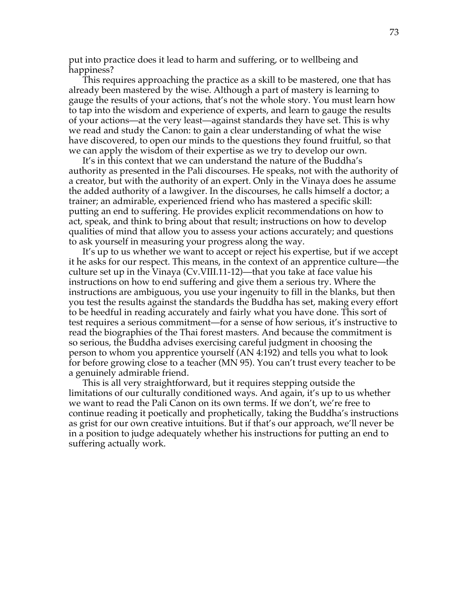put into practice does it lead to harm and suffering, or to wellbeing and happiness?

This requires approaching the practice as a skill to be mastered, one that has already been mastered by the wise. Although a part of mastery is learning to gauge the results of your actions, that's not the whole story. You must learn how to tap into the wisdom and experience of experts, and learn to gauge the results of your actions—at the very least—against standards they have set. This is why we read and study the Canon: to gain a clear understanding of what the wise have discovered, to open our minds to the questions they found fruitful, so that we can apply the wisdom of their expertise as we try to develop our own.

It's in this context that we can understand the nature of the Buddha's authority as presented in the Pali discourses. He speaks, not with the authority of a creator, but with the authority of an expert. Only in the Vinaya does he assume the added authority of a lawgiver. In the discourses, he calls himself a doctor; a trainer; an admirable, experienced friend who has mastered a specific skill: putting an end to suffering. He provides explicit recommendations on how to act, speak, and think to bring about that result; instructions on how to develop qualities of mind that allow you to assess your actions accurately; and questions to ask yourself in measuring your progress along the way.

It's up to us whether we want to accept or reject his expertise, but if we accept it he asks for our respect. This means, in the context of an apprentice culture—the culture set up in the Vinaya (Cv.VIII.11-12)—that you take at face value his instructions on how to end suffering and give them a serious try. Where the instructions are ambiguous, you use your ingenuity to fill in the blanks, but then you test the results against the standards the Buddha has set, making every effort to be heedful in reading accurately and fairly what you have done. This sort of test requires a serious commitment—for a sense of how serious, it's instructive to read the biographies of the Thai forest masters. And because the commitment is so serious, the Buddha advises exercising careful judgment in choosing the person to whom you apprentice yourself (AN 4:192) and tells you what to look for before growing close to a teacher (MN 95). You can't trust every teacher to be a genuinely admirable friend.

This is all very straightforward, but it requires stepping outside the limitations of our culturally conditioned ways. And again, it's up to us whether we want to read the Pali Canon on its own terms. If we don't, we're free to continue reading it poetically and prophetically, taking the Buddha's instructions as grist for our own creative intuitions. But if that's our approach, we'll never be in a position to judge adequately whether his instructions for putting an end to suffering actually work.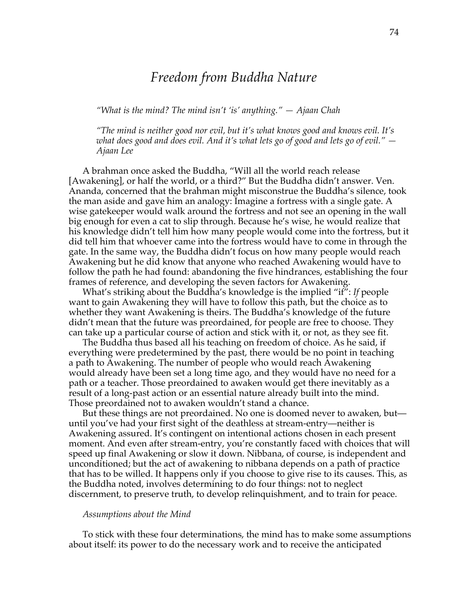## *Freedom from Buddha Nature*

*"What is the mind? The mind isn't 'is' anything." — Ajaan Chah*

*"The mind is neither good nor evil, but it's what knows good and knows evil. It's what does good and does evil. And it's what lets go of good and lets go of evil." — Ajaan Lee*

A brahman once asked the Buddha, "Will all the world reach release [Awakening], or half the world, or a third?" But the Buddha didn't answer. Ven. Ananda, concerned that the brahman might misconstrue the Buddha's silence, took the man aside and gave him an analogy: Imagine a fortress with a single gate. A wise gatekeeper would walk around the fortress and not see an opening in the wall big enough for even a cat to slip through. Because he's wise, he would realize that his knowledge didn't tell him how many people would come into the fortress, but it did tell him that whoever came into the fortress would have to come in through the gate. In the same way, the Buddha didn't focus on how many people would reach Awakening but he did know that anyone who reached Awakening would have to follow the path he had found: abandoning the five hindrances, establishing the four frames of reference, and developing the seven factors for Awakening.

What's striking about the Buddha's knowledge is the implied "if": *If* people want to gain Awakening they will have to follow this path, but the choice as to whether they want Awakening is theirs. The Buddha's knowledge of the future didn't mean that the future was preordained, for people are free to choose. They can take up a particular course of action and stick with it, or not, as they see fit.

The Buddha thus based all his teaching on freedom of choice. As he said, if everything were predetermined by the past, there would be no point in teaching a path to Awakening. The number of people who would reach Awakening would already have been set a long time ago, and they would have no need for a path or a teacher. Those preordained to awaken would get there inevitably as a result of a long-past action or an essential nature already built into the mind. Those preordained not to awaken wouldn't stand a chance.

But these things are not preordained. No one is doomed never to awaken, but until you've had your first sight of the deathless at stream-entry—neither is Awakening assured. It's contingent on intentional actions chosen in each present moment. And even after stream-entry, you're constantly faced with choices that will speed up final Awakening or slow it down. Nibbana, of course, is independent and unconditioned; but the act of awakening to nibbana depends on a path of practice that has to be willed. It happens only if you choose to give rise to its causes. This, as the Buddha noted, involves determining to do four things: not to neglect discernment, to preserve truth, to develop relinquishment, and to train for peace.

#### *Assumptions about the Mind*

To stick with these four determinations, the mind has to make some assumptions about itself: its power to do the necessary work and to receive the anticipated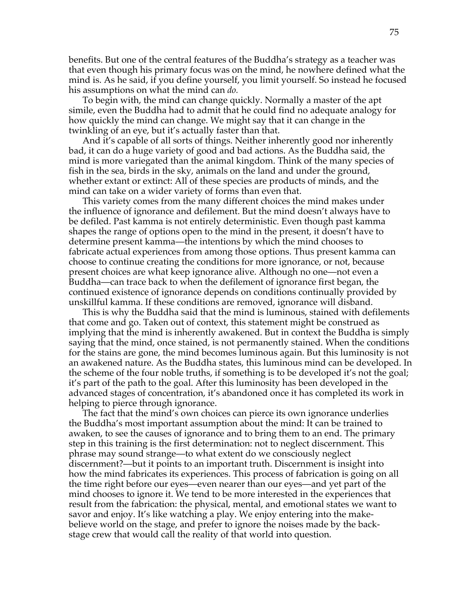benefits. But one of the central features of the Buddha's strategy as a teacher was that even though his primary focus was on the mind, he nowhere defined what the mind is. As he said, if you define yourself, you limit yourself. So instead he focused his assumptions on what the mind can *do.*

To begin with, the mind can change quickly. Normally a master of the apt simile, even the Buddha had to admit that he could find no adequate analogy for how quickly the mind can change. We might say that it can change in the twinkling of an eye, but it's actually faster than that.

And it's capable of all sorts of things. Neither inherently good nor inherently bad, it can do a huge variety of good and bad actions. As the Buddha said, the mind is more variegated than the animal kingdom. Think of the many species of fish in the sea, birds in the sky, animals on the land and under the ground, whether extant or extinct: All of these species are products of minds, and the mind can take on a wider variety of forms than even that.

This variety comes from the many different choices the mind makes under the influence of ignorance and defilement. But the mind doesn't always have to be defiled. Past kamma is not entirely deterministic. Even though past kamma shapes the range of options open to the mind in the present, it doesn't have to determine present kamma—the intentions by which the mind chooses to fabricate actual experiences from among those options. Thus present kamma can choose to continue creating the conditions for more ignorance, or not, because present choices are what keep ignorance alive. Although no one—not even a Buddha—can trace back to when the defilement of ignorance first began, the continued existence of ignorance depends on conditions continually provided by unskillful kamma. If these conditions are removed, ignorance will disband.

This is why the Buddha said that the mind is luminous, stained with defilements that come and go. Taken out of context, this statement might be construed as implying that the mind is inherently awakened. But in context the Buddha is simply saying that the mind, once stained, is not permanently stained. When the conditions for the stains are gone, the mind becomes luminous again. But this luminosity is not an awakened nature. As the Buddha states, this luminous mind can be developed. In the scheme of the four noble truths, if something is to be developed it's not the goal; it's part of the path to the goal. After this luminosity has been developed in the advanced stages of concentration, it's abandoned once it has completed its work in helping to pierce through ignorance.

The fact that the mind's own choices can pierce its own ignorance underlies the Buddha's most important assumption about the mind: It can be trained to awaken, to see the causes of ignorance and to bring them to an end. The primary step in this training is the first determination: not to neglect discernment. This phrase may sound strange—to what extent do we consciously neglect discernment?—but it points to an important truth. Discernment is insight into how the mind fabricates its experiences. This process of fabrication is going on all the time right before our eyes—even nearer than our eyes—and yet part of the mind chooses to ignore it. We tend to be more interested in the experiences that result from the fabrication: the physical, mental, and emotional states we want to savor and enjoy. It's like watching a play. We enjoy entering into the makebelieve world on the stage, and prefer to ignore the noises made by the backstage crew that would call the reality of that world into question.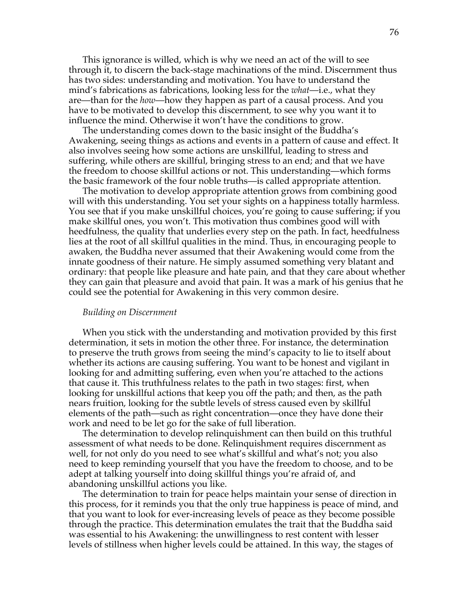This ignorance is willed, which is why we need an act of the will to see through it, to discern the back-stage machinations of the mind. Discernment thus has two sides: understanding and motivation. You have to understand the mind's fabrications as fabrications, looking less for the *what*—i.e., what they are—than for the *how*—how they happen as part of a causal process. And you have to be motivated to develop this discernment, to see why you want it to influence the mind. Otherwise it won't have the conditions to grow.

The understanding comes down to the basic insight of the Buddha's Awakening, seeing things as actions and events in a pattern of cause and effect. It also involves seeing how some actions are unskillful, leading to stress and suffering, while others are skillful, bringing stress to an end; and that we have the freedom to choose skillful actions or not. This understanding—which forms the basic framework of the four noble truths—is called appropriate attention.

The motivation to develop appropriate attention grows from combining good will with this understanding. You set your sights on a happiness totally harmless. You see that if you make unskillful choices, you're going to cause suffering; if you make skillful ones, you won't. This motivation thus combines good will with heedfulness, the quality that underlies every step on the path. In fact, heedfulness lies at the root of all skillful qualities in the mind. Thus, in encouraging people to awaken, the Buddha never assumed that their Awakening would come from the innate goodness of their nature. He simply assumed something very blatant and ordinary: that people like pleasure and hate pain, and that they care about whether they can gain that pleasure and avoid that pain. It was a mark of his genius that he could see the potential for Awakening in this very common desire.

#### *Building on Discernment*

When you stick with the understanding and motivation provided by this first determination, it sets in motion the other three. For instance, the determination to preserve the truth grows from seeing the mind's capacity to lie to itself about whether its actions are causing suffering. You want to be honest and vigilant in looking for and admitting suffering, even when you're attached to the actions that cause it. This truthfulness relates to the path in two stages: first, when looking for unskillful actions that keep you off the path; and then, as the path nears fruition, looking for the subtle levels of stress caused even by skillful elements of the path—such as right concentration—once they have done their work and need to be let go for the sake of full liberation.

The determination to develop relinquishment can then build on this truthful assessment of what needs to be done. Relinquishment requires discernment as well, for not only do you need to see what's skillful and what's not; you also need to keep reminding yourself that you have the freedom to choose, and to be adept at talking yourself into doing skillful things you're afraid of, and abandoning unskillful actions you like.

The determination to train for peace helps maintain your sense of direction in this process, for it reminds you that the only true happiness is peace of mind, and that you want to look for ever-increasing levels of peace as they become possible through the practice. This determination emulates the trait that the Buddha said was essential to his Awakening: the unwillingness to rest content with lesser levels of stillness when higher levels could be attained. In this way, the stages of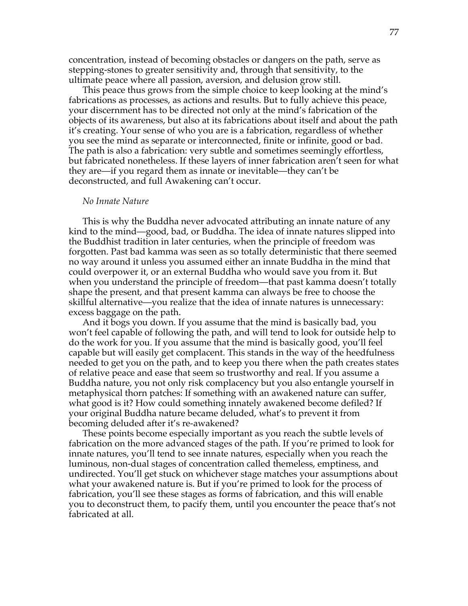concentration, instead of becoming obstacles or dangers on the path, serve as stepping-stones to greater sensitivity and, through that sensitivity, to the ultimate peace where all passion, aversion, and delusion grow still.

This peace thus grows from the simple choice to keep looking at the mind's fabrications as processes, as actions and results. But to fully achieve this peace, your discernment has to be directed not only at the mind's fabrication of the objects of its awareness, but also at its fabrications about itself and about the path it's creating. Your sense of who you are is a fabrication, regardless of whether you see the mind as separate or interconnected, finite or infinite, good or bad. The path is also a fabrication: very subtle and sometimes seemingly effortless, but fabricated nonetheless. If these layers of inner fabrication aren't seen for what they are—if you regard them as innate or inevitable—they can't be deconstructed, and full Awakening can't occur.

#### *No Innate Nature*

This is why the Buddha never advocated attributing an innate nature of any kind to the mind—good, bad, or Buddha. The idea of innate natures slipped into the Buddhist tradition in later centuries, when the principle of freedom was forgotten. Past bad kamma was seen as so totally deterministic that there seemed no way around it unless you assumed either an innate Buddha in the mind that could overpower it, or an external Buddha who would save you from it. But when you understand the principle of freedom—that past kamma doesn't totally shape the present, and that present kamma can always be free to choose the skillful alternative—you realize that the idea of innate natures is unnecessary: excess baggage on the path.

And it bogs you down. If you assume that the mind is basically bad, you won't feel capable of following the path, and will tend to look for outside help to do the work for you. If you assume that the mind is basically good, you'll feel capable but will easily get complacent. This stands in the way of the heedfulness needed to get you on the path, and to keep you there when the path creates states of relative peace and ease that seem so trustworthy and real. If you assume a Buddha nature, you not only risk complacency but you also entangle yourself in metaphysical thorn patches: If something with an awakened nature can suffer, what good is it? How could something innately awakened become defiled? If your original Buddha nature became deluded, what's to prevent it from becoming deluded after it's re-awakened?

These points become especially important as you reach the subtle levels of fabrication on the more advanced stages of the path. If you're primed to look for innate natures, you'll tend to see innate natures, especially when you reach the luminous, non-dual stages of concentration called themeless, emptiness, and undirected. You'll get stuck on whichever stage matches your assumptions about what your awakened nature is. But if you're primed to look for the process of fabrication, you'll see these stages as forms of fabrication, and this will enable you to deconstruct them, to pacify them, until you encounter the peace that's not fabricated at all.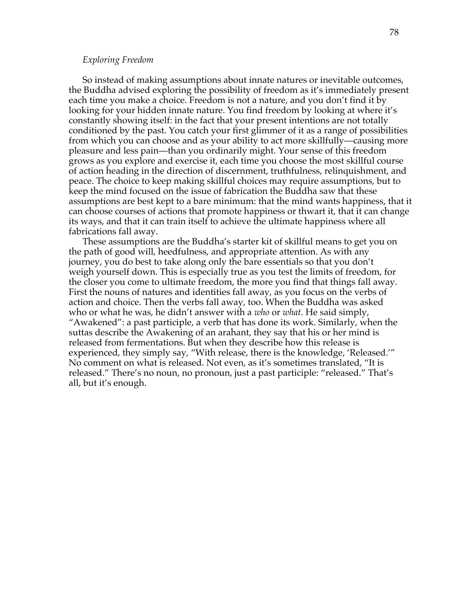### *Exploring Freedom*

So instead of making assumptions about innate natures or inevitable outcomes, the Buddha advised exploring the possibility of freedom as it's immediately present each time you make a choice. Freedom is not a nature, and you don't find it by looking for your hidden innate nature. You find freedom by looking at where it's constantly showing itself: in the fact that your present intentions are not totally conditioned by the past. You catch your first glimmer of it as a range of possibilities from which you can choose and as your ability to act more skillfully—causing more pleasure and less pain—than you ordinarily might. Your sense of this freedom grows as you explore and exercise it, each time you choose the most skillful course of action heading in the direction of discernment, truthfulness, relinquishment, and peace. The choice to keep making skillful choices may require assumptions, but to keep the mind focused on the issue of fabrication the Buddha saw that these assumptions are best kept to a bare minimum: that the mind wants happiness, that it can choose courses of actions that promote happiness or thwart it, that it can change its ways, and that it can train itself to achieve the ultimate happiness where all fabrications fall away.

These assumptions are the Buddha's starter kit of skillful means to get you on the path of good will, heedfulness, and appropriate attention. As with any journey, you do best to take along only the bare essentials so that you don't weigh yourself down. This is especially true as you test the limits of freedom, for the closer you come to ultimate freedom, the more you find that things fall away. First the nouns of natures and identities fall away, as you focus on the verbs of action and choice. Then the verbs fall away, too. When the Buddha was asked who or what he was, he didn't answer with a *who* or *what.* He said simply, "Awakened": a past participle, a verb that has done its work. Similarly, when the suttas describe the Awakening of an arahant, they say that his or her mind is released from fermentations. But when they describe how this release is experienced, they simply say, "With release, there is the knowledge, 'Released.'" No comment on what is released. Not even, as it's sometimes translated, "It is released." There's no noun, no pronoun, just a past participle: "released." That's all, but it's enough.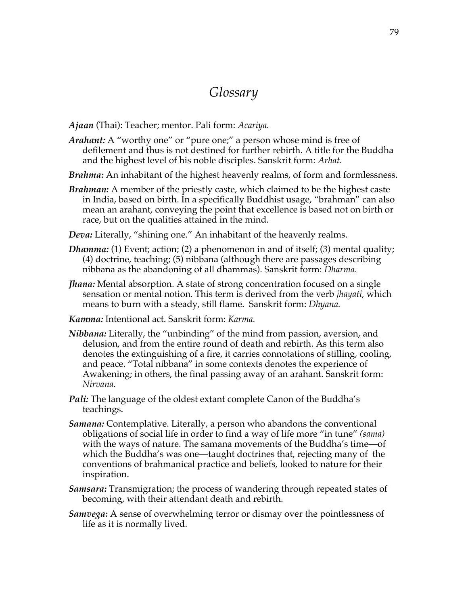## *Glossary*

*Ajaan* (Thai): Teacher; mentor. Pali form: *Acariya.*

- *Arahant:* A "worthy one" or "pure one;" a person whose mind is free of defilement and thus is not destined for further rebirth. A title for the Buddha and the highest level of his noble disciples. Sanskrit form: *Arhat.*
- *Brahma:* An inhabitant of the highest heavenly realms, of form and formlessness.
- *Brahman:* A member of the priestly caste, which claimed to be the highest caste in India, based on birth. In a specifically Buddhist usage, "brahman" can also mean an arahant, conveying the point that excellence is based not on birth or race, but on the qualities attained in the mind.
- *Deva:* Literally, "shining one." An inhabitant of the heavenly realms.
- *Dhamma:* (1) Event; action; (2) a phenomenon in and of itself; (3) mental quality; (4) doctrine, teaching; (5) nibbana (although there are passages describing nibbana as the abandoning of all dhammas). Sanskrit form: *Dharma.*
- *Jhana:* Mental absorption. A state of strong concentration focused on a single sensation or mental notion. This term is derived from the verb *jhayati,* which means to burn with a steady, still flame. Sanskrit form: *Dhyana.*
- *Kamma:* Intentional act. Sanskrit form: *Karma.*
- *Nibbana:* Literally, the "unbinding" of the mind from passion, aversion, and delusion, and from the entire round of death and rebirth. As this term also denotes the extinguishing of a fire, it carries connotations of stilling, cooling, and peace. "Total nibbana" in some contexts denotes the experience of Awakening; in others, the final passing away of an arahant. Sanskrit form: *Nirvana.*
- *Pali:* The language of the oldest extant complete Canon of the Buddha's teachings.
- *Samana:* Contemplative. Literally, a person who abandons the conventional obligations of social life in order to find a way of life more "in tune" *(sama)* with the ways of nature. The samana movements of the Buddha's time—of which the Buddha's was one—taught doctrines that, rejecting many of the conventions of brahmanical practice and beliefs, looked to nature for their inspiration.
- *Samsara:* Transmigration; the process of wandering through repeated states of becoming, with their attendant death and rebirth.
- *Samvega:* A sense of overwhelming terror or dismay over the pointlessness of life as it is normally lived.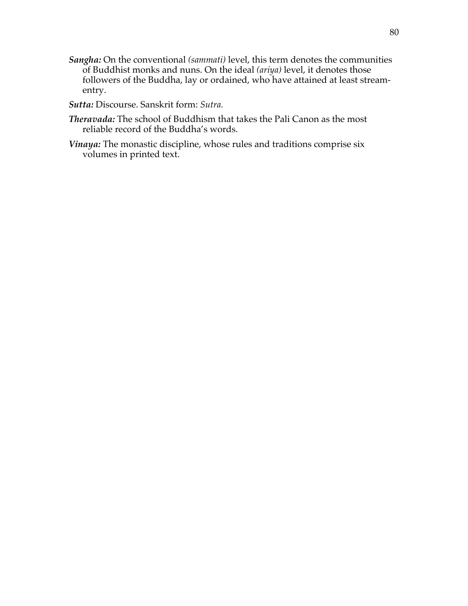- *Sangha:* On the conventional *(sammati)* level, this term denotes the communities of Buddhist monks and nuns. On the ideal *(ariya)* level, it denotes those followers of the Buddha, lay or ordained, who have attained at least streamentry.
- *Sutta:* Discourse. Sanskrit form: *Sutra.*
- *Theravada:* The school of Buddhism that takes the Pali Canon as the most reliable record of the Buddha's words.
- *Vinaya:* The monastic discipline, whose rules and traditions comprise six volumes in printed text.